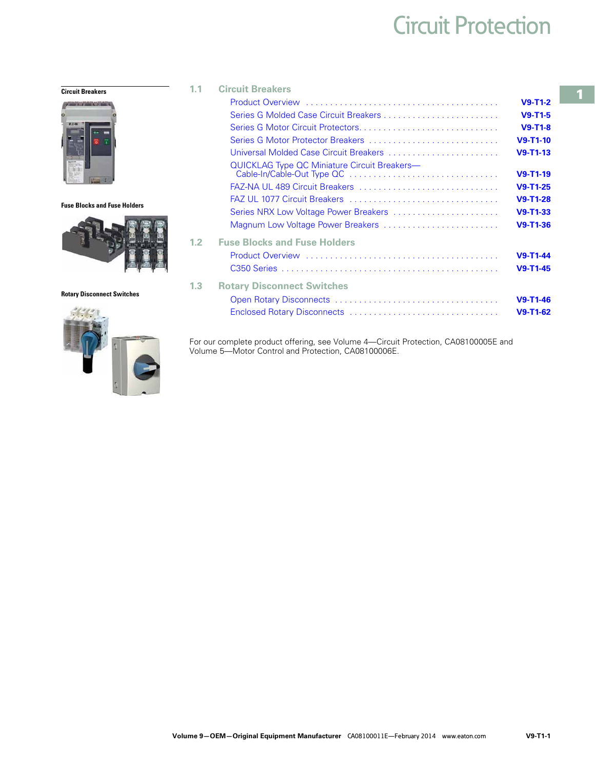# Circuit Protection

#### **Circuit Breakers**



**Fuse Blocks and Fuse Holders**



#### **Rotary Disconnect Switches**



| 1.1 | <b>Circuit Breakers</b>                      |                |  |  |  |
|-----|----------------------------------------------|----------------|--|--|--|
|     |                                              | $V9-T1-2$      |  |  |  |
|     |                                              | $V9-T1-5$      |  |  |  |
|     |                                              | $V9-T1-8$      |  |  |  |
|     | Series G Motor Protector Breakers            | $V9 - T1 - 10$ |  |  |  |
|     | Universal Molded Case Circuit Breakers       | $V9-T1-13$     |  |  |  |
|     | QUICKLAG Type QC Miniature Circuit Breakers- | $V9 - T1 - 19$ |  |  |  |
|     | FAZ-NA UL 489 Circuit Breakers               | $V9-T1-25$     |  |  |  |
|     |                                              | $V9-T1-28$     |  |  |  |
|     | Series NRX Low Voltage Power Breakers        | $V9 - T1 - 33$ |  |  |  |
|     | Magnum Low Voltage Power Breakers            | $V9-T1-36$     |  |  |  |
| 1.2 | <b>Fuse Blocks and Fuse Holders</b>          |                |  |  |  |
|     |                                              | $V9 - T1 - 44$ |  |  |  |
|     |                                              | $V9 - T1 - 45$ |  |  |  |
| 1.3 | <b>Rotary Disconnect Switches</b>            |                |  |  |  |
|     |                                              | $V9 - T1 - 46$ |  |  |  |
|     |                                              | $V9-T1-62$     |  |  |  |

For our complete product offering, see Volume 4—Circuit Protection, CA08100005E and Volume 5—Motor Control and Protection, CA08100006E.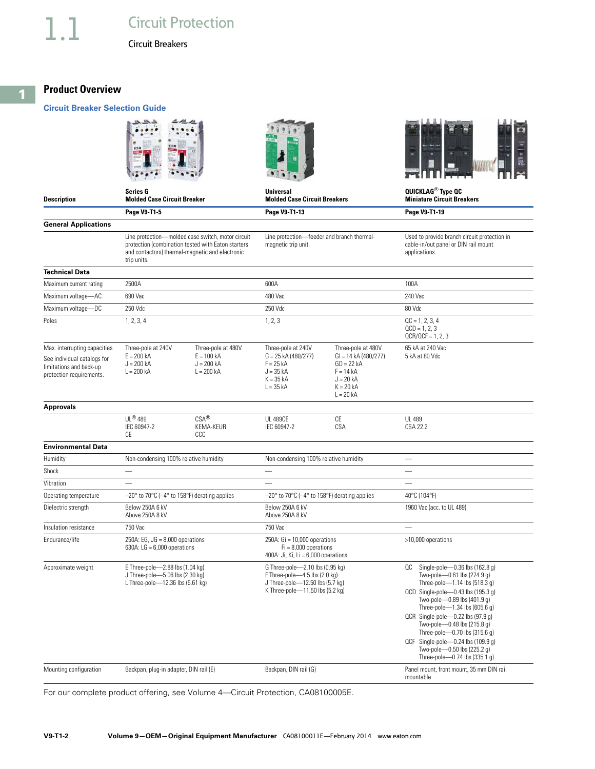### **Product Overview**

#### **Circuit Breaker Selection Guide**







QCR Single-pole—0.22 lbs (97.9 g) Two-pole—0.48 lbs (215.8 g)

**Description Series G Molded Case Circuit Breaker Universal Molded Case Circuit Breakers QUICKLAG**® **Type QC Miniature Circuit Breakers Page V9-T1-5 Page V9-T1-13 Page V9-T1-19 General Applications** Line protection—molded case switch, motor circuit protection (combination tested with Eaton starters and contactors) thermal-magnetic and electronic trip units. Line protection—feeder and branch thermalmagnetic trip unit. Used to provide branch circuit protection in cable-in/out panel or DIN rail mount applications. **Technical Data** Maximum current rating 2500A 600A 100A Maximum voltage—AC 690 Vac 690 Vac 240 Vac 480 Vac 480 Vac 240 Vac 240 Vac 240 Vac 240 Vac 240 Vac 240 Vac 240 Vac 240 Vac 240 Vac 240 Vac 240 Vac 240 Vac 240 Vac 240 Vac 240 Vac 25 Vac 26 Vac 26 Vac 26 Vac 26 Vac 26 Vac 2 Maximum voltage—DC 250 Vdc 250 Vdc 80 Vdc 250 Vdc 250 Vdc 250 Vdc 250 Vdc 30 Vdc 30 Vdc 30 Vdc 30 Vdc 30 Vdc 30 Vdc 30 Vdc 30 Vdc 30 Vdc 30 Vdc 30 Vdc 30 Vdc 30 Vdc 30 Vdc 30 Vdc 30 Vdc 30 Vdc 30 Vdc 30 Vdc 30 Vdc 30 Vdc 3 Poles 2003 1, 2, 3, 4 2005 1, 2, 3 and 2006 1, 2, 3 and 2006 1, 2, 3, 4 and 2006 1, 2, 3, 4 and 2006 1, 2, 3, 4  $QCD = 1, 2, 3$  $QCR/QCF = 1, 2, 3$ Max. interrupting capacities See individual catalogs for limitations and back-up protection requirements. Three-pole at 240V  $E = 200 kA$  $J = 200 kA$  $I = 200 kA$ Three-pole at 480V  $E = 100$  kA  $J = 200$  kA  $L = 200 kA$ Three-pole at 240V  $G = 25$  kA (480/277)  $F = 25 kA$  $J = 35 kA$  $K = 35 kA$  $L = 35 kA$ Three-pole at 480V GI = 14 kA (480/277)  $GD = 22 kA$  $F = 14 kA$  $J = 20 kA$  $K = 20 kA$  $L = 20 kA$ 65 kA at 240 Vac 5 kA at 80 Vdc **Approvals** UL® 489 IEC 60947-2 CE CSA® KEMA-KEUR CCC **UL 489CF** IEC 60947-2 CE CSA UL 489 CSA 22.2 **Environmental Data** Humidity **Non-condensing 100% relative humidity** Non-condensing 100% relative humidity  $S$ hock  $\qquad$   $\qquad$   $\qquad$   $\qquad$   $\qquad$   $\qquad$   $\qquad$   $\qquad$   $\qquad$   $\qquad$   $\qquad$   $\qquad$   $\qquad$   $\qquad$   $\qquad$   $\qquad$   $\qquad$   $\qquad$   $\qquad$   $\qquad$   $\qquad$   $\qquad$   $\qquad$   $\qquad$   $\qquad$   $\qquad$   $\qquad$   $\qquad$   $\qquad$   $\qquad$   $\qquad$   $\qquad$   $\qquad$   $\qquad$   $\qquad$   $\q$ Vibration  $\qquad \qquad -$ Operating temperature  $-20^\circ$  to 70°C (-4° to 158°F) derating applies  $-20^\circ$  to 70°C (-4° to 158°F) derating applies 40°C (104°F) Dielectric strength Below 250A 6 kV Above 250A 8 kV Below 250A 6 kV Above 250A 8 kV 1960 Vac (acc. to UL 489) Insulation resistance 750 Vac **750 Vac** 4750 Vac 4750 Vac 4750 Vac 4750 Vac 4750 Vac 4750 Vac 4750 Vac 4750 Vac 47 Endurance/life 250A: EG, JG = 8,000 operations 630A:  $LG = 6.000$  operations  $250A: Gi = 10,000 operations$ Fi = 8,000 operations 400A: Ji, Ki, Li = 6,000 operations >10,000 operations Approximate weight E Three-pole—2.88 lbs (1.04 kg) J Three-pole—5.06 lbs (2.30 kg) L Three-pole—12.36 lbs (5.61 kg) G Three-pole—2.10 lbs (0.95 kg) F Three-pole—4.5 lbs (2.0 kg) J Three-pole—12.50 lbs (5.7 kg) K Three-pole—11.50 lbs (5.2 kg) QC Single-pole—0.36 lbs (162.8 g) Two-pole—0.61 lbs (274.9 g) Three-pole—1.14 lbs (518.3 g) QCD Single-pole—0.43 lbs (195.3 g) Two-pole—0.89 lbs (401.9 g) Three-pole—1.34 lbs (605.6 g)

Three-pole—0.70 lbs (315.6 g) QCF Single-pole—0.24 lbs (109.9 g) Two-pole—0.50 lbs (225.2 g) Three-pole—0.74 lbs (335.1 g) Mounting configuration Backpan, plug-in adapter, DIN rail (E) Backpan, DIN rail (G) Panel mount, front mount, 35 mm DIN rail (G) mountable

For our complete product offering, see Volume 4—Circuit Protection, CA08100005E.

<span id="page-1-0"></span>**1**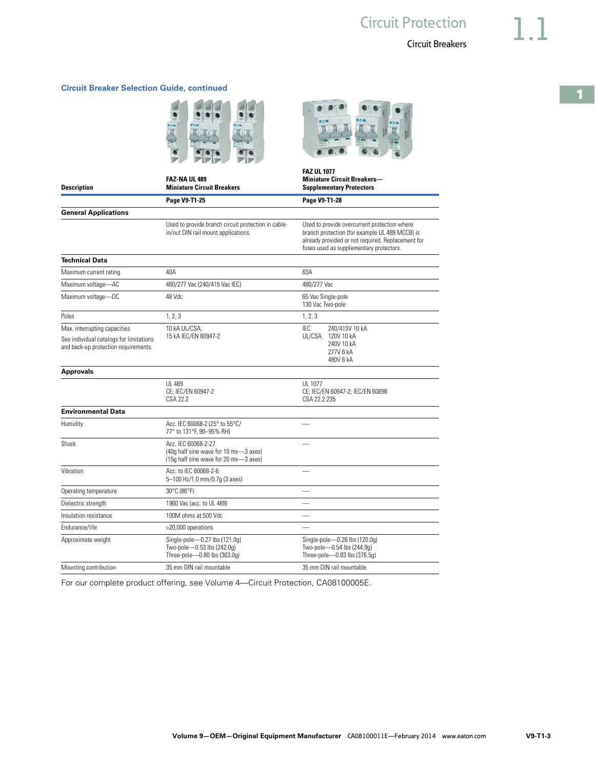**Volume 9—OEM—Original Equipment Manufacturer** CA08100011E—February 2014 www.eaton.com **V9-T1-3**

#### **Circuit Breaker Selection Guide, continued**

**Description**

**General Applications**

**Technical Data**

|  | <b>Miniature Circuit Breakers</b><br>Page V9-T1-25                   |  |  |  |
|--|----------------------------------------------------------------------|--|--|--|
|  |                                                                      |  |  |  |
|  |                                                                      |  |  |  |
|  | the college condition because of action the composition for a clifts |  |  |  |

**FAZ-NA UL 489**

#### Used to provide branch circuit protection in cablein/out DIN rail mount applications.

Used to provide overcurrent protection where branch protection (for example UL 489 MCCB) is already provided or not required. Replacement for fuses used as supplementary protectors.

| Maximum current rating                                                                                          | 40A                                                                                                   | 63A                                                                                         |
|-----------------------------------------------------------------------------------------------------------------|-------------------------------------------------------------------------------------------------------|---------------------------------------------------------------------------------------------|
| Maximum voltage-AC                                                                                              | 480/277 Vac (240/415 Vac IEC)                                                                         | 480/277 Vac                                                                                 |
| Maximum voltage-DC                                                                                              | 48 Vdc                                                                                                | 65 Vac Single-pole<br>130 Vac Two-pole                                                      |
| Poles                                                                                                           | 1, 2, 3                                                                                               | 1, 2, 3                                                                                     |
| Max. interrupting capacities<br>See individual catalogs for limitations<br>and back-up protection requirements. | 10 kA UL/CSA:<br>15 kA IEC/EN 60947-2                                                                 | IFC<br>240/415V 10 kA<br>UL/CSA<br>120V 10 kA<br>240V 10 kA<br>277V 6 kA<br>480V 6 kA       |
| <b>Approvals</b>                                                                                                |                                                                                                       |                                                                                             |
|                                                                                                                 | UI 489<br>CE; IEC/EN 60947-2<br>CSA 22.2                                                              | UI 1077<br>CE; IEC/EN 60947-2; IEC/EN 60898<br>CSA 22.2 235                                 |
| <b>Environmental Data</b>                                                                                       |                                                                                                       |                                                                                             |
| Humidity                                                                                                        | Acc. IEC 60068-2 (25° to 55°C/<br>77° to 131°F. 90-95% RH)                                            |                                                                                             |
| Shock                                                                                                           | Acc. IFC 60068-2-27<br>(40g half sine wave for 10 ms-3 axes)<br>(15q half sine wave for 20 ms-3 axes) |                                                                                             |
| Vibration                                                                                                       | Acc. to IEC 60068-2-6<br>5-100 Hz/1.0 mm/0.7g (3 axes)                                                |                                                                                             |
| Operating temperature                                                                                           | 30°C (86°F)                                                                                           |                                                                                             |
| Dielectric strength                                                                                             | 1960 Vac (acc. to UL 489)                                                                             |                                                                                             |
| Insulation resistance                                                                                           | 100M ohms at 500 Vdc                                                                                  |                                                                                             |
| Endurance/life                                                                                                  | >20,000 operations                                                                                    |                                                                                             |
| Approximate weight                                                                                              | Single-pole-0.27 lbs (121.0g)<br>Two-pole-0.53 lbs (242.0q)<br>Three-pole-0.80 lbs (363.0g)           | Single-pole-0.26 lbs (120.0g)<br>Two-pole-0.54 lbs (244.9q)<br>Three-pole-0.83 lbs (376.5q) |
| Mounting contribution                                                                                           | 35 mm DIN rail mountable                                                                              | 35 mm DIN rail mountable                                                                    |

For our complete product offering, see Volume 4—Circuit Protection, CA08100005E.



**Miniature Circuit Breakers— Supplementary Protectors**

**Page V9-T1-25 Page V9-T1-28**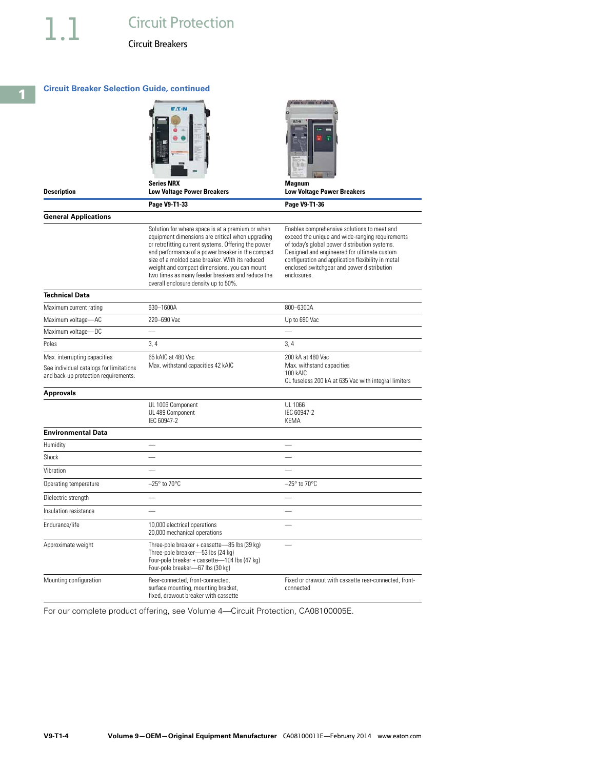#### **Circuit Breaker Selection Guide, continued**



**Low Voltage Power Breakers**

**Series NRX** 



**Description**

**General Applications**

**Technical Data**

Solution for where space is at a premium or when equipment dimensions are critical when upgrading or retrofitting current systems. Offering the power and performance of a power breaker in the compact size of a molded case breaker. With its reduced weight and compact dimensions, you can mount two times as many feeder breakers and reduce the overall enclosure density up to 50%.

**Page V9-T1-33 Page V9-T1-36** 

Enables comprehensive solutions to meet and exceed the unique and wide-ranging requirements of today's global power distribution systems. Designed and engineered for ultimate custom configuration and application flexibility in metal enclosed switchgear and power distribution enclosures.

| ICUIIILAI VALA                          |                                                                                                                                                                       |                                                                    |
|-----------------------------------------|-----------------------------------------------------------------------------------------------------------------------------------------------------------------------|--------------------------------------------------------------------|
| Maximum current rating                  | 630-1600A                                                                                                                                                             | 800-6300A                                                          |
| Maximum voltage-AC                      | 220-690 Vac                                                                                                                                                           | Up to 690 Vac                                                      |
| Maximum voltage-DC                      |                                                                                                                                                                       |                                                                    |
| Poles                                   | 3.4                                                                                                                                                                   | 3.4                                                                |
| Max. interrupting capacities            | 65 kAIC at 480 Vac                                                                                                                                                    | 200 kA at 480 Vac                                                  |
| See individual catalogs for limitations | Max. withstand capacities 42 kAIC                                                                                                                                     | Max. withstand capacities<br>100 kAIC                              |
| and back-up protection requirements.    |                                                                                                                                                                       | CL fuseless 200 kA at 635 Vac with integral limiters               |
| <b>Approvals</b>                        |                                                                                                                                                                       |                                                                    |
|                                         | UL 1006 Component                                                                                                                                                     | UI 1066                                                            |
|                                         | UL 489 Component<br>IEC 60947-2                                                                                                                                       | IEC 60947-2<br><b>KEMA</b>                                         |
|                                         |                                                                                                                                                                       |                                                                    |
| <b>Environmental Data</b>               |                                                                                                                                                                       |                                                                    |
| Humidity                                |                                                                                                                                                                       |                                                                    |
| Shock                                   |                                                                                                                                                                       |                                                                    |
| Vibration                               |                                                                                                                                                                       |                                                                    |
| Operating temperature                   | $-25^\circ$ to $70^\circ$ C                                                                                                                                           | $-25^\circ$ to $70^\circ$ C                                        |
| Dielectric strength                     |                                                                                                                                                                       |                                                                    |
| Insulation resistance                   |                                                                                                                                                                       |                                                                    |
| Endurance/life                          | 10,000 electrical operations<br>20,000 mechanical operations                                                                                                          |                                                                    |
| Approximate weight                      | Three-pole breaker + cassette-85 lbs (39 kg)<br>Three-pole breaker-53 lbs (24 kg)<br>Four-pole breaker + cassette-104 lbs (47 kg)<br>Four-pole breaker-67 lbs (30 kg) |                                                                    |
| Mounting configuration                  | Rear-connected, front-connected,<br>surface mounting, mounting bracket,<br>fixed, drawout breaker with cassette                                                       | Fixed or drawout with cassette rear-connected, front-<br>connected |

For our complete product offering, see Volume 4—Circuit Protection, CA08100005E.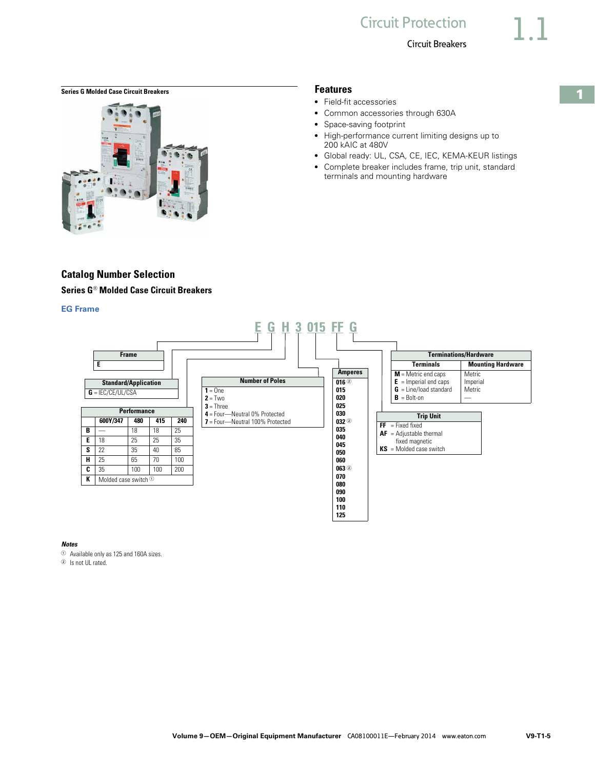#### <span id="page-4-0"></span>**Series G Molded Case Circuit Breakers <b>Features** Features



# **Catalog Number Selection Series G**® **Molded Case Circuit Breakers**

#### **EG Frame**

- Field-fit accessories
- Common accessories through 630A
- Space-saving footprint
- High-performance current limiting designs up to 200 kAIC at 480V
- Global ready: UL, CSA, CE, IEC, KEMA-KEUR listings
- Complete breaker includes frame, trip unit, standard terminals and mounting hardware



#### *Notes*

<sup>1</sup> Available only as 125 and 160A sizes.

<sup>2</sup> Is not UL rated.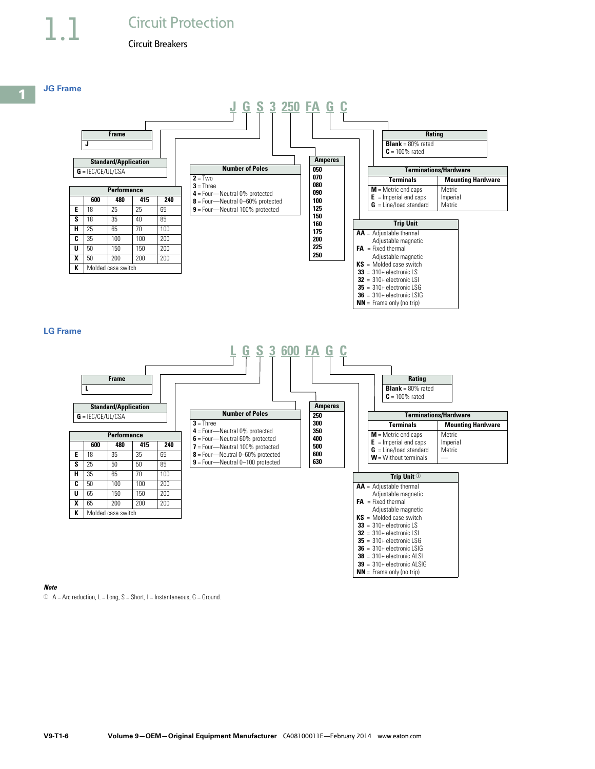# **Circuit Protection**

#### Circuit Breakers

**Performance 600 480 415 240 E** | 18 | 25 | 25 | 65 **S** 18 35 40 85 **H** 25 65 70 100 **C** 35 100 100 200 **U** 50 150 150 200 **X** 50 200 200 200

**K** Molded case switch



 $2 = Two$ **3** = Three

#### **Amperes 050 070 080 090 100 125 150 160 175 200 225 250 Trip Unit AA** = Adjustable thermal Adjustable magnetic  $FA = Fixed thermal$ Adjustable magnetic **KS** = Molded case switch **33** = 310+ electronic LS **32** = 310+ electronic LSI **35** = 310+ electronic LSG **36** = 310+ electronic LSIG **NN** = Frame only (no trip) **Terminations/Hardware Terminals Mounting Hardware M** = Metric end caps **E** = Imperial end caps **G** = Line/load standard Metric Imperial Metric **Rating Blank** = 80% rated **C** = 100% rated **4** = Four—Neutral 0% protected **8** = Four—Neutral 0–60% protected **9** = Four—Neutral 100% protected

#### **LG Frame**



#### *Note*

 $1 \oplus A =$  Arc reduction, L = Long, S = Short, I = Instantaneous, G = Ground.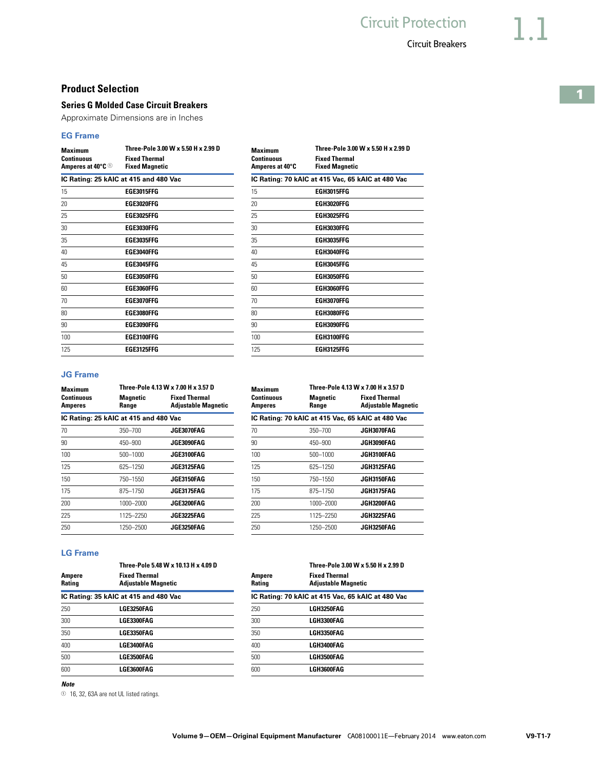#### **Product Selection**

#### **Series G Molded Case Circuit Breakers**

Approximate Dimensions are in Inches

#### **EG Frame**

| <b>Maximum</b><br><b>Continuous</b><br>Amperes at 40°C <sup>1</sup> | Three-Pole 3.00 W x 5.50 H x 2.99 D<br><b>Fixed Thermal</b><br><b>Fixed Magnetic</b> | <b>Maximum</b><br><b>Continuous</b><br>Amperes at 40°C | Three-Pole 3.00 W x 5.50 H x 2.99<br><b>Fixed Thermal</b><br><b>Fixed Magnetic</b> |
|---------------------------------------------------------------------|--------------------------------------------------------------------------------------|--------------------------------------------------------|------------------------------------------------------------------------------------|
|                                                                     | IC Rating: 25 kAIC at 415 and 480 Vac                                                |                                                        | IC Rating: 70 kAIC at 415 Vac, 65 kAIC at 480 Vac                                  |
| 15                                                                  | <b>EGE3015FFG</b>                                                                    | 15                                                     | <b>EGH3015FFG</b>                                                                  |
| 20                                                                  | EGE3020FFG                                                                           | 20                                                     | EGH3020FFG                                                                         |
| 25                                                                  | EGE3025FFG                                                                           | 25                                                     | EGH3025FFG                                                                         |
| 30                                                                  | EGE3030FFG                                                                           | 30                                                     | EGH3030FFG                                                                         |
| 35                                                                  | <b>EGE3035FFG</b>                                                                    | 35                                                     | EGH3035FFG                                                                         |
| 40                                                                  | EGE3040FFG                                                                           | 40                                                     | EGH3040FFG                                                                         |
| 45                                                                  | EGE3045FFG                                                                           | 45                                                     | EGH3045FFG                                                                         |
| 50                                                                  | EGE3050FFG                                                                           | 50                                                     | EGH3050FFG                                                                         |
| 60                                                                  | EGE3060FFG                                                                           | 60                                                     | EGH3060FFG                                                                         |
| 70                                                                  | EGE3070FFG                                                                           | 70                                                     | EGH3070FFG                                                                         |
| 80                                                                  | EGE3080FFG                                                                           | 80                                                     | EGH3080FFG                                                                         |
| 90                                                                  | EGE3090FFG                                                                           | 90                                                     | EGH3090FFG                                                                         |
| 100                                                                 | EGE3100FFG                                                                           | 100                                                    | EGH3100FFG                                                                         |
| 125                                                                 | EGE3125FFG                                                                           | 125                                                    | EGH3125FFG                                                                         |

| <b>Maximum</b><br>Continuous<br>Amperes at 40°C | Three-Pole 3.00 W x 5.50 H x 2.99 D<br><b>Fixed Thermal</b><br><b>Fixed Magnetic</b> |
|-------------------------------------------------|--------------------------------------------------------------------------------------|
|                                                 | IC Rating: 70 kAIC at 415 Vac, 65 kAIC at 480 Vac                                    |
| 15                                              | <b>FGH3015FFG</b>                                                                    |
| 20                                              | EGH3020FFG                                                                           |
| 25                                              | <b>EGH3025FFG</b>                                                                    |
| 30                                              | <b>FGH3030FFG</b>                                                                    |
| 35                                              | <b>FGH3035FFG</b>                                                                    |
| 40                                              | FGH3040FFG                                                                           |
| 45                                              | <b>FGH3045FFG</b>                                                                    |
| 50                                              | FGH3050FFG                                                                           |
| 60                                              | FGH3060FFG                                                                           |
| 70                                              | FGH3070FFG                                                                           |
| 80                                              | EGH3080FFG                                                                           |
| 90                                              | EGH3090FFG                                                                           |
| 100                                             | <b>FGH3100FFG</b>                                                                    |
| 125                                             | <b>FGH3125FFG</b>                                                                    |
|                                                 |                                                                                      |

**Three-Pole 4.13 W x 7.00 H x 3.57 D**

**Fixed Thermal Adjustable Magnetic**

**IC Rating: 70 kAIC at 415 Vac, 65 kAIC at 480 Vac** 70 350–700 **JGE3070FAG** 70 350–700 **JGH3070FAG**

#### **JG Frame**

| <b>Maximum</b>        |                                       | Three-Pole 4.13 W x 7.00 H x 3.57 D                | <b>Maximum</b>               | Three-Pole 4.13 W x 7.00 H x 3.5              |                                           |
|-----------------------|---------------------------------------|----------------------------------------------------|------------------------------|-----------------------------------------------|-------------------------------------------|
| Continuous<br>Amperes | <b>Magnetic</b><br>Range              | <b>Fixed Thermal</b><br><b>Adjustable Magnetic</b> | Continuous<br><b>Amperes</b> | <b>Magnetic</b><br>Range                      | <b>Fixed Therm</b><br><b>Adjustable N</b> |
|                       | IC Rating: 25 kAIC at 415 and 480 Vac |                                                    |                              | IC Rating: 70 kAIC at 415 Vac, 65 kAIC at 480 |                                           |
| 70                    | $350 - 700$                           | JGE3070FAG                                         | 70                           | $350 - 700$                                   | JGH3070FAG                                |
| 90                    | $450 - 900$                           | JGE3090FAG                                         | 90                           | 450-900                                       | JGH3090FAG                                |
| 100                   | $500 - 1000$                          | JGE3100FAG                                         | 100                          | 500-1000                                      | JGH3100FAG                                |
| 125                   | 625-1250                              | JGE3125FAG                                         | 125                          | 625-1250                                      | JGH3125FAG                                |
| 150                   | 750-1550                              | JGE3150FAG                                         | 150                          | 750-1550                                      | JGH3150FAG                                |
| 175                   | 875-1750                              | JGE3175FAG                                         | 175                          | 875-1750                                      | JGH3175FAG                                |
| 200                   | 1000-2000                             | JGE3200FAG                                         | 200                          | 1000-2000                                     | JGH3200FAG                                |
| 225                   | 1125-2250                             | JGE3225FAG                                         | 225                          | 1125-2250                                     | JGH3225FAG                                |
| 250                   | 1250-2500                             | JGE3250FAG                                         | 250                          | 1250-2500                                     | JGH3250FAG                                |
|                       |                                       |                                                    |                              |                                               |                                           |

#### **LG Frame**

|                  | Three-Pole 5.48 W x 10.13 H x 4.09 D               |                                                   | Three-Pole 3.00 W x 5.50 H x 2.99 D                |  |
|------------------|----------------------------------------------------|---------------------------------------------------|----------------------------------------------------|--|
| Ampere<br>Rating | <b>Fixed Thermal</b><br><b>Adjustable Magnetic</b> | <b>Ampere</b><br><b>Rating</b>                    | <b>Fixed Thermal</b><br><b>Adjustable Magnetic</b> |  |
|                  | IC Rating: 35 kAIC at 415 and 480 Vac              | IC Rating: 70 kAIC at 415 Vac, 65 kAIC at 480 Vac |                                                    |  |
| 250              | LGE3250FAG                                         | 250                                               | LGH3250FAG                                         |  |
| 300              | LGE3300FAG                                         | 300                                               | LGH3300FAG                                         |  |
| 350              | LGE3350FAG                                         | 350                                               | LGH3350FAG                                         |  |
| 400              | LGE3400FAG                                         | 400                                               | LGH3400FAG                                         |  |
| 500              | LGE3500FAG                                         | 500                                               | LGH3500FAG                                         |  |
| 600              | LGE3600FAG                                         | 600                                               | LGH3600FAG                                         |  |
|                  |                                                    |                                                   |                                                    |  |

|                  | Three-Pole 3.00 W x 5.50 H x 2.99 D                |
|------------------|----------------------------------------------------|
| Ampere<br>Rating | <b>Fixed Thermal</b><br><b>Adjustable Magnetic</b> |
|                  | IC Rating: 70 kAIC at 415 Vac, 65 kAIC at 480 Vac  |
| 250              | LGH3250FAG                                         |
| 300              | LGH3300FAG                                         |
| 350              | LGH3350FAG                                         |
| 400              | LGH3400FAG                                         |
| 500              | LGH3500FAG                                         |
| coo              | L CHOCOOFA C                                       |

#### *Note*

<sup>1</sup> 16, 32, 63A are not UL listed ratings.

**1**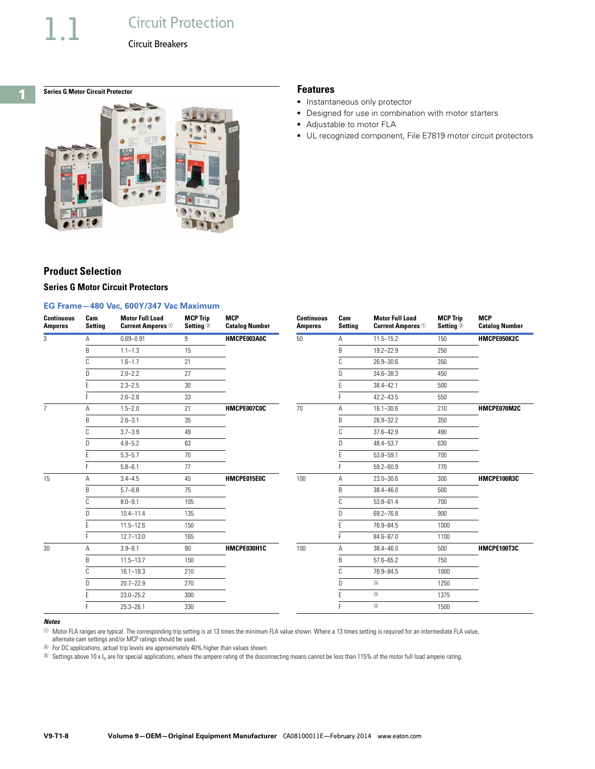# **Circuit Protection**

Circuit Breakers

# <span id="page-7-0"></span>**1**

# **Series G Motor Circuit Protector Features**



- Instantaneous only protector
- Designed for use in combination with motor starters
- Adjustable to motor FLA
- UL recognized component, File E7819 motor circuit protectors

# **Product Selection**

#### **Series G Motor Circuit Protectors**

#### **EG Frame—480 Vac, 600Y/347 Vac Maximum**

| <b>Continuous</b><br><b>Amperes</b> | Cam<br><b>Setting</b> | <b>Motor Full Load</b><br><b>Current Amperes</b> <sup>1</sup> | <b>MCP Trip</b><br>Setting <sup>2</sup> | <b>MCP</b><br><b>Catalog Number</b> | <b>Continuous</b><br><b>Amperes</b> | Cam<br><b>Setting</b> | <b>Motor Full Load</b><br><b>Current Amperes</b> <sup>1</sup> | <b>MCP Trip</b><br>Setting <sup>2</sup> | <b>MCP</b><br><b>Catalog Number</b> |
|-------------------------------------|-----------------------|---------------------------------------------------------------|-----------------------------------------|-------------------------------------|-------------------------------------|-----------------------|---------------------------------------------------------------|-----------------------------------------|-------------------------------------|
| 3                                   | Α                     | $0.69 - 0.91$                                                 | 9                                       | HMCPE003A0C                         | 50                                  | Α                     | $11.5 - 15.2$                                                 | 150                                     | HMCPE050K2C                         |
|                                     | B                     | $1.1 - 1.3$                                                   | 15                                      |                                     |                                     | B                     | $19.2 - 22.9$                                                 | 250                                     |                                     |
|                                     | C                     | $1.6 - 1.7$                                                   | 21                                      |                                     |                                     | C                     | $26.9 - 30.6$                                                 | 350                                     |                                     |
|                                     | D.                    | $2.0 - 2.2$                                                   | 27                                      |                                     |                                     | D.                    | $34.6 - 38.3$                                                 | 450                                     |                                     |
|                                     |                       | $2.3 - 2.5$                                                   | 30                                      |                                     |                                     |                       | $38.4 - 42.1$                                                 | 500                                     |                                     |
|                                     |                       | $2.6 - 2.8$                                                   | 33                                      |                                     |                                     |                       | $42.2 - 43.5$                                                 | 550                                     |                                     |
| $\overline{7}$                      | Α                     | $1.5 - 2.0$                                                   | 21                                      | HMCPE007C0C                         | 70                                  | Α                     | $16.1 - 30.6$                                                 | 210                                     | HMCPE070M2C                         |
|                                     | B                     | $2.6 - 3.1$                                                   | 35                                      |                                     |                                     | B                     | 26.9-32.2                                                     | 350                                     |                                     |
|                                     | C                     | $3.7 - 3.9$                                                   | 49                                      |                                     |                                     | C                     | $37.6 - 42.9$                                                 | 490                                     |                                     |
|                                     | D                     | $4.8 - 5.2$                                                   | 63                                      |                                     |                                     | D                     | 48.4-53.7                                                     | 630                                     |                                     |
|                                     |                       | $5.3 - 5.7$                                                   | 70                                      |                                     |                                     |                       | $53.8 - 59.1$                                                 | 700                                     |                                     |
|                                     |                       | $5.8 - 6.1$                                                   | 77                                      |                                     |                                     |                       | $59.2 - 60.9$                                                 | 770                                     |                                     |
| 15                                  | A                     | $3.4 - 4.5$                                                   | 45                                      | HMCPE015E0C                         | 100                                 | Α                     | $23.0 - 30.6$                                                 | 300                                     | HMCPE100R3C                         |
|                                     | <sub>B</sub>          | $5.7 - 6.8$                                                   | 75                                      |                                     |                                     | B                     | $38.4 - 46.0$                                                 | 500                                     |                                     |
|                                     | C                     | $8.0 - 9.1$                                                   | 105                                     |                                     |                                     | C                     | $53.8 - 61.4$                                                 | 700                                     |                                     |
|                                     | n.                    | $10.4 - 11.4$                                                 | 135                                     |                                     |                                     | D                     | 69.2-76.8                                                     | 900                                     |                                     |
|                                     | F.                    | $11.5 - 12.6$                                                 | 150                                     |                                     |                                     |                       | 76.9-84.5                                                     | 1000                                    |                                     |
|                                     |                       | $12.7 - 13.0$                                                 | 165                                     |                                     |                                     |                       | $84.6 - 87.0$                                                 | 1100                                    |                                     |
| 30                                  | Α                     | $3.9 - 9.1$                                                   | 90                                      | HMCPE030H1C                         | 100                                 | Α                     | $38.4 - 46.0$                                                 | 500                                     | HMCPE100T3C                         |
|                                     | B                     | $11.5 - 13.7$                                                 | 150                                     |                                     |                                     | B                     | $57.6 - 65.2$                                                 | 750                                     |                                     |
|                                     |                       | $16.1 - 18.3$                                                 | 210                                     |                                     |                                     | C                     | 76.9-84.5                                                     | 1000                                    |                                     |
|                                     | D.                    | $20.7 - 22.9$                                                 | 270                                     |                                     |                                     | D                     | $^\circledR$                                                  | 1250                                    |                                     |
|                                     |                       | $23.0 - 25.2$                                                 | 300                                     |                                     |                                     |                       | $^\circledR$                                                  | 1375                                    |                                     |
|                                     |                       | $25.3 - 26.1$                                                 | 330                                     |                                     |                                     |                       | $^\circledR$                                                  | 1500                                    |                                     |

#### *Notes*

 $\circledR$  Motor FLA ranges are typical. The corresponding trip setting is at 13 times the minimum FLA value shown. Where a 13 times setting is required for an intermediate FLA value,

alternate cam settings and/or MCP ratings should be used.

<sup>2</sup> For DC applications, actual trip levels are approximately 40% higher than values shown.

<sup>3</sup> Settings above 10 x I<sub>n</sub> are for special applications, where the ampere rating of the disconnecting means cannot be less than 115% of the motor full load ampere rating.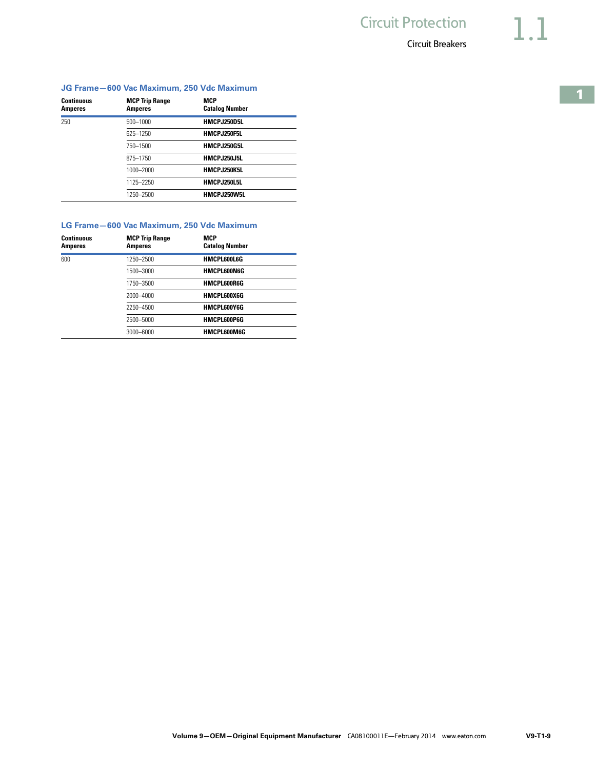|                   |                       | JG Frame-600 Vac Maximum, 250 Vdc Maximum |
|-------------------|-----------------------|-------------------------------------------|
| <b>Continuous</b> | <b>MCP Trip Range</b> | <b>MCP</b>                                |
| <b>Amperes</b>    | Amperes               | <b>Catalog Number</b>                     |

250 500–1000 **HMCPJ250D5L**

| <b>Continuous</b><br>Amperes | <b>MCP Trip Range</b><br><b>Amperes</b> | <b>MCP</b><br><b>Catalog Number</b>       |  |
|------------------------------|-----------------------------------------|-------------------------------------------|--|
|                              |                                         | LG Frame-600 Vac Maximum, 250 Vdc Maximum |  |
|                              | 1250-2500                               | HMCPJ250W5L                               |  |
|                              |                                         |                                           |  |
|                              | 1125-2250                               | HMCPJ250L5L                               |  |
|                              | 1000-2000                               | HMCPJ250K5L                               |  |
|                              | 875-1750                                | HMCPJ250J5L                               |  |
|                              | 750-1500                                | HMCPJ250G5L                               |  |
|                              | 625-1250                                | HMCPJ250F5L                               |  |
|                              |                                         |                                           |  |

| Amperes | <b>Amperes</b> | <b>Catalog Number</b> |  |
|---------|----------------|-----------------------|--|
| 600     | 1250-2500      | HMCPL600L6G           |  |
|         | 1500-3000      | <b>HMCPL600N6G</b>    |  |
|         | 1750-3500      | HMCPL600R6G           |  |
|         | 2000-4000      | HMCPL600X6G           |  |
|         | 2250-4500      | HMCPL600Y6G           |  |
|         | 2500-5000      | HMCPL600P6G           |  |
|         | 3000-6000      | HMCPL600M6G           |  |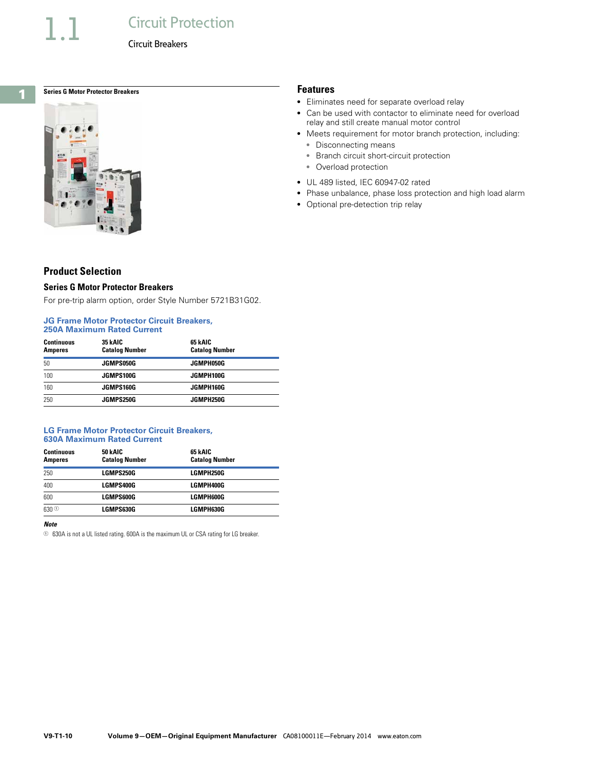# **Circuit Protection**

Circuit Breakers

<span id="page-9-0"></span>**1**

# **Series G Motor Protector Breakers Features**



# **Product Selection**

#### **Series G Motor Protector Breakers**

For pre-trip alarm option, order Style Number 5721B31G02.

#### **JG Frame Motor Protector Circuit Breakers, 250A Maximum Rated Current**

| <b>Continuous</b><br><b>Amperes</b> | 35 kAIC<br><b>Catalog Number</b> | 65 kAIC<br><b>Catalog Number</b> |  |
|-------------------------------------|----------------------------------|----------------------------------|--|
| 50                                  | JGMPS050G                        | JGMPH050G                        |  |
| 100                                 | JGMPS100G                        | JGMPH100G                        |  |
| 160                                 | JGMPS160G                        | JGMPH160G                        |  |
| 250                                 | <b>JGMPS250G</b>                 | JGMPH250G                        |  |

#### **LG Frame Motor Protector Circuit Breakers, 630A Maximum Rated Current**

| <b>Continuous</b><br><b>Amperes</b> | 50 kAIC<br><b>Catalog Number</b> | 65 kAIC<br><b>Catalog Number</b> |
|-------------------------------------|----------------------------------|----------------------------------|
| 250                                 | LGMPS250G                        | LGMPH250G                        |
| 400                                 | LGMPS400G                        | LGMPH400G                        |
| 600                                 | LGMPS600G                        | LGMPH600G                        |
| $630$ <sup>①</sup>                  | LGMPS630G                        | LGMPH630G                        |

#### *Note*

 $\circledcirc$  630A is not a UL listed rating. 600A is the maximum UL or CSA rating for LG breaker.

- Eliminates need for separate overload relay
- Can be used with contactor to eliminate need for overload relay and still create manual motor control
- Meets requirement for motor branch protection, including:
	- Disconnecting means
	- Branch circuit short-circuit protection
	- Overload protection
- UL 489 listed, IEC 60947-02 rated
- Phase unbalance, phase loss protection and high load alarm
- Optional pre-detection trip relay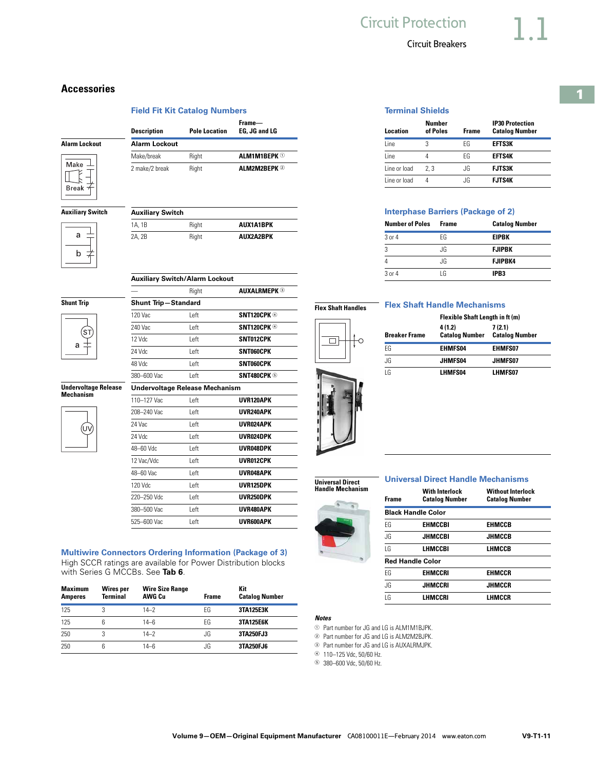# **1**

| <b>Terminal Shields</b> |  |
|-------------------------|--|
|                         |  |

| Location     | Number<br>of Poles | <b>Frame</b> | <b>IP30 Protection</b><br><b>Catalog Number</b> |
|--------------|--------------------|--------------|-------------------------------------------------|
| l ine        | 3                  | FG           | EFTS3K                                          |
| l ine        |                    | FG           | <b>EFTS4K</b>                                   |
| Line or load | 7.3                | JG.          | <b>FJTS3K</b>                                   |
| Line or load |                    | .IG          | <b>FJTS4K</b>                                   |

# **Interphase Barriers (Package of 2)**

| <b>Frame</b> | <b>Catalog Number</b> |
|--------------|-----------------------|
| FG           | <b>EIPBK</b>          |
| JG.          | <b>FJIPBK</b>         |
| JG.          | <b>FJIPBK4</b>        |
| ١G           | IPB <sub>3</sub>      |
|              |                       |

# **Flex Shaft Handles**

 $\overline{\square}$ 

### **Flex Shaft Handle Mechanisms**

|                      | Flexible Shaft Length in ft (m) |                                  |  |
|----------------------|---------------------------------|----------------------------------|--|
| <b>Breaker Frame</b> | 4(1.2)<br><b>Catalog Number</b> | 7 (2.1)<br><b>Catalog Number</b> |  |
| FG                   | EHMFS04                         | <b>EHMFS07</b>                   |  |
| JG                   | JHMFS04                         | JHMFS07                          |  |
| IG                   | LHMFS04                         | LHMFS07                          |  |

**Universal Direct Handle Mechanism**



| <b>Frame</b>   | <b>With Interlock</b><br><b>Catalog Number</b> | <b>Without Interlock</b><br><b>Catalog Number</b> |
|----------------|------------------------------------------------|---------------------------------------------------|
|                | <b>Black Handle Color</b>                      |                                                   |
| FG             | <b>FHMCCBI</b>                                 | <b>FHMCCB</b>                                     |
| .IG            | JIIMCCBI                                       | JHMCCB                                            |
| $\overline{1}$ | LHMCCBI                                        | <b>LHMCCB</b>                                     |
|                | <b>Red Handle Color</b>                        |                                                   |
| FG             | <b>EHMCCRI</b>                                 | <b>EHMCCR</b>                                     |
| .IG            | JHMCCRI                                        | JHMCCR                                            |
| ١G             | LHMCCRI                                        | LHMCCR                                            |
|                |                                                |                                                   |

# *Notes*

<sup>1</sup> Part number for JG and LG is ALM1M1BJPK.

<sup>2</sup> Part number for JG and LG is ALM2M2BJPK.

<sup>3</sup> Part number for JG and LG is AUXALRMJPK. <sup>4</sup> 110–125 Vdc, 50/60 Hz.

<sup>5</sup> 380–600 Vdc, 50/60 Hz.

# **Accessories**

#### **Field Fit Kit Catalog Numbers**

|                      | <b>Description</b>   | <b>Pole Location</b> | Frame-<br>EG. JG and LG |
|----------------------|----------------------|----------------------|-------------------------|
| <b>Alarm Lockout</b> | <b>Alarm Lockout</b> |                      |                         |
|                      | Make/break           | Right                | <b>ALM1M1BEPK 1</b>     |
| Make                 | 2 make/2 break       | Right                | <b>ALM2M2BEPK 2</b>     |

#### **Auxiliary Switch**



Make Ш  $\zeta$ **Break** 

| 1A. 1B | Right | <b>AUX1A1BPK</b> |
|--------|-------|------------------|
| 2A. 2B | Right | AUX2A2BPK        |

**Auxiliary Switch/Alarm Lockout**

**Shunt Trip—Standard**

— Right **AUXALRMEPK** <sup>3</sup>

#### **Shunt Trip**



| 120 Vac     | Left                                  | SNT120CPK 4        |
|-------------|---------------------------------------|--------------------|
| 240 Vac     | Left                                  | <b>SNT120CPK 4</b> |
| $12$ Vdc    | Left                                  | SNT012CPK          |
| 24 Vdc      | Left                                  | <b>SNT060CPK</b>   |
| 48 Vdc      | Left                                  | <b>SNT060CPK</b>   |
| 380-600 Vac | Left                                  | SNT480CPK ®        |
|             | <b>Undervoltage Release Mechanism</b> |                    |
| 110-127 Vac | Left                                  | UVR120APK          |
| 208-240 Vac | Left                                  | <b>UVR240APK</b>   |
| 24 Vac      | Left                                  | <b>UVR024APK</b>   |
| 24 Vdc      | Left                                  | <b>UVR024DPK</b>   |
| 48-60 Vdc   | Left                                  | UVR048DPK          |
| 12 Vac/Vdc  | Left                                  | <b>UVR012CPK</b>   |
| 48-60 Vac   | Left                                  | UVR048APK          |
| 120 Vdc     | Left                                  | UVR125DPK          |
| 220-250 Vdc | Left                                  | UVR250DPK          |
| 380-500 Vac | Left                                  | UVR480APK          |

525–600 Vac Left **UVR600APK**

#### **Multiwire Connectors Ordering Information (Package of 3)**

High SCCR ratings are available for Power Distribution blocks with Series G MCCBs. See **Tab 6**.

| <b>Maximum</b><br><b>Amperes</b> | <b>Wires per</b><br>Terminal | <b>Wire Size Range</b><br>AWG Cu | <b>Frame</b> | Kit<br><b>Catalog Number</b> |
|----------------------------------|------------------------------|----------------------------------|--------------|------------------------------|
| 125                              |                              | $14 - 2$                         | FG           | 3TA125E3K                    |
| 125                              | 6                            | 14-6                             | FG           | <b>3TA125E6K</b>             |
| 250                              |                              | $14 - 2$                         | JG           | 3TA250FJ3                    |
| 250                              | հ                            | 14-6                             | JG.          | 3TA250FJ6                    |

**Undervoltage Release Mechanism**





| 4               |
|-----------------|
| 3 or 4          |
|                 |
| <b>Flex Sha</b> |
|                 |

|           | <b>Shaft Handle Mechanisms</b>  |                                      |
|-----------|---------------------------------|--------------------------------------|
|           | Flexible Shaft Length in ft (m) |                                      |
|           | 4 (1.2)                         | 7(2.1)                               |
| cer Frame |                                 | <b>Catalog Number Catalog Number</b> |
|           |                                 |                                      |

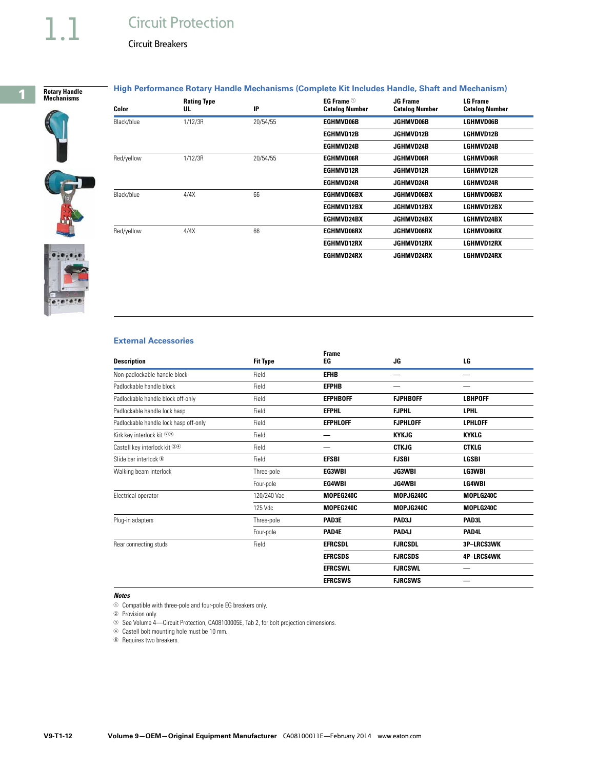# **Circuit Protection**

Circuit Breakers



#### **High Performance Rotary Handle Mechanisms (Complete Kit Includes Handle, Shaft and Mechanism)**



 $-0.00$ 

| Color      | <b>Rating Type</b><br>UL | IP       | EG Frame $①$<br><b>Catalog Number</b> | <b>JG Frame</b><br><b>Catalog Number</b> | <b>LG Frame</b><br><b>Catalog Number</b> |
|------------|--------------------------|----------|---------------------------------------|------------------------------------------|------------------------------------------|
| Black/blue | 1/12/3R                  | 20/54/55 | <b>EGHMVD06B</b>                      | <b>JGHMVD06B</b>                         | LGHMVD06B                                |
|            |                          |          | <b>EGIIMVD12B</b>                     | JGHMVD12B                                | LGHMVD12B                                |
|            |                          |          | EGHMVD24B                             | JGHMVD24B                                | LGHMVD24B                                |
| Red/yellow | 1/12/3R                  | 20/54/55 | <b>EGHMVD06R</b>                      | <b>JGHMVD06R</b>                         | <b>LGHMVD06R</b>                         |
|            |                          |          | <b>EGHMVD12R</b>                      | <b>JGHMVD12R</b>                         | <b>LGHMVD12R</b>                         |
|            |                          |          | <b>EGHMVD24R</b>                      | JGHMVD24R                                | LGHMVD24R                                |
| Black/blue | 4/4X                     | 66       | <b>EGHMVD06BX</b>                     | <b>JGHMVD06BX</b>                        | LGHMVD06BX                               |
|            |                          |          | EGHMVD12BX                            | JGHMVD12BX                               | LGHMVD12BX                               |
|            |                          |          | EGIIMVD24BX                           | JGHMVD24BX                               | LGHMVD24BX                               |
| Red/yellow | 4/4X                     | 66       | <b>EGHMVD06RX</b>                     | <b>JGHMVD06RX</b>                        | LGHMVD06RX                               |
|            |                          |          | <b>EGHMVD12RX</b>                     | <b>JGHMVD12RX</b>                        | LGHMVD12RX                               |
|            |                          |          | EGHMVD24RX                            | JGHMVD24RX                               | LGHMVD24RX                               |



| <b>Description</b>                    | <b>Fit Type</b> | <b>Frame</b><br>EG | JG              | LG             |
|---------------------------------------|-----------------|--------------------|-----------------|----------------|
| Non-padlockable handle block          | Field           | <b>EFIIB</b>       |                 |                |
| Padlockable handle block              | Field           | <b>EFPHB</b>       |                 |                |
| Padlockable handle block off-only     | Field           | <b>EFPHBOFF</b>    | <b>FJPHBOFF</b> | <b>LBHPOFF</b> |
| Padlockable handle lock hasp          | Field           | <b>EFPHL</b>       | <b>FJPHL</b>    | <b>LPHL</b>    |
| Padlockable handle lock hasp off-only | Field           | <b>EFPHLOFF</b>    | <b>FJPHLOFF</b> | <b>LPHLOFF</b> |
| Kirk key interlock kit 23             | Field           |                    | <b>KYKJG</b>    | <b>KYKLG</b>   |
| Castell key interlock kit 34          | Field           |                    | <b>CTKJG</b>    | <b>CTKLG</b>   |
| Slide bar interlock <sup>®</sup>      | Field           | <b>EFSBI</b>       | <b>FJSBI</b>    | <b>LGSBI</b>   |
| Walking beam interlock                | Three-pole      | EG3WBI             | <b>JG3WBI</b>   | LG3WBI         |
|                                       | Four-pole       | EG4WBI             | <b>JG4WBI</b>   | <b>LG4WBI</b>  |
| Electrical operator                   | 120/240 Vac     | MOPEG240C          | MOPJG240C       | MOPLG240C      |
|                                       | 125 Vdc         | MOPEG240C          | MOPJG240C       | MOPLG240C      |
| Plug-in adapters                      | Three-pole      | PAD3E              | PAD3J           | PAD3L          |
|                                       | Four-pole       | PAD4E              | PAD4J           | PAD4L          |
| Rear connecting studs                 | Field           | <b>EFRCSDL</b>     | <b>FJRCSDL</b>  | 3P-LRCS3WK     |
|                                       |                 | <b>EFRCSDS</b>     | <b>FJRCSDS</b>  | 4P-LRCS4WK     |
|                                       |                 | <b>EFRCSWL</b>     | <b>FJRCSWL</b>  |                |
|                                       |                 | <b>EFRCSWS</b>     | <b>FJRCSWS</b>  |                |

#### *Notes*

 $\odot$  Compatible with three-pole and four-pole EG breakers only.

<sup>2</sup> Provision only.

<sup>3</sup> See Volume 4—Circuit Protection, CA08100005E, Tab 2, for bolt projection dimensions.

<sup>4</sup> Castell bolt mounting hole must be 10 mm.

<sup>6</sup> Requires two breakers.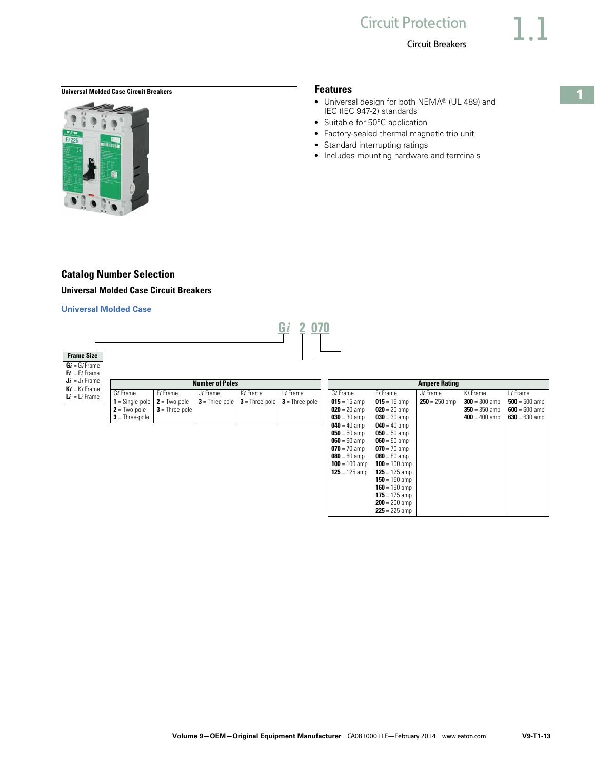# <span id="page-12-0"></span>**Universal Molded Case Circuit Breakers Features**

# **Catalog Number Selection Universal Molded Case Circuit Breakers**

#### **Universal Molded Case**

| <b>Frame Size</b> |                      |          |                        |             |          |  |  |
|-------------------|----------------------|----------|------------------------|-------------|----------|--|--|
|                   |                      |          |                        |             |          |  |  |
| $Gi = Gi$ Frame   |                      |          |                        |             |          |  |  |
| $Fi = Fi$ Frame   |                      |          |                        |             |          |  |  |
| $Ji = Ji$ Frame   |                      |          | <b>Number of Poles</b> |             |          |  |  |
| $Ki = Ki$ Frame   |                      |          |                        |             |          |  |  |
| $Li = Li$ Frame   | Gi Frame             | Fi Frame | $J_i$ Frame            | Ki Frame    | Li Frame |  |  |
|                   | $\sim$ $\sim$ $\sim$ |          | $-1$                   | —<br>$\sim$ | —        |  |  |

| Gi Frame                                           | $F_i$ Frame                               | Ji Frame                                                          | Ki Frame | Li Frame |
|----------------------------------------------------|-------------------------------------------|-------------------------------------------------------------------|----------|----------|
| <b>1</b> = Single-pole $\vert$ <b>2</b> = Two-pole |                                           | <b>3</b> = Three-pole <b>3</b> = Three-pole <b>3</b> = Three-pole |          |          |
| $2$ = Two-pole                                     | $3$ = Three-pole $\overline{\phantom{a}}$ |                                                                   |          |          |
| $3$ = Three-pole                                   |                                           |                                                                   |          |          |

|                 | <b>Ampere Rating</b> |                 |                 |                 |  |  |
|-----------------|----------------------|-----------------|-----------------|-----------------|--|--|
| Gi Frame        | Fi Frame             | Ji Frame        | Ki Frame        | Li Frame        |  |  |
| $015 = 15$ amp  | $015 = 15$ amp       | $250 = 250$ amp | $300 = 300$ amp | $500 = 500$ amp |  |  |
| $020 = 20$ amp  | $020 = 20$ amp       |                 | $350 = 350$ amp | $600 = 600$ amp |  |  |
| $030 = 30$ amp  | $030 = 30$ amp       |                 | $400 = 400$ amp | $630 = 630$ amp |  |  |
| $040 = 40$ amp  | $040 = 40$ amp       |                 |                 |                 |  |  |
| $050 = 50$ amp  | $050 = 50$ amp       |                 |                 |                 |  |  |
| $060 = 60$ amp  | $060 = 60$ amp       |                 |                 |                 |  |  |
| $070 = 70$ amp  | $070 = 70$ amp       |                 |                 |                 |  |  |
| $080 = 80$ amp  | $080 = 80$ amp       |                 |                 |                 |  |  |
| $100 = 100$ amp | $100 = 100$ amp      |                 |                 |                 |  |  |
| $125 = 125$ amp | $125 = 125$ amp      |                 |                 |                 |  |  |
|                 | $150 = 150$ amp      |                 |                 |                 |  |  |
|                 | $160 = 160$ amp      |                 |                 |                 |  |  |
|                 | <b>175</b> = 175 amp |                 |                 |                 |  |  |
|                 | $200 = 200$ amp      |                 |                 |                 |  |  |
|                 | $225 = 225$ amp      |                 |                 |                 |  |  |

- Universal design for both NEMA® (UL 489) and IEC (IEC 947-2) standards
- Suitable for 50°C application
- Factory-sealed thermal magnetic trip unit
- Standard interrupting ratings
- Includes mounting hardware and terminals



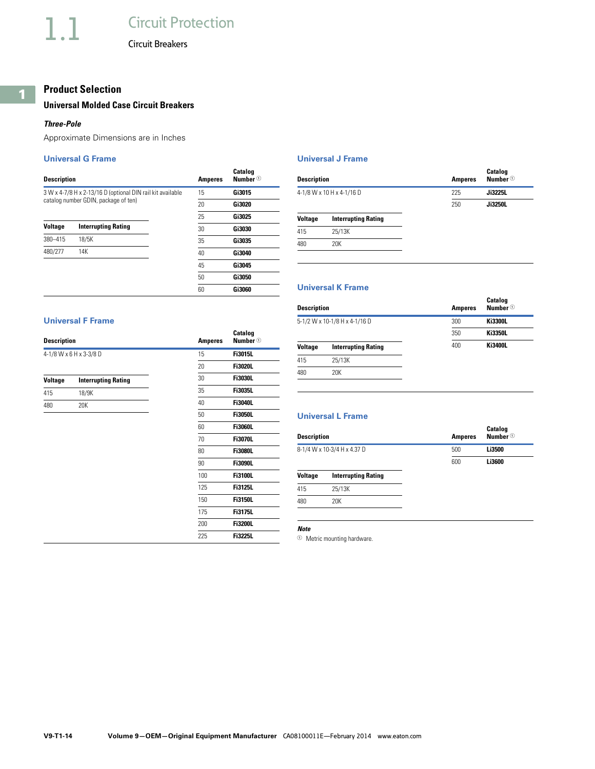# **Product Selection**

### **Universal Molded Case Circuit Breakers**

#### *Three-Pole*

Approximate Dimensions are in Inches

#### **Universal G Frame**

| <b>Description</b>                   |                                                            | <b>Amperes</b> | Catalog<br><b>Number</b> <sup>①</sup> |
|--------------------------------------|------------------------------------------------------------|----------------|---------------------------------------|
|                                      | 3 W x 4-7/8 H x 2-13/16 D (optional DIN rail kit available | 15             | Gi3015                                |
| catalog number GDIN, package of ten) |                                                            | 20             | Gi3020                                |
|                                      |                                                            | 25             | Gi3025                                |
| <b>Voltage</b>                       | <b>Interrupting Rating</b>                                 |                | Gi3030                                |
| 380-415                              | 18/5K                                                      | 35             | Gi3035                                |
| 480/277                              | 14K                                                        | 40             | Gi3040                                |
|                                      |                                                            | 45             | Gi3045                                |
|                                      |                                                            | 50             | Gi3050                                |
|                                      |                                                            | 60             | Gi3060                                |

#### **Universal J Frame**

| Description |                            | <b>Amperes</b> | Catalog<br><b>Number</b> <sup>1</sup> |
|-------------|----------------------------|----------------|---------------------------------------|
|             | 4-1/8 W x 10 H x 4-1/16 D  | 225            | Ji3225L                               |
|             |                            | 250            | Ji3250L                               |
| Voltage     | <b>Interrupting Rating</b> |                |                                       |
| 415         | 25/13K                     |                |                                       |
| 480         | 20K                        |                |                                       |
|             |                            |                |                                       |

### **Universal K Frame**

#### **Universal F Frame**

| <b>Description</b> |                            | <b>Amperes</b> | Catalog<br>Number $\mathbf{\Phi}$ |
|--------------------|----------------------------|----------------|-----------------------------------|
|                    | 4-1/8 W x 6 H x 3-3/8 D    | 15             | <b>Fi3015L</b>                    |
|                    |                            | 20             | <b>Fi3020L</b>                    |
| Voltage            | <b>Interrupting Rating</b> | 30             | <b>Fi3030L</b>                    |
| 415                | 18/9K                      | 35             | <b>Fi3035L</b>                    |
| 480                | 20K                        | 40             | <b>Fi3040L</b>                    |
|                    |                            | 50             | <b>Fi3050L</b>                    |
|                    |                            | 60             | <b>Fi3060L</b>                    |
|                    |                            | 70             | <b>Fi3070L</b>                    |
|                    |                            | 80             | <b>Fi3080L</b>                    |
|                    |                            | 90             | <b>Fi3090L</b>                    |
|                    |                            | 100            | <b>Fi3100L</b>                    |
|                    |                            | 125            | <b>Fi3125L</b>                    |
|                    |                            | 150            | <b>Fi3150L</b>                    |
|                    |                            | 175            | <b>Fi3175L</b>                    |
|                    |                            | 200            | <b>Fi3200L</b>                    |
|                    |                            | 225            | <b>Fi3225L</b>                    |

| Description |                               | <b>Amperes</b> | Number $\circledcirc$ |
|-------------|-------------------------------|----------------|-----------------------|
|             | 5-1/2 W x 10-1/8 H x 4-1/16 D | 300            | <b>Ki3300L</b>        |
|             |                               | 350            | <b>Ki3350L</b>        |
| Voltage     | <b>Interrupting Rating</b>    | 400            | <b>Ki3400L</b>        |
| 415         | 25/13K                        |                |                       |
| 480         | 20K                           |                |                       |
|             |                               |                |                       |

**Catalog** 

# **Universal L Frame**

| Description |                             | <b>Amperes</b> | <b>Catalog</b><br><b>Number</b> <sup>①</sup> |  |
|-------------|-----------------------------|----------------|----------------------------------------------|--|
|             | 8-1/4 W x 10-3/4 H x 4.37 D | 500            | Li3500                                       |  |
|             |                             | 600            | Li3600                                       |  |
| Voltage     | <b>Interrupting Rating</b>  |                |                                              |  |
| 415         | 25/13K                      |                |                                              |  |
| 480         | 20K                         |                |                                              |  |
|             |                             |                |                                              |  |

## *Note*

<sup>1</sup> Metric mounting hardware.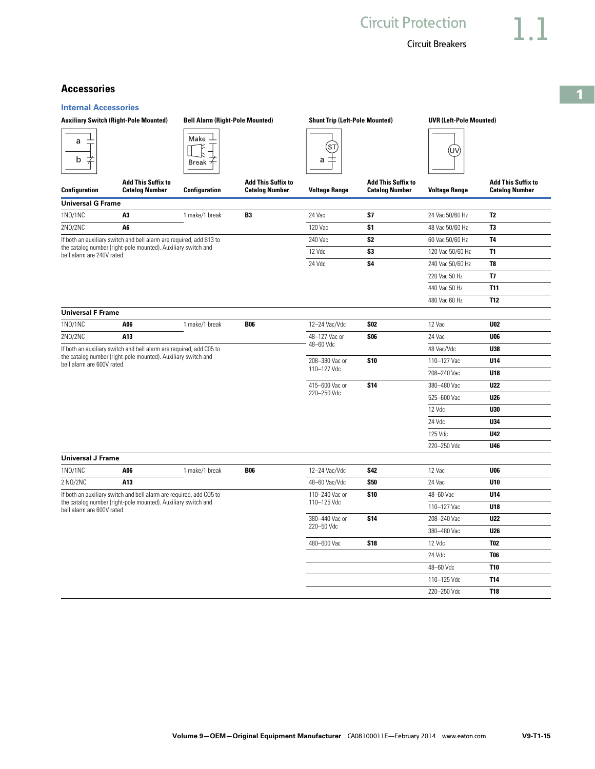**1**

# **Accessories**

| <b>Internal Accessories</b> |
|-----------------------------|
|                             |

|                            | <b>Auxiliary Switch (Right-Pole Mounted)</b>                        |                      | <b>Bell Alarm (Right-Pole Mounted)</b>             |                      | <b>Shunt Trip (Left-Pole Mounted)</b>              |                      | <b>UVR (Left-Pole Mounted)</b>                     |  |
|----------------------------|---------------------------------------------------------------------|----------------------|----------------------------------------------------|----------------------|----------------------------------------------------|----------------------|----------------------------------------------------|--|
| a<br>b                     |                                                                     | Make<br><b>Break</b> |                                                    | SΤ<br>а              |                                                    | UV)                  |                                                    |  |
| Configuration              | <b>Add This Suffix to</b><br><b>Catalog Number</b>                  | <b>Configuration</b> | <b>Add This Suffix to</b><br><b>Catalog Number</b> | <b>Voltage Range</b> | <b>Add This Suffix to</b><br><b>Catalog Number</b> | <b>Voltage Range</b> | <b>Add This Suffix to</b><br><b>Catalog Number</b> |  |
| <b>Universal G Frame</b>   |                                                                     |                      |                                                    |                      |                                                    |                      |                                                    |  |
| 1N0/1NC                    | A3                                                                  | 1 make/1 break       | <b>B3</b>                                          | 24 Vac               | <b>S7</b>                                          | 24 Vac 50/60 Hz      | T <sub>2</sub>                                     |  |
| 2N0/2NC                    | A6                                                                  |                      |                                                    | 120 Vac              | S <sub>1</sub>                                     | 48 Vac 50/60 Hz      | T3                                                 |  |
|                            | If both an auxiliary switch and bell alarm are required, add B13 to |                      |                                                    | 240 Vac              | S <sub>2</sub>                                     | 60 Vac 50/60 Hz      | <b>T4</b>                                          |  |
| bell alarm are 240V rated. | the catalog number (right-pole mounted). Auxiliary switch and       |                      |                                                    | 12 Vdc               | S <sub>3</sub>                                     | 120 Vac 50/60 Hz     | T <sub>1</sub>                                     |  |
|                            |                                                                     |                      |                                                    | 24 Vdc               | <b>S4</b>                                          | 240 Vac 50/60 Hz     | T <sub>8</sub>                                     |  |
|                            |                                                                     |                      |                                                    |                      |                                                    | 220 Vac 50 Hz        | T7                                                 |  |
|                            |                                                                     |                      |                                                    |                      |                                                    | 440 Vac 50 Hz        | <b>T11</b>                                         |  |
|                            |                                                                     |                      |                                                    |                      |                                                    | 480 Vac 60 Hz        | <b>T12</b>                                         |  |
| <b>Universal F Frame</b>   |                                                                     |                      |                                                    |                      |                                                    |                      |                                                    |  |
| 1N0/1NC                    | A06                                                                 | 1 make/1 break       | <b>B06</b>                                         | 12-24 Vac/Vdc        | <b>S02</b>                                         | 12 Vac               | <b>U02</b>                                         |  |
| 2N0/2NC                    | A13                                                                 |                      |                                                    | 48-127 Vac or        | <b>S06</b>                                         | 24 Vac               | <b>U06</b>                                         |  |
|                            | If both an auxiliary switch and bell alarm are required, add C05 to |                      |                                                    | 48-60 Vdc            |                                                    | 48 Vac/Vdc           | U38                                                |  |
| bell alarm are 600V rated. | the catalog number (right-pole mounted). Auxiliary switch and       |                      |                                                    | 208-380 Vac or       | <b>S10</b>                                         | 110-127 Vac          | U14                                                |  |
|                            |                                                                     |                      |                                                    | 110-127 Vdc          |                                                    | 208-240 Vac          | U18                                                |  |
|                            |                                                                     |                      |                                                    | 415-600 Vac or       | <b>S14</b>                                         | 380-480 Vac          | <b>U22</b>                                         |  |
|                            |                                                                     |                      |                                                    | 220-250 Vdc          |                                                    | 525-600 Vac          | <b>U26</b>                                         |  |
|                            |                                                                     |                      |                                                    |                      |                                                    | 12 Vdc               | U30                                                |  |
|                            |                                                                     |                      |                                                    |                      |                                                    | 24 Vdc               | U34                                                |  |
|                            |                                                                     |                      |                                                    |                      |                                                    | 125 Vdc              | U42                                                |  |
|                            |                                                                     |                      |                                                    |                      |                                                    | 220-250 Vdc          | U46                                                |  |
| <b>Universal J Frame</b>   |                                                                     |                      |                                                    |                      |                                                    |                      |                                                    |  |
| 1N0/1NC                    | A06                                                                 | 1 make/1 break       | <b>B06</b>                                         | 12-24 Vac/Vdc        | <b>S42</b>                                         | 12 Vac               | <b>U06</b>                                         |  |
| 2 NO/2NC                   | A13                                                                 |                      |                                                    | 48-60 Vac/Vdc        | <b>S50</b>                                         | 24 Vac               | U10                                                |  |
|                            | If both an auxiliary switch and bell alarm are required, add CO5 to |                      |                                                    | 110-240 Vac or       | <b>S10</b>                                         | 48-60 Vac            | U14                                                |  |
| bell alarm are 600V rated. | the catalog number (right-pole mounted). Auxiliary switch and       |                      |                                                    | 110-125 Vdc          |                                                    | 110-127 Vac          | U18                                                |  |
|                            |                                                                     |                      |                                                    | 380-440 Vac or       | <b>S14</b>                                         | 208-240 Vac          | <b>U22</b>                                         |  |
|                            |                                                                     |                      |                                                    | 220-50 Vdc           |                                                    | 380-480 Vac          | <b>U26</b>                                         |  |
|                            |                                                                     |                      |                                                    | 480-600 Vac          | <b>S18</b>                                         | 12 Vdc               | <b>T02</b>                                         |  |
|                            |                                                                     |                      |                                                    |                      | 24 Vdc                                             | <b>T06</b>           |                                                    |  |
|                            |                                                                     |                      |                                                    |                      |                                                    | 48-60 Vdc            | <b>T10</b>                                         |  |
|                            |                                                                     |                      |                                                    |                      |                                                    | 110-125 Vdc          | <b>T14</b>                                         |  |
|                            |                                                                     |                      |                                                    |                      |                                                    | 220-250 Vdc          | <b>T18</b>                                         |  |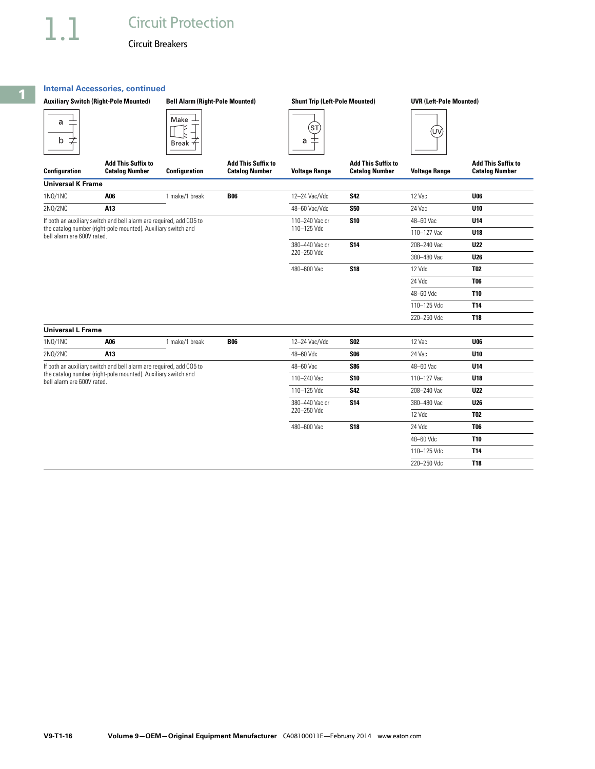#### **Internal Accessories, continued**

|                            | <b>Auxiliary Switch (Right-Pole Mounted)</b>                        | <b>Bell Alarm (Right-Pole Mounted)</b> |                                                    | <b>Shunt Trip (Left-Pole Mounted)</b> |                                                    | <b>UVR (Left-Pole Mounted)</b> |                                                    |
|----------------------------|---------------------------------------------------------------------|----------------------------------------|----------------------------------------------------|---------------------------------------|----------------------------------------------------|--------------------------------|----------------------------------------------------|
| a<br>b<br>≭                |                                                                     | Make<br><b>Break</b>                   |                                                    | ŚΤ,<br>士<br>а                         |                                                    | (UV                            |                                                    |
| <b>Configuration</b>       | <b>Add This Suffix to</b><br><b>Catalog Number</b>                  | <b>Configuration</b>                   | <b>Add This Suffix to</b><br><b>Catalog Number</b> | <b>Voltage Range</b>                  | <b>Add This Suffix to</b><br><b>Catalog Number</b> | <b>Voltage Range</b>           | <b>Add This Suffix to</b><br><b>Catalog Number</b> |
| <b>Universal K Frame</b>   |                                                                     |                                        |                                                    |                                       |                                                    |                                |                                                    |
| 1N0/1NC                    | A06                                                                 | 1 make/1 break                         | <b>B06</b>                                         | 12-24 Vac/Vdc                         | <b>S42</b>                                         | 12 Vac                         | <b>U06</b>                                         |
| 2N0/2NC                    | A13                                                                 |                                        |                                                    | 48-60 Vac/Vdc                         | <b>S50</b>                                         | 24 Vac                         | U <sub>10</sub>                                    |
|                            | If both an auxiliary switch and bell alarm are required, add CO5 to |                                        |                                                    | 110-240 Vac or                        | <b>S10</b>                                         | 48-60 Vac                      | U14                                                |
| bell alarm are 600V rated. | the catalog number (right-pole mounted). Auxiliary switch and       |                                        |                                                    | 110-125 Vdc                           |                                                    | 110-127 Vac                    | U18                                                |
|                            |                                                                     |                                        |                                                    | 380-440 Vac or<br><b>S14</b>          | 208-240 Vac                                        | <b>U22</b>                     |                                                    |
|                            |                                                                     |                                        |                                                    | 220-250 Vdc                           |                                                    | 380-480 Vac                    | <b>U26</b>                                         |
|                            |                                                                     |                                        |                                                    | 480-600 Vac                           | <b>S18</b>                                         | 12 Vdc                         | <b>T02</b>                                         |
|                            |                                                                     |                                        |                                                    |                                       |                                                    | 24 Vdc                         | <b>T06</b>                                         |
|                            |                                                                     |                                        |                                                    |                                       |                                                    | 48-60 Vdc                      | <b>T10</b>                                         |
|                            |                                                                     |                                        |                                                    |                                       |                                                    | 110-125 Vdc                    | <b>T14</b>                                         |
|                            |                                                                     |                                        |                                                    |                                       |                                                    | 220-250 Vdc                    | <b>T18</b>                                         |
| <b>Universal L Frame</b>   |                                                                     |                                        |                                                    |                                       |                                                    |                                |                                                    |
| 1N0/1NC                    | A06                                                                 | 1 make/1 break                         | <b>B06</b>                                         | 12-24 Vac/Vdc                         | <b>S02</b>                                         | 12 Vac                         | <b>U06</b>                                         |
| 2N0/2NC                    | A13                                                                 |                                        |                                                    | 48-60 Vdc                             | <b>SO6</b>                                         | 24 Vac                         | U <sub>10</sub>                                    |
|                            | If both an auxiliary switch and bell alarm are required, add CO5 to |                                        |                                                    | 48-60 Vac                             | <b>S86</b>                                         | 48-60 Vac                      | U <sub>14</sub>                                    |
|                            | the catalog number (right-pole mounted). Auxiliary switch and       |                                        |                                                    | $110 - 240$ Vac                       | \$10                                               | 110-127 Vac                    | 1118                                               |

bell alarm are 600V rated. 110–240 Vac **S10** 110–127 Vac **U18** 110–125 Vdc **S42** 208–240 Vac **U22** 380–440 Vac or 220–250 Vdc **S14** 380–480 Vac **U26** 12 Vdc **T02** 480–600 Vac **S18** 24 Vdc **T06** 48–60 Vdc **T10** 110–125 Vdc **T14** 220–250 Vdc **T18**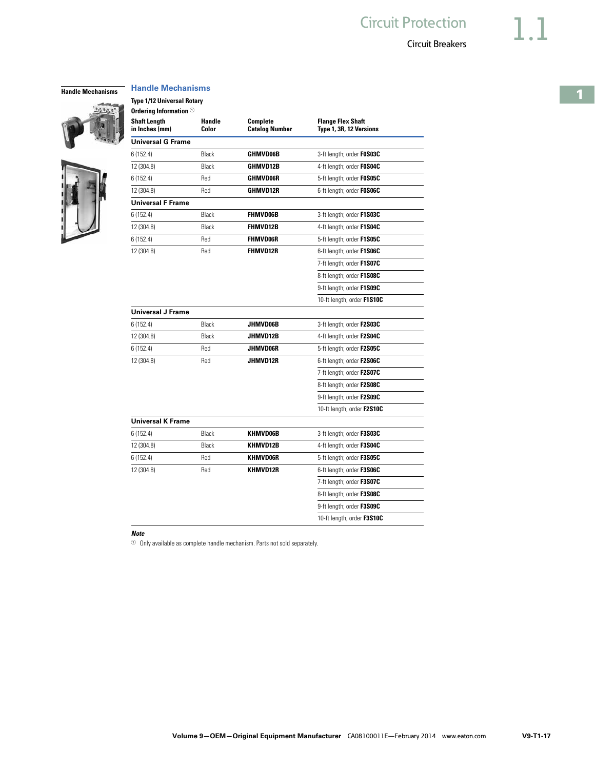#### **Handle Mechanisms Handle Mechanisms**

**Type 1/12 Universal Rotary Ordering Information** <sup>1</sup>



 $22020$ 

| <b>Shaft Length</b><br>in Inches (mm) | Handle<br>Color | <b>Complete</b><br><b>Catalog Number</b> | <b>Flange Flex Shaft</b><br>Type 1, 3R, 12 Versions |
|---------------------------------------|-----------------|------------------------------------------|-----------------------------------------------------|
| <b>Universal G Frame</b>              |                 |                                          |                                                     |
| 6(152.4)                              | Black           | <b>GHMVD06B</b>                          | 3-ft length; order FOS03C                           |
| 12 (304.8)                            | Black           | GHMVD12B                                 | 4-ft length; order FOS04C                           |
| 6(152.4)                              | Red             | <b>GHMVD06R</b>                          | 5-ft length; order FOSO5C                           |
| 12 (304.8)                            | Red             | <b>GHMVD12R</b>                          | 6-ft length; order FOSO6C                           |
| <b>Universal F Frame</b>              |                 |                                          |                                                     |
| 6(152.4)                              | Black           | <b>FHMVD06B</b>                          | 3-ft length; order F1S03C                           |
| 12 (304.8)                            | Black           | <b>FHMVD12B</b>                          | 4-ft length; order F1S04C                           |
| 6(152.4)                              | Red             | <b>FHMVD06R</b>                          | 5-ft length; order <b>F1S05C</b>                    |
| 12 (304.8)                            | Red             | <b>FHMVD12R</b>                          | 6-ft length; order F1S06C                           |
|                                       |                 |                                          | 7-ft length; order F1S07C                           |
|                                       |                 |                                          | 8-ft length; order F1S08C                           |
|                                       |                 |                                          | 9-ft length; order F1S09C                           |
|                                       |                 |                                          | 10-ft length; order F1S10C                          |
| <b>Universal J Frame</b>              |                 |                                          |                                                     |
| 6(152.4)                              | Black           | JHMVD06B                                 | 3-ft length; order F2S03C                           |
| 12 (304.8)                            | Black           | JHMVD12B                                 | 4-ft length; order F2S04C                           |
| 6(152.4)                              | Red             | <b>JHMVD06R</b>                          | 5-ft length; order F2S05C                           |
| 12 (304.8)                            | Red             | JHMVD12R                                 | 6-ft length; order F2S06C                           |
|                                       |                 |                                          | 7-ft length; order F2S07C                           |
|                                       |                 |                                          | 8-ft length; order F2S08C                           |
|                                       |                 |                                          | 9-ft length; order F2S09C                           |
|                                       |                 |                                          | 10-ft length; order F2S10C                          |
| <b>Universal K Frame</b>              |                 |                                          |                                                     |
| 6(152.4)                              | Black           | KHMVD06B                                 | 3-ft length; order F3S03C                           |
| 12 (304.8)                            | Black           | KHMVD12B                                 | 4-ft length; order F3S04C                           |
| 6(152.4)                              | Red             | <b>KHMVD06R</b>                          | 5-ft length; order F3S05C                           |
| 12 (304.8)                            | Red             | KHMVD12R                                 | 6-ft length; order F3S06C                           |
|                                       |                 |                                          | 7-ft length; order F3S07C                           |
|                                       |                 |                                          | 8-ft length; order F3S08C                           |
|                                       |                 |                                          | 9-ft length; order F3S09C                           |
|                                       |                 |                                          | 10-ft length; order <b>F3S10C</b>                   |

#### *Note*

 $0$  Only available as complete handle mechanism. Parts not sold separately.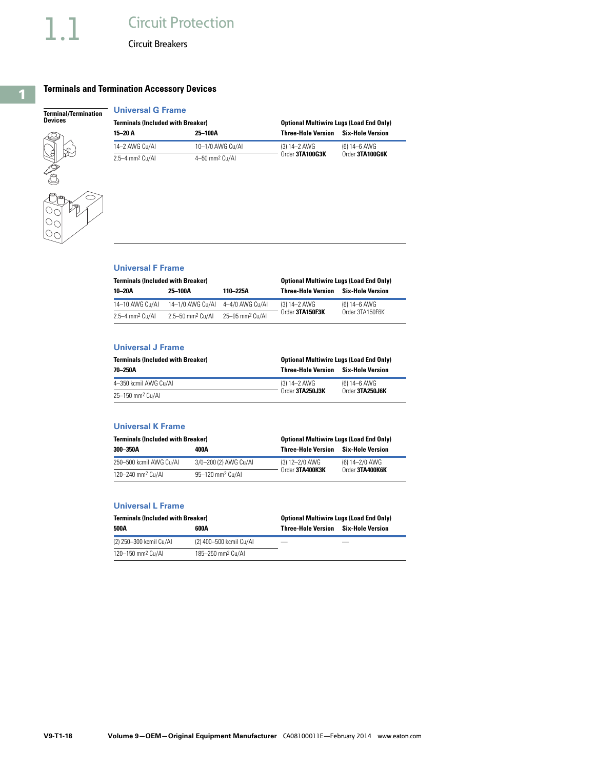# **Terminals and Termination Accessory Devices**

| <b>Terminal/Terminat</b><br><b>Devices</b> |
|--------------------------------------------|
|                                            |

| tion | <b>Universal G Frame</b>                 |                            |                                                |                 |
|------|------------------------------------------|----------------------------|------------------------------------------------|-----------------|
|      | <b>Terminals (Included with Breaker)</b> |                            | <b>Optional Multiwire Lugs (Load End Only)</b> |                 |
|      | 15-20 A                                  | 25-100A                    | <b>Three-Hole Version Six-Hole Version</b>     |                 |
|      | 14-2 AWG Cu/AI                           | 10-1/0 AWG Cu/AI           | $(3) 14 - 2$ AWG                               | (6) 14-6 AWG    |
|      | 2.5-4 mm <sup>2</sup> Cu/Al              | 4-50 mm <sup>2</sup> Cu/AI | Order 3TA100G3K                                | Order 3TA100G6K |



|               | <b>Universal F Frame</b>                 |                 |                                                |
|---------------|------------------------------------------|-----------------|------------------------------------------------|
|               | <b>Terminals (Included with Breaker)</b> |                 | <b>Optional Multiwire Lugs (Load End Only)</b> |
| $\sim$ $\sim$ | <b>OF 4008</b>                           | <b>440 00FA</b> |                                                |

| $10-20A$                    | 25-100A                      | 110-225A                    | <b>Three-Hole Version</b> | Six-Hole Version |  |
|-----------------------------|------------------------------|-----------------------------|---------------------------|------------------|--|
| 14-10 AWG Cu/AI             | 14-1/0 AWG Cu/AI             | 4–4/0 AWG Cu/AI             | (3) 14-2 AWG              | (6) 14-6 AWG     |  |
| 2.5–4 mm <sup>2</sup> Cu/Al | 2.5-50 mm <sup>2</sup> Cu/AI | 25-95 mm <sup>2</sup> Cu/AI | Order 3TA150F3K           | Order 3TA150F6K  |  |

#### **Universal J Frame**

| <b>Terminals (Included with Breaker)</b> | <b>Optional Multiwire Lugs (Load End Only)</b> |                  |  |
|------------------------------------------|------------------------------------------------|------------------|--|
| 70–250A                                  | Three-Hole Version                             | Six-Hole Version |  |
| 4-350 kcmil AWG Cu/Al                    | (3) 14-2 AWG                                   | (6) 14-6 AWG     |  |
| 25-150 mm <sup>2</sup> Cu/Al             | Order 3TA250J3K                                | Order 3TA250J6K  |  |

#### **Universal K Frame**

| <b>Terminals (Included with Breaker)</b> |                              | <b>Optional Multiwire Lugs (Load End Only)</b> |                         |  |
|------------------------------------------|------------------------------|------------------------------------------------|-------------------------|--|
| 400A<br>300-350A                         |                              | <b>Three-Hole Version</b>                      | <b>Six-Hole Version</b> |  |
| 250-500 kcmil AWG Cu/AI                  | 3/0-200 (2) AWG Cu/AI        | $(3) 12 - 2/0$ AWG                             | (6) 14-2/0 AWG          |  |
| 120-240 mm <sup>2</sup> Cu/Al            | 95-120 mm <sup>2</sup> Cu/AI | Order 3TA400K3K                                | Order 3TA400K6K         |  |

#### **Universal L Frame**

| <b>Terminals (Included with Breaker)</b> |                               | <b>Optional Multiwire Lugs (Load End Only)</b> |  |  |
|------------------------------------------|-------------------------------|------------------------------------------------|--|--|
| 500A                                     | 600A                          | <b>Three-Hole Version Six-Hole Version</b>     |  |  |
| (2) 250-300 kcmil Cu/Al                  | (2) 400-500 kcmil Cu/Al       |                                                |  |  |
| 120-150 mm <sup>2</sup> Cu/Al            | 185-250 mm <sup>2</sup> Cu/Al |                                                |  |  |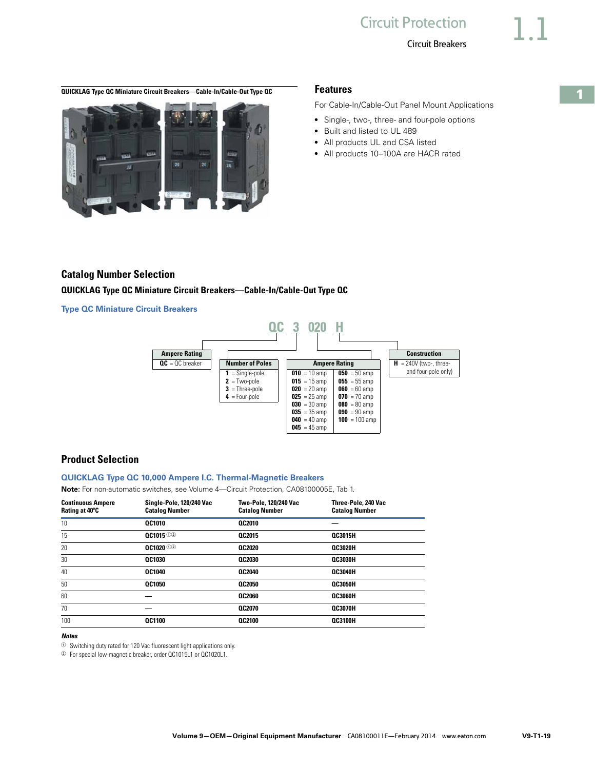<span id="page-18-0"></span>**QUICKLAG Type QC Miniature Circuit Breakers—Cable-In/Cable-Out Type QC Features**



For Cable-In/Cable-Out Panel Mount Applications

- Single-, two-, three- and four-pole options
- Built and listed to UL 489
- All products UL and CSA listed
- All products 10-100A are HACR rated

### **Catalog Number Selection**

#### **QUICKLAG Type QC Miniature Circuit Breakers—Cable-In/Cable-Out Type QC**

**Type QC Miniature Circuit Breakers** 



# **Product Selection**

#### **QUICKLAG Type QC 10,000 Ampere I.C. Thermal-Magnetic Breakers**

**Note:** For non-automatic switches, see Volume 4—Circuit Protection, CA08100005E, Tab 1.

| <b>Continuous Ampere</b><br>Rating at 40°C | Single-Pole, 120/240 Vac<br><b>Catalog Number</b> | Two-Pole, 120/240 Vac<br><b>Catalog Number</b> | Three-Pole, 240 Vac<br><b>Catalog Number</b> |
|--------------------------------------------|---------------------------------------------------|------------------------------------------------|----------------------------------------------|
| 10                                         | <b>QC1010</b>                                     | QC2010                                         |                                              |
| 15                                         | 00101500                                          | <b>QC2015</b>                                  | <b>QC3015H</b>                               |
| 20                                         | $0C1020$ 02                                       | QC2020                                         | <b>QC3020H</b>                               |
| 30                                         | <b>QC1030</b>                                     | QC2030                                         | <b>QC3030H</b>                               |
| 40                                         | <b>QC1040</b>                                     | <b>QC2040</b>                                  | <b>OC3040H</b>                               |
| 50                                         | <b>0C1050</b>                                     | QC2050                                         | <b>QC3050H</b>                               |
| 60                                         |                                                   | QC2060                                         | <b>QC3060H</b>                               |
| 70                                         |                                                   | <b>QC2070</b>                                  | <b>QC3070H</b>                               |
| 100                                        | <b>QC1100</b>                                     | <b>QC2100</b>                                  | <b>QC3100H</b>                               |

#### *Notes*

 $\odot$  Switching duty rated for 120 Vac fluorescent light applications only.

<sup>2</sup> For special low-magnetic breaker, order QC1015L1 or QC1020L1.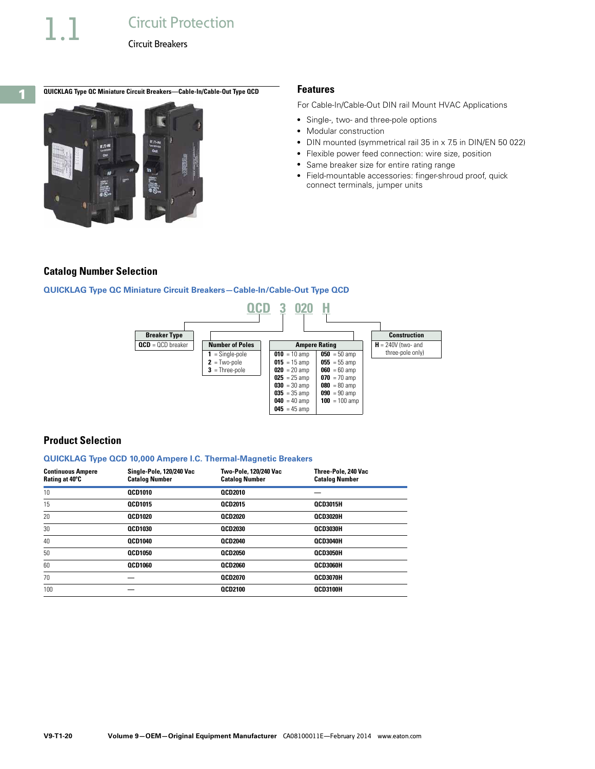### **QUICKLAG Type QC Miniature Circuit Breakers—Cable-In/Cable-Out Type QCD Features**



For Cable-In/Cable-Out DIN rail Mount HVAC Applications

- Single-, two- and three-pole options
- Modular construction
- DIN mounted (symmetrical rail 35 in x 7.5 in DIN/EN 50 022)
- Flexible power feed connection: wire size, position
- Same breaker size for entire rating range
- Field-mountable accessories: finger-shroud proof, quick connect terminals, jumper units

#### **Catalog Number Selection**

#### **QUICKLAG Type QC Miniature Circuit Breakers—Cable-In/Cable-Out Type QCD**



#### **Product Selection**

#### **QUICKLAG Type QCD 10,000 Ampere I.C. Thermal-Magnetic Breakers**

| <b>Continuous Ampere</b><br>Rating at 40°C | Single-Pole, 120/240 Vac<br><b>Catalog Number</b> | Two-Pole, 120/240 Vac<br><b>Catalog Number</b> | Three-Pole, 240 Vac<br><b>Catalog Number</b> |
|--------------------------------------------|---------------------------------------------------|------------------------------------------------|----------------------------------------------|
| 10                                         | <b>OCD1010</b>                                    | <b>QCD2010</b>                                 |                                              |
| 15                                         | <b>OCD1015</b>                                    | <b>OCD2015</b>                                 | <b>OCD3015H</b>                              |
| 20                                         | <b>OCD1020</b>                                    | <b>QCD2020</b>                                 | <b>QCD3020H</b>                              |
| 30                                         | <b>QCD1030</b>                                    | <b>QCD2030</b>                                 | OCD3030H                                     |
| 40                                         | <b>QCD1040</b>                                    | <b>QCD2040</b>                                 | OCD3040H                                     |
| 50                                         | <b>OCD1050</b>                                    | <b>QCD2050</b>                                 | OCD3050H                                     |
| 60                                         | <b>QCD1060</b>                                    | <b>QCD2060</b>                                 | OCD3060H                                     |
| 70                                         |                                                   | <b>QCD2070</b>                                 | OCD3070H                                     |
| 100                                        |                                                   | <b>QCD2100</b>                                 | OCD3100H                                     |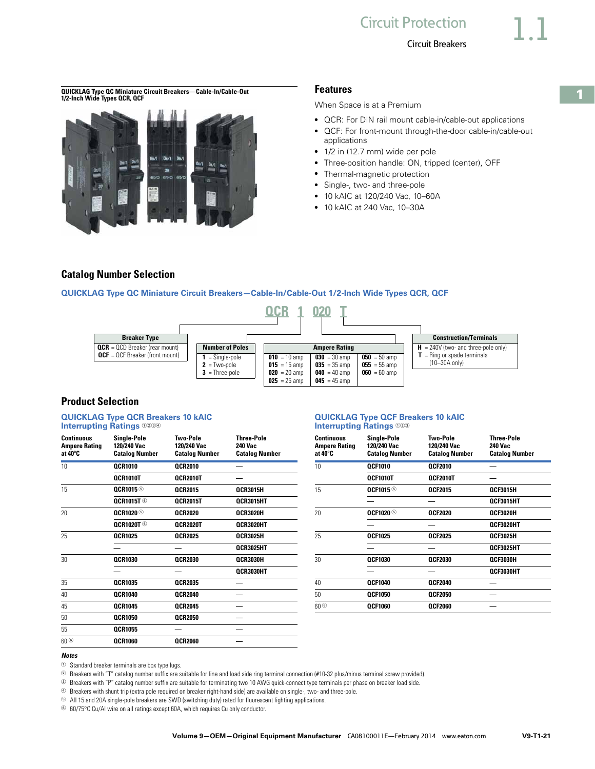**QUICKLAG Type QC Miniature Circuit Breakers—Cable-In/Cable-Out 1/2-Inch Wide Types QCR, QCF**



#### **Features**

When Space is at a Premium

- QCR: For DIN rail mount cable-in/cable-out applications
- QCF: For front-mount through-the-door cable-in/cable-out applications
- 1/2 in (12.7 mm) wide per pole
- Three-position handle: ON, tripped (center), OFF
- Thermal-magnetic protection
- Single-, two- and three-pole
- 10 kAIC at 120/240 Vac, 10–60A
- 10 kAIC at 240 Vac, 10-30A

### **Catalog Number Selection**

#### **QUICKLAG Type QC Miniature Circuit Breakers—Cable-In/Cable-Out 1/2-Inch Wide Types QCR, QCF**



# **Product Selection**

| <b>Continuous</b><br><b>Ampere Rating</b><br>at 40°C | <b>Single-Pole</b><br>120/240 Vac<br><b>Catalog Number</b> | <b>Two-Pole</b><br>120/240 Vac<br><b>Catalog Number</b> | <b>Three-Pole</b><br><b>240 Vac</b><br><b>Catalog Number</b> | <b>Continuous</b><br><b>Ampere Rating</b><br>at 40°C | Single-Pole<br>120/240 Vac<br><b>Catalog Number</b> | <b>Two-Pole</b><br>120/240 Vac<br><b>Catalog Number</b> | <b>Three-Pol</b><br><b>240 Vac</b><br><b>Catalog N</b> |
|------------------------------------------------------|------------------------------------------------------------|---------------------------------------------------------|--------------------------------------------------------------|------------------------------------------------------|-----------------------------------------------------|---------------------------------------------------------|--------------------------------------------------------|
| 10                                                   | <b>QCR1010</b>                                             | <b>QCR2010</b>                                          |                                                              | 10                                                   | <b>QCF1010</b>                                      | <b>QCF2010</b>                                          |                                                        |
|                                                      | OCR1010T                                                   | QCR2010T                                                |                                                              |                                                      | QCF1010T                                            | <b>OCF2010T</b>                                         |                                                        |
| 15                                                   | <b>OCR1015</b>                                             | <b>QCR2015</b>                                          | <b>QCR3015H</b>                                              | 15                                                   | <b>QCF1015 ®</b>                                    | <b>QCF2015</b>                                          | <b>QCF3015H</b>                                        |
|                                                      | <b>QCR1015T ®</b>                                          | <b>OCR2015T</b>                                         | QCR3015HT                                                    |                                                      |                                                     |                                                         | <b>QCF3015H</b>                                        |
| 20                                                   | <b>QCR1020</b>                                             | <b>QCR2020</b>                                          | OCR3020H                                                     | 20                                                   | <b>OCF1020</b>                                      | <b>OCF2020</b>                                          | <b>QCF3020H</b>                                        |
|                                                      | <b>QCR1020T ®</b>                                          | <b>QCR2020T</b>                                         | <b>QCR3020HT</b>                                             |                                                      |                                                     |                                                         | <b>QCF3020H</b>                                        |
| 25                                                   | <b>OCR1025</b>                                             | <b>OCR2025</b>                                          | <b>OCR3025H</b>                                              | 25                                                   | <b>QCF1025</b>                                      | <b>OCF2025</b>                                          | <b>OCF3025H</b>                                        |
|                                                      |                                                            |                                                         | QCR3025HT                                                    |                                                      |                                                     |                                                         | <b>OCF3025H</b>                                        |
| 30                                                   | <b>QCR1030</b>                                             | <b>QCR2030</b>                                          | <b>QCR3030H</b>                                              | 30                                                   | <b>QCF1030</b>                                      | <b>QCF2030</b>                                          | <b>QCF3030H</b>                                        |
|                                                      |                                                            |                                                         | OCR3030HT                                                    |                                                      |                                                     |                                                         | <b>QCF3030H</b>                                        |
| 35                                                   | <b>QCR1035</b>                                             | <b>QCR2035</b>                                          |                                                              | 40                                                   | <b>QCF1040</b>                                      | <b>QCF2040</b>                                          |                                                        |
| 40                                                   | <b>QCR1040</b>                                             | <b>QCR2040</b>                                          |                                                              | 50                                                   | <b>QCF1050</b>                                      | <b>QCF2050</b>                                          |                                                        |
| 45                                                   | <b>QCR1045</b>                                             | <b>QCR2045</b>                                          |                                                              | 60 <sup>6</sup>                                      | <b>QCF1060</b>                                      | <b>QCF2060</b>                                          |                                                        |
| 50                                                   | <b>QCR1050</b>                                             | <b>QCR2050</b>                                          |                                                              |                                                      |                                                     |                                                         |                                                        |
| 55                                                   | <b>QCR1055</b>                                             |                                                         |                                                              |                                                      |                                                     |                                                         |                                                        |
| 60 <sup>6</sup>                                      | <b>QCR1060</b>                                             | <b>QCR2060</b>                                          |                                                              |                                                      |                                                     |                                                         |                                                        |
|                                                      |                                                            |                                                         |                                                              |                                                      |                                                     |                                                         |                                                        |

#### **QUICKLAG Type QCR Breakers 10 kAIC**  $\qquad \qquad \qquad \qquad$  **QUICKLAG Type QCF Breakers 10 kAIC Interrupting Ratings**  $\circledcirc$ **Interrupting Ratings**  $023$

| Sinale-Pole<br>120/240 Vac<br>Catalog Number | Two-Pole<br>120/240 Vac<br><b>Catalog Number</b> | Three-Pole<br>240 Vac<br><b>Catalog Number</b> | <b>Continuous</b><br><b>Ampere Rating</b><br>at 40°C | <b>Single-Pole</b><br>120/240 Vac<br><b>Catalog Number</b> | <b>Two-Pole</b><br>120/240 Vac<br><b>Catalog Number</b> | <b>Three-Pole</b><br>240 Vac<br><b>Catalog Number</b> |
|----------------------------------------------|--------------------------------------------------|------------------------------------------------|------------------------------------------------------|------------------------------------------------------------|---------------------------------------------------------|-------------------------------------------------------|
| <b>OCR1010</b>                               | <b>OCR2010</b>                                   |                                                | 10                                                   | <b>OCF1010</b>                                             | <b>QCF2010</b>                                          |                                                       |
| OCR1010T                                     | <b>OCR2010T</b>                                  |                                                |                                                      | OCF1010T                                                   | <b>OCF2010T</b>                                         |                                                       |
| <b>QCR1015 ®</b>                             | <b>OCR2015</b>                                   | <b>QCR3015H</b>                                | 15                                                   | <b>QCF1015 ®</b>                                           | <b>QCF2015</b>                                          | <b>QCF3015H</b>                                       |
| <b>OCR1015T ®</b>                            | <b>OCR2015T</b>                                  | OCR3015HT                                      |                                                      |                                                            |                                                         | <b>OCF3015HT</b>                                      |
| <b>OCR1020 ®</b>                             | <b>OCR2020</b>                                   | <b>QCR3020H</b>                                | 20                                                   | <b>QCF1020 ®</b>                                           | <b>QCF2020</b>                                          | QCF3020H                                              |
| <b>OCR1020T ®</b>                            | <b>OCR2020T</b>                                  | <b>OCR3020HT</b>                               |                                                      |                                                            |                                                         | QCF3020HT                                             |
| <b>QCR1025</b>                               | <b>OCR2025</b>                                   | <b>QCR3025H</b>                                | 25                                                   | <b>OCF1025</b>                                             | <b>QCF2025</b>                                          | <b>QCF3025H</b>                                       |
|                                              |                                                  | OCR3025HT                                      |                                                      |                                                            |                                                         | OCF3025HT                                             |
| <b>OCR1030</b>                               | <b>OCR2030</b>                                   | <b>QCR3030H</b>                                | 30                                                   | <b>OCF1030</b>                                             | <b>QCF2030</b>                                          | QCF3030H                                              |
|                                              |                                                  | OCR3030HT                                      |                                                      |                                                            |                                                         | OCF3030HT                                             |
| <b>QCR1035</b>                               | <b>OCR2035</b>                                   |                                                | 40                                                   | <b>OCF1040</b>                                             | <b>QCF2040</b>                                          |                                                       |
| <b>QCR1040</b>                               | <b>OCR2040</b>                                   |                                                | 50                                                   | <b>OCF1050</b>                                             | <b>QCF2050</b>                                          |                                                       |
| <b>OCR1045</b>                               | <b>OCR2045</b>                                   |                                                | 60 <sup>6</sup>                                      | <b>OCF1060</b>                                             | <b>QCF2060</b>                                          |                                                       |

#### *Notes*

 $\odot$  Standard breaker terminals are box type lugs.

<sup>2</sup> Breakers with "T" catalog number suffix are suitable for line and load side ring terminal connection (#10-32 plus/minus terminal screw provided).

<sup>3</sup> Breakers with "P" catalog number suffix are suitable for terminating two 10 AWG quick-connect type terminals per phase on breaker load side.

<sup>4</sup> Breakers with shunt trip (extra pole required on breaker right-hand side) are available on single-, two- and three-pole.

<sup>5</sup> All 15 and 20A single-pole breakers are SWD (switching duty) rated for fluorescent lighting applications.

<sup>6</sup> 60/75°C Cu/Al wire on all ratings except 60A, which requires Cu only conductor.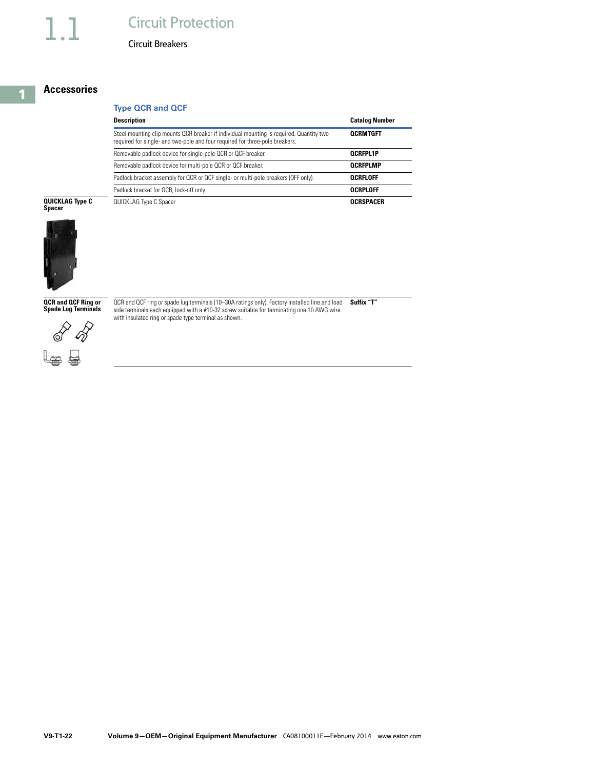# **Circuit Protection**

Circuit Breakers

### **Accessories**

# **Type QCR and QCF**

| <b>Description</b>                                                                                                                                                      | <b>Catalog Number</b> |
|-------------------------------------------------------------------------------------------------------------------------------------------------------------------------|-----------------------|
| Steel mounting clip mounts QCR breaker if individual mounting is required. Quantity two<br>required for single- and two-pole and four required for three-pole breakers. | <b>OCRMTGFT</b>       |
| Removable padlock device for single-pole QCR or QCF breaker.                                                                                                            | <b>OCRFPL1P</b>       |
| Removable padlock device for multi-pole QCR or QCF breaker.                                                                                                             | <b>OCRFPLMP</b>       |
| Padlock bracket assembly for QCR or QCF single- or multi-pole breakers (OFF only).                                                                                      | OCRFLOFF              |
| Padlock bracket for QCR, lock-off only.                                                                                                                                 | <b>OCRPLOFF</b>       |
| QUICKLAG Type C Spacer                                                                                                                                                  | <b>OCRSPACER</b>      |

# **QUICKLAG Type C Spacer**



**QCR and QCF Ring or Spade Lug Terminals**

QCR and QCF ring or spade lug terminals (10–30A ratings only). Factory installed line and load side terminals each equipped with a #10-32 screw suitable for terminating one 10 AWG wire **Suffix "T"** with insulated ring or spade type terminal as shown.



**1**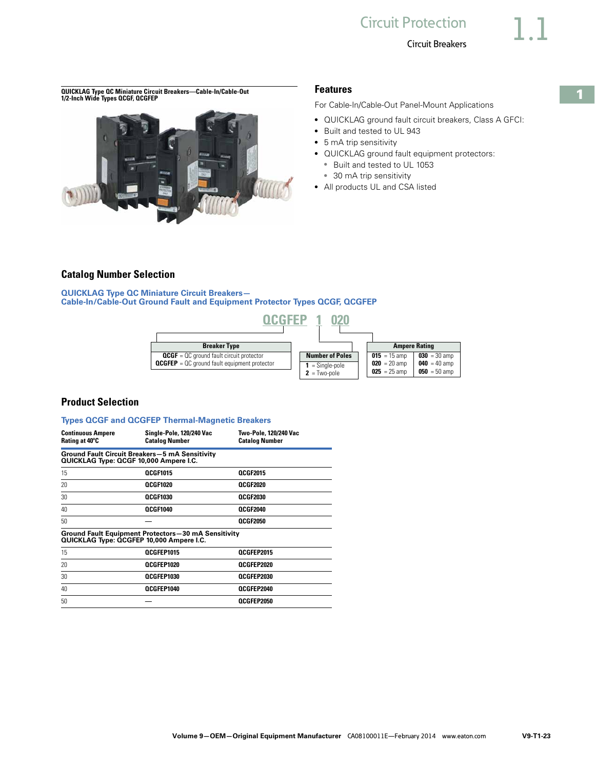**QUICKLAG Type QC Miniature Circuit Breakers—Cable-In/Cable-Out 1/2-Inch Wide Types QCGF, QCGFEP**



### **Features**

For Cable-In/Cable-Out Panel-Mount Applications

- QUICKLAG ground fault circuit breakers, Class A GFCI:
- Built and tested to UL 943
- 5 mA trip sensitivity
- QUICKLAG ground fault equipment protectors:
	- Built and tested to UL 1053
	- 30 mA trip sensitivity
- All products UL and CSA listed

### **Catalog Number Selection**

**QUICKLAG Type QC Miniature Circuit Breakers— Cable-In/Cable-Out Ground Fault and Equipment Protector Types QCGF, QCGFEP**



# **Product Selection**

#### **Types QCGF and QCGFEP Thermal-Magnetic Breakers**

| <b>Continuous Ampere</b><br>Rating at 40°C | Single-Pole, 120/240 Vac<br><b>Catalog Number</b>                                               | Two-Pole, 120/240 Vac<br><b>Catalog Number</b> |
|--------------------------------------------|-------------------------------------------------------------------------------------------------|------------------------------------------------|
|                                            | <b>Ground Fault Circuit Breakers-5 mA Sensitivity</b><br>QUICKLAG Type: QCGF 10,000 Ampere I.C. |                                                |
| 15                                         | <b>OCGF1015</b>                                                                                 | <b>OCGF2015</b>                                |
| 20                                         | OCGF1020                                                                                        | OCGF2020                                       |
| 30                                         | <b>OCGF1030</b>                                                                                 | OCGF2030                                       |
| 40                                         | QCGF1040                                                                                        | QCGF2040                                       |
| 50                                         |                                                                                                 | <b>OCGF2050</b>                                |
|                                            | Ground Fault Equipment Protectors-30 mA Sensitivity<br>QUICKLAG Type: QCGFEP 10,000 Ampere I.C. |                                                |
| 15                                         | OCGFEP1015                                                                                      | OCGFEP2015                                     |
| 20                                         | OCGFEP1020                                                                                      | OCGFEP2020                                     |
| 30                                         | OCGFEP1030                                                                                      | OCGFEP2030                                     |
| 40                                         | OCGFEP1040                                                                                      | OCGFEP2040                                     |
| 50                                         |                                                                                                 | OCGFEP2050                                     |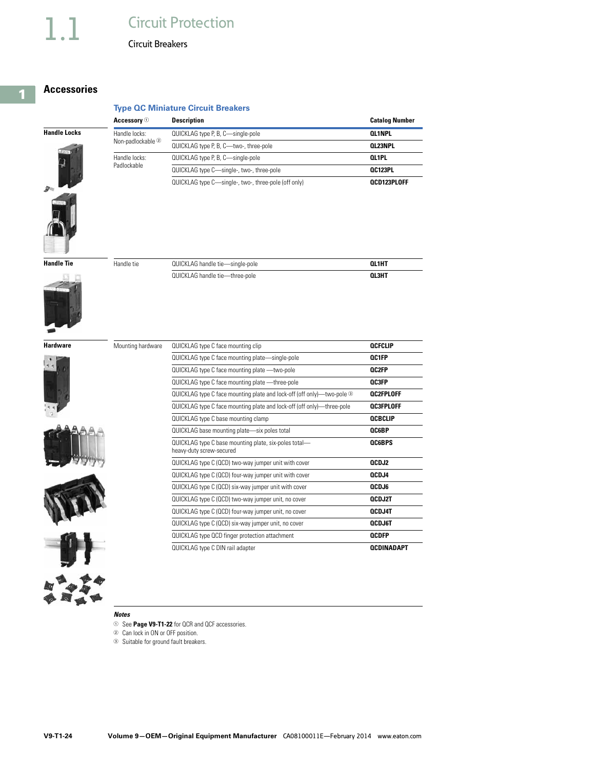# 1.1 Circuit Protection

Circuit Breakers

# **Accessories**

|                                     | Accessory $\circledcirc$     | <b>Description</b>                                   | <b>Catalog Number</b> |
|-------------------------------------|------------------------------|------------------------------------------------------|-----------------------|
| <b>Handle Locks</b><br>aray<br>1989 | Handle locks:                | QUICKLAG type P, B, C-single-pole                    | <b>OL1NPL</b>         |
|                                     | Non-padlockable <sup>2</sup> | QUICKLAG type P, B, C-two-, three-pole               | <b>QL23NPL</b>        |
|                                     | Handle locks:                | QUICKLAG type P, B, C-single-pole                    | <b>QL1PL</b>          |
|                                     | Padlockable                  | QUICKLAG type C-single-, two-, three-pole            | <b>OC123PL</b>        |
|                                     |                              | QUICKLAG type C-single-, two-, three-pole (off only) | OCD123PLOFF           |



| <b>Handle Tie</b>   | Handle tie | QUICKLAG handle tie-single-pole | <b>QL1HT</b> |
|---------------------|------------|---------------------------------|--------------|
| contact and contact |            | QUICKLAG handle tie-three-pole  | <b>QL3HT</b> |



**Hardware**

| Mounting hardware | QUICKLAG type C face mounting clip                                                | <b>OCFCLIP</b>    |
|-------------------|-----------------------------------------------------------------------------------|-------------------|
|                   | QUICKLAG type C face mounting plate-single-pole                                   | OC1FP             |
|                   | QUICKLAG type C face mounting plate - two-pole                                    | <b>OC2FP</b>      |
|                   | QUICKLAG type C face mounting plate - three-pole                                  | <b>OC3FP</b>      |
|                   | QUICKLAG type C face mounting plate and lock-off (off only)-two-pole <sup>3</sup> | <b>OC2FPLOFF</b>  |
|                   | QUICKLAG type C face mounting plate and lock-off (off only)—three-pole            | <b>OC3FPLOFF</b>  |
|                   | QUICKLAG type C base mounting clamp                                               | <b>QCBCLIP</b>    |
|                   | QUICKLAG base mounting plate-six poles total                                      | <b>QC6BP</b>      |
|                   | QUICKLAG type C base mounting plate, six-poles total-<br>heavy-duty screw-secured | <b>QC6BPS</b>     |
|                   | QUICKLAG type C (QCD) two-way jumper unit with cover                              | QCDJ2             |
|                   | QUICKLAG type C (QCD) four-way jumper unit with cover                             | QCDJ4             |
|                   | QUICKLAG type C (QCD) six-way jumper unit with cover                              | QCDJ6             |
|                   | QUICKLAG type C (QCD) two-way jumper unit, no cover                               | <b>OCDJ2T</b>     |
|                   | QUICKLAG type C (QCD) four-way jumper unit, no cover                              | <b>QCDJ4T</b>     |
|                   | QUICKLAG type C (QCD) six-way jumper unit, no cover                               | <b>QCDJ6T</b>     |
|                   | QUICKLAG type QCD finger protection attachment                                    | <b>QCDFP</b>      |
|                   | QUICKLAG type C DIN rail adapter                                                  | <b>QCDINADAPT</b> |

#### *Notes*

- <sup>1</sup> See **Page V9-T1-22** for QCR and QCF accessories.
- <sup>2</sup> Can lock in ON or OFF position.
- <sup>3</sup> Suitable for ground fault breakers.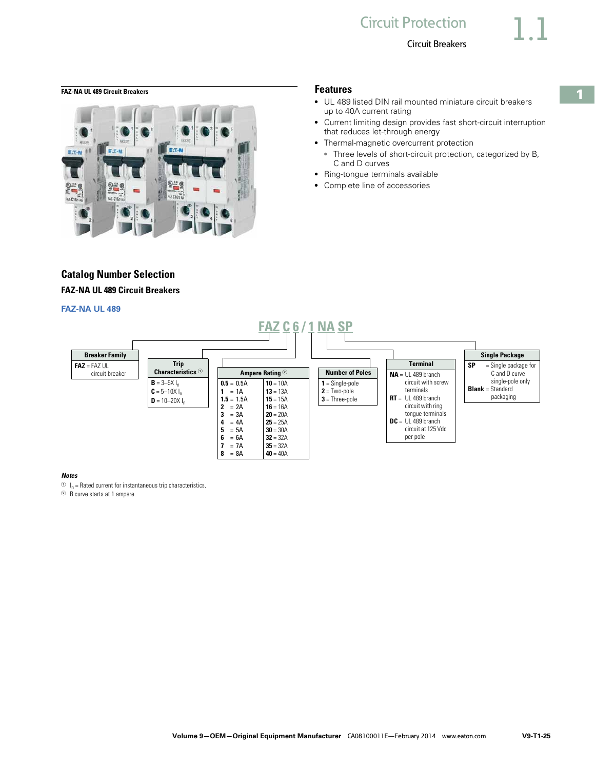**1**

<span id="page-24-0"></span>**FAZ-NA UL 489 Circuit Breakers Features**



# **Catalog Number Selection FAZ-NA UL 489 Circuit Breakers**

#### **FAZ-NA UL 489**

- UL 489 listed DIN rail mounted miniature circuit breakers up to 40A current rating
- Current limiting design provides fast short-circuit interruption that reduces let-through energy
- Thermal-magnetic overcurrent protection ● Three levels of short-circuit protection, categorized by B, C and D curves
- Ring-tongue terminals available
- Complete line of accessories



#### *Notes*

 $\circlearrowleft$  I<sub>n</sub> = Rated current for instantaneous trip characteristics.

<sup>2</sup> B curve starts at 1 ampere.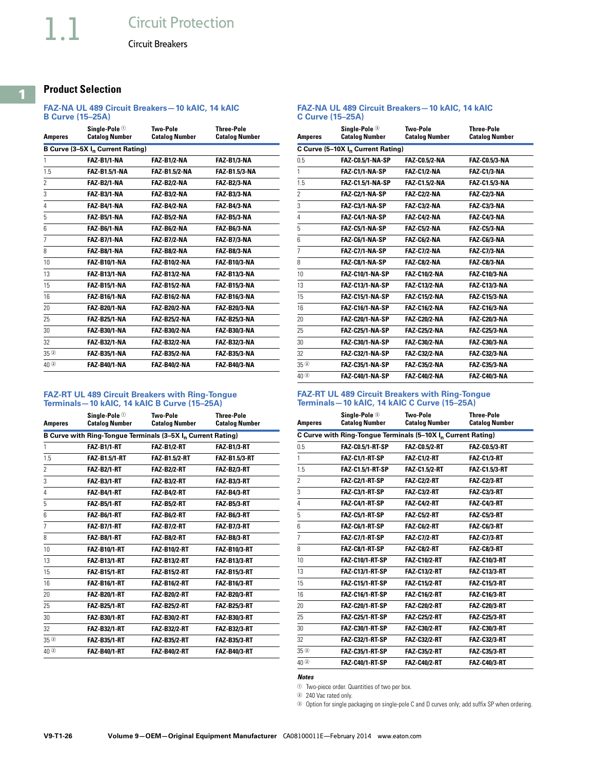# **Product Selection**

#### **FAZ-NA UL 489 Circuit Breakers—10 kAIC, 14 kAIC B Curve (15–25A)**

| Amperes                            | Sinale-Pole <sup>①</sup><br><b>Catalog Number</b> | Two-Pole<br><b>Catalog Number</b> | <b>Three-Pole</b><br><b>Catalog Number</b> |
|------------------------------------|---------------------------------------------------|-----------------------------------|--------------------------------------------|
|                                    | B Curve (3-5X I <sub>n</sub> Current Rating)      |                                   |                                            |
| 1                                  | FAZ-B1/1-NA                                       | <b>FAZ-B1/2-NA</b>                | <b>FAZ-B1/3-NA</b>                         |
| 1.5                                | <b>FAZ-B1.5/1-NA</b>                              | <b>FAZ-B1.5/2-NA</b>              | <b>FAZ-B1.5/3-NA</b>                       |
| 2                                  | <b>FAZ-B2/1-NA</b>                                | <b>FAZ-B2/2-NA</b>                | <b>FAZ-B2/3-NA</b>                         |
| 3                                  | <b>FAZ-B3/1-NA</b>                                | FAZ-B3/2-NA                       | <b>FAZ-B3/3-NA</b>                         |
| 4                                  | <b>FAZ-B4/1-NA</b>                                | <b>FAZ-B4/2-NA</b>                | <b>FAZ-B4/3-NA</b>                         |
| 5                                  | <b>FAZ-B5/1-NA</b>                                | FAZ-B5/2-NA                       | <b>FAZ-B5/3-NA</b>                         |
| 6                                  | FAZ-B6/1-NA                                       | FAZ-B6/2-NA                       | FAZ-B6/3-NA                                |
| 7                                  | <b>FAZ-B7/1-NA</b>                                | <b>FAZ-B7/2-NA</b>                | <b>FAZ-B7/3-NA</b>                         |
| 8                                  | FAZ-B8/1-NA                                       | FAZ-B8/2-NA                       | FAZ-B8/3-NA                                |
| 10                                 | <b>FAZ-B10/1-NA</b>                               | <b>FAZ-B10/2-NA</b>               | <b>FAZ-B10/3-NA</b>                        |
| 13                                 | <b>FAZ-B13/1-NA</b>                               | <b>FAZ-B13/2-NA</b>               | <b>FAZ-B13/3-NA</b>                        |
| 15                                 | <b>FAZ-B15/1-NA</b>                               | <b>FAZ-B15/2-NA</b>               | <b>FAZ-B15/3-NA</b>                        |
| 16                                 | <b>FAZ-B16/1-NA</b>                               | <b>FAZ-B16/2-NA</b>               | <b>FAZ-B16/3-NA</b>                        |
| 20                                 | <b>FAZ-B20/1-NA</b>                               | <b>FAZ-B20/2-NA</b>               | <b>FAZ-B20/3-NA</b>                        |
| 25                                 | <b>FAZ-B25/1-NA</b>                               | <b>FAZ-B25/2-NA</b>               | <b>FAZ-B25/3-NA</b>                        |
| 30                                 | <b>FAZ-B30/1-NA</b>                               | <b>FAZ B30/2 NA</b>               | <b>FAZ-B30/3-NA</b>                        |
| 32                                 | <b>FAZ B32/1-NA</b>                               | FAZ-B32/2-NA                      | <b>FAZ B32/3-NA</b>                        |
| $35$ <sup><math>\circ</math></sup> | <b>FAZ B35/1 NA</b>                               | FAZ-B35/2-NA                      | <b>FAZ-B35/3-NA</b>                        |
| $40$ <sup>2</sup>                  | <b>FAZ-B40/1-NA</b>                               | <b>FAZ-B40/2-NA</b>               | <b>FAZ-B40/3-NA</b>                        |

#### **FAZ-NA UL 489 Circuit Breakers—10 kAIC, 14 kAIC C Curve (15–25A)**

| Amperes                  | Sinale-Pole <sup>③</sup><br><b>Catalog Number</b> | Two-Pole<br><b>Catalog Number</b> | <b>Three-Pole</b><br><b>Catalog Number</b> |
|--------------------------|---------------------------------------------------|-----------------------------------|--------------------------------------------|
|                          | C Curve (5-10X In Current Rating)                 |                                   |                                            |
| 0.5                      | FAZ-C0.5/1-NA-SP                                  | <b>FAZ-C0.5/2-NA</b>              | <b>FAZ-C0.5/3-NA</b>                       |
| 1                        | FAZ-C1/1-NA-SP                                    | <b>FAZ-C1/2-NA</b>                | <b>FAZ-C1/3-NA</b>                         |
| 1.5                      | FAZ-C1.5/1-NA-SP                                  | <b>FAZ-C1.5/2-NA</b>              | <b>FAZ-C1.5/3-NA</b>                       |
| $\overline{\phantom{a}}$ | FAZ-C2/1-NA-SP                                    | <b>FAZ-C2/2-NA</b>                | <b>FAZ-C2/3-NA</b>                         |
| 3                        | FAZ-C3/1-NA-SP                                    | <b>FAZ-C3/2-NA</b>                | FAZ-C3/3-NA                                |
| 4                        | FAZ-C4/1-NA-SP                                    | <b>FAZ-C4/2-NA</b>                | <b>FAZ-C4/3-NA</b>                         |
| 5                        | FAZ-C5/1-NA-SP                                    | <b>FAZ-C5/2-NA</b>                | <b>FAZ-C5/3-NA</b>                         |
| 6                        | FAZ-C6/1-NA-SP                                    | <b>FAZ-C6/2-NA</b>                | FAZ-C6/3-NA                                |
| 7                        | FAZ-C7/1-NA-SP                                    | <b>FAZ-C7/2-NA</b>                | <b>FAZ-C7/3-NA</b>                         |
| 8                        | FAZ-C8/1-NA-SP                                    | FAZ-C8/2-NA                       | FAZ-C8/3-NA                                |
| 10                       | FAZ-C10/1-NA-SP                                   | <b>FAZ-C10/2-NA</b>               | <b>FAZ-C10/3-NA</b>                        |
| 13                       | <b>FAZ-C13/1-NA-SP</b>                            | <b>FAZ-C13/2-NA</b>               | <b>FAZ-C13/3-NA</b>                        |
| 15                       | <b>FAZ-C15/1-NA-SP</b>                            | <b>FAZ-C15/2-NA</b>               | <b>FAZ-C15/3-NA</b>                        |
| 16                       | <b>FAZ-C16/1-NA-SP</b>                            | <b>FAZ-C16/2-NA</b>               | <b>FAZ-C16/3-NA</b>                        |
| 20                       | <b>FAZ-C20/1-NA-SP</b>                            | <b>FAZ-C20/2-NA</b>               | <b>FAZ-C20/3-NA</b>                        |
| 25                       | <b>FAZ-C25/1-NA-SP</b>                            | <b>FAZ-C25/2-NA</b>               | <b>FAZ C25/3 NA</b>                        |
| 30                       | <b>FAZ-C30/1-NA-SP</b>                            | <b>FAZ-C30/2-NA</b>               | <b>FAZ-C30/3-NA</b>                        |
| 32                       | <b>FAZ-C32/1-NA-SP</b>                            | <b>FAZ-C32/2-NA</b>               | <b>FAZ-C32/3-NA</b>                        |
| 35 <sup>o</sup>          | <b>FAZ-C35/1-NA-SP</b>                            | <b>FAZ-C35/2-NA</b>               | <b>FAZ-C35/3-NA</b>                        |
| 40 <sup>2</sup>          | FAZ-C40/1-NA-SP                                   | <b>FAZ-C40/2-NA</b>               | <b>FAZ-C40/3-NA</b>                        |

#### **FAZ-RT UL 489 Circuit Breakers with Ring-Tongue Terminals—10 kAIC, 14 kAIC B Curve (15–25A)**

| <b>Amperes</b>           | Sinale-Pole $\mathbb O$<br><b>Catalog Number</b> | <b>Two-Pole</b><br><b>Catalog Number</b>                                | <b>Three-Pole</b><br><b>Catalog Number</b> |
|--------------------------|--------------------------------------------------|-------------------------------------------------------------------------|--------------------------------------------|
|                          |                                                  | B Curve with Ring-Tongue Terminals (3-5X I <sub>n</sub> Current Rating) |                                            |
| 1                        | <b>FAZ-B1/1-RT</b>                               | <b>FAZ-B1/2-RT</b>                                                      | <b>FAZ B1/3 RT</b>                         |
| 1.5                      | <b>FAZ-B1.5/1-RT</b>                             | <b>FAZ-B1.5/2-RT</b>                                                    | <b>FAZ-B1.5/3-RT</b>                       |
| $\overline{\phantom{a}}$ | <b>FAZ-B2/1-RT</b>                               | <b>FAZ B2/2 RT</b>                                                      | <b>FAZ B2/3 RT</b>                         |
| 3                        | <b>FAZ-B3/1-RT</b>                               | <b>FAZ-B3/2-RT</b>                                                      | <b>FAZ-B3/3-RT</b>                         |
| 4                        | <b>FAZ-B4/1-RT</b>                               | <b>FAZ-B4/2-RT</b>                                                      | <b>FAZ-B4/3-RT</b>                         |
| 5                        | <b>FAZ-B5/1-RT</b>                               | <b>FAZ-B5/2-RT</b>                                                      | <b>FAZ B5/3 RT</b>                         |
| 6                        | <b>FAZ B6/1 RT</b>                               | <b>FAZ-B6/2-RT</b>                                                      | <b>FAZ-B6/3-RT</b>                         |
| $\overline{7}$           | <b>FAZ-B7/1-RT</b>                               | <b>FAZ-B7/2-RT</b>                                                      | <b>FAZ B7/3 RT</b>                         |
| 8                        | <b>FAZ-B8/1-RT</b>                               | <b>FAZ-B8/2-RT</b>                                                      | <b>FAZ B8/3 RT</b>                         |
| 10                       | <b>FAZ-B10/1-RT</b>                              | <b>FAZ-B10/2-RT</b>                                                     | <b>FAZ-B10/3-RT</b>                        |
| 13                       | <b>FAZ B13/1 RT</b>                              | <b>FAZ B13/2 RT</b>                                                     | <b>FAZ B13/3 RT</b>                        |
| 15                       | <b>FAZ-B15/1-RT</b>                              | <b>FAZ-B15/2-RT</b>                                                     | <b>FAZ-B15/3-RT</b>                        |
| 16                       | <b>FAZ B16/1 RT</b>                              | <b>FAZ B16/2 RT</b>                                                     | <b>FAZ-B16/3-RT</b>                        |
| 20                       | <b>FAZ B20/1-RT</b>                              | <b>FAZ B20/2 RT</b>                                                     | <b>FAZ B20/3 RT</b>                        |
| 25                       | <b>FAZ-B25/1-RT</b>                              | <b>FAZ-B25/2-RT</b>                                                     | <b>FAZ-B25/3-RT</b>                        |
| 30                       | <b>FAZ B30/1-RT</b>                              | <b>FAZ-B30/2-RT</b>                                                     | <b>FAZ B30/3-RT</b>                        |
| 32                       | <b>FAZ-B32/1-RT</b>                              | <b>FAZ B32/2 RT</b>                                                     | <b>FAZ B32/3-RT</b>                        |
| $35^\circ$               | <b>FAZ-B35/1-RT</b>                              | <b>FAZ B35/2-RT</b>                                                     | <b>FAZ-B35/3-RT</b>                        |
| 40 <sup>2</sup>          | <b>FAZ-B40/1-RT</b>                              | <b>FAZ-B40/2-RT</b>                                                     | <b>FAZ-B40/3-RT</b>                        |

#### **FAZ-RT UL 489 Circuit Breakers with Ring-Tongue Terminals—10 kAIC, 14 kAIC C Curve (15–25A)**

|                 | Single-Pole <sup>3</sup>                                                 | <b>Two-Pole</b>       | <b>Three-Pole</b>     |
|-----------------|--------------------------------------------------------------------------|-----------------------|-----------------------|
| <b>Amperes</b>  | <b>Catalog Number</b>                                                    | <b>Catalog Number</b> | <b>Catalog Number</b> |
|                 | C Curve with Ring-Tongue Terminals (5-10X I <sub>n</sub> Current Rating) |                       |                       |
| 0.5             | <b>FAZ-C0.5/1-RT-SP</b>                                                  | <b>FAZ-C0.5/2-RT</b>  | FAZ-C0.5/3-RT         |
| 1               | FAZ-C1/1-RT-SP                                                           | <b>FAZ-C1/2-RT</b>    | <b>FAZ-C1/3-RT</b>    |
| 1.5             | <b>FAZ-C1.5/1-RT-SP</b>                                                  | <b>FAZ-C1.5/2-RT</b>  | <b>FAZ-C1.5/3-RT</b>  |
| $\mathfrak{p}$  | FAZ-C2/1-RT-SP                                                           | <b>FAZ-C2/2-RT</b>    | <b>FAZ-C2/3-RT</b>    |
| 3               | FAZ-C3/1-RT-SP                                                           | <b>FAZ-C3/2-RT</b>    | <b>FAZ-C3/3-RT</b>    |
| 4               | FAZ-C4/1-RT-SP                                                           | <b>FAZ-C4/2-RT</b>    | <b>FAZ-C4/3-RT</b>    |
| 5               | FAZ-C5/1-RT-SP                                                           | <b>FAZ-C5/2-RT</b>    | <b>FAZ-C5/3-RT</b>    |
| 6               | FAZ-C6/1-RT-SP                                                           | <b>FAZ-C6/2-RT</b>    | <b>FAZ-C6/3-RT</b>    |
| 7               | <b>FAZ-C7/1-RT-SP</b>                                                    | <b>FAZ-C7/2-RT</b>    | <b>FAZ-C7/3-RT</b>    |
| 8               | FAZ-C8/1-RT-SP                                                           | <b>FAZ-C8/2-RT</b>    | <b>FAZ C8/3 RT</b>    |
| 10              | <b>FAZ-C10/1-RT-SP</b>                                                   | <b>FAZ-C10/2-RT</b>   | <b>FAZ-C10/3-RT</b>   |
| 13              | <b>FAZ-C13/1-RT-SP</b>                                                   | <b>FAZ-C13/2-RT</b>   | <b>FAZ-C13/3-RT</b>   |
| 15              | <b>FAZ-C15/1-RT-SP</b>                                                   | <b>FAZ-C15/2-RT</b>   | <b>FAZ-C15/3-RT</b>   |
| 16              | <b>FAZ-C16/1-RT-SP</b>                                                   | <b>FAZ-C16/2-RT</b>   | <b>FAZ-C16/3-RT</b>   |
| 20              | <b>FAZ-C20/1-RT-SP</b>                                                   | <b>FAZ-C20/2-RT</b>   | <b>FAZ-C20/3-RT</b>   |
| 25              | <b>FAZ-C25/1-RT-SP</b>                                                   | <b>FAZ-C25/2-RT</b>   | <b>FAZ-C25/3-RT</b>   |
| 30              | FAZ-C30/1-RT-SP                                                          | <b>FAZ-C30/2-RT</b>   | <b>FAZ-C30/3-RT</b>   |
| 32              | <b>FAZ-C32/1-RT-SP</b>                                                   | <b>FAZ-C32/2-RT</b>   | <b>FAZ-C32/3-RT</b>   |
| $35^\circ$      | FAZ-C35/1-RT-SP                                                          | <b>FAZ-C35/2-RT</b>   | <b>FAZ-C35/3-RT</b>   |
| 40 <sup>2</sup> | <b>FAZ-C40/1-RT-SP</b>                                                   | <b>FAZ-C40/2-RT</b>   | <b>FAZ-C40/3-RT</b>   |
|                 |                                                                          |                       |                       |

#### *Notes*

<sup>1</sup> Two-piece order. Quantities of two per box.

<sup>2</sup> 240 Vac rated only.

<sup>3</sup> Option for single packaging on single-pole C and D curves only; add suffix SP when ordering.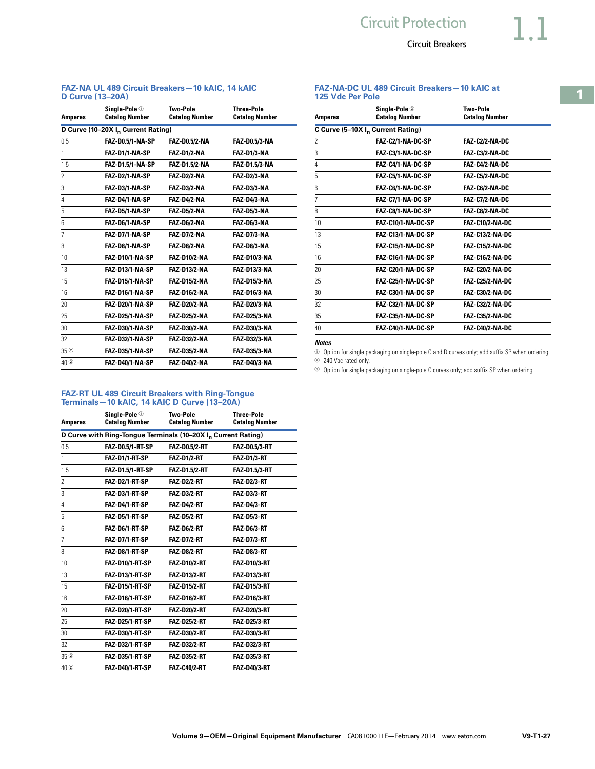#### **FAZ-NA-DC UL 489 Circuit Breakers—10 kAIC at 125 Vdc Per Pole**

| <b>Amperes</b> | Single-Pole <sup>3</sup><br><b>Catalog Number</b> | <b>Two-Pole</b><br><b>Catalog Number</b> |
|----------------|---------------------------------------------------|------------------------------------------|
|                | C Curve (5-10X I <sub>n</sub> Current Rating)     |                                          |
| 2              | FAZ-C2/1-NA-DC-SP                                 | <b>FAZ-C2/2-NA-DC</b>                    |
| 3              | FAZ-C3/1-NA-DC-SP                                 | <b>FAZ-C3/2-NA-DC</b>                    |
| 4              | FAZ-C4/1-NA-DC-SP                                 | <b>FAZ-C4/2-NA-DC</b>                    |
| 5              | FAZ-C5/1-NA-DC-SP                                 | FAZ-C5/2-NA-DC                           |
| 6              | FAZ-C6/1-NA-DC-SP                                 | FAZ-C6/2-NA-DC                           |
| 7              | FAZ-C7/1-NA-DC-SP                                 | <b>FAZ-C7/2-NA-DC</b>                    |
| 8              | FAZ-C8/1-NA-DC-SP                                 | FAZ-C8/2-NA-DC                           |
| 10             | FAZ-C10/1-NA-DC-SP                                | <b>FAZ-C10/2-NA-DC</b>                   |
| 13             | FAZ-C13/1-NA-DC-SP                                | <b>FAZ-C13/2-NA-DC</b>                   |
| 15             | FAZ-C15/1-NA-DC-SP                                | <b>FAZ-C15/2-NA-DC</b>                   |
| 16             | FAZ-C16/1-NA-DC-SP                                | <b>FAZ-C16/2-NA-DC</b>                   |
| 20             | FAZ-C20/1-NA-DC-SP                                | <b>FAZ-C20/2-NA-DC</b>                   |
| 25             | FAZ-C25/1-NA-DC-SP                                | <b>FAZ-C25/2-NA-DC</b>                   |
| 30             | FAZ-C30/1-NA-DC-SP                                | <b>FAZ-C30/2-NA-DC</b>                   |
| 32             | FAZ-C32/1-NA-DC-SP                                | <b>FAZ-C32/2-NA-DC</b>                   |
| 35             | FAZ-C35/1-NA-DC-SP                                | <b>FAZ-C35/2-NA-DC</b>                   |
| 40             | FAZ-C40/1-NA-DC-SP                                | <b>FAZ-C40/2-NA-DC</b>                   |

#### *Notes*

 $\odot$  Option for single packaging on single-pole C and D curves only; add suffix SP when ordering.

<sup>2</sup> 240 Vac rated only.

<sup>3</sup> Option for single packaging on single-pole C curves only; add suffix SP when ordering.

#### **FAZ-NA UL 489 Circuit Breakers—10 kAIC, 14 kAIC D Curve (13–20A)**

| <b>Amperes</b>      | Sinale-Pole $\mathbb O$<br><b>Catalog Number</b> | <b>Two-Pole</b><br><b>Catalog Number</b> | <b>Three-Pole</b><br><b>Catalog Number</b> |
|---------------------|--------------------------------------------------|------------------------------------------|--------------------------------------------|
|                     | D Curve (10-20X I <sub>n</sub> Current Rating)   |                                          |                                            |
| 0.5                 | <b>FAZ-D0.5/1-NA-SP</b>                          | <b>FAZ-D0.5/2-NA</b>                     | FAZ-D0.5/3-NA                              |
| 1                   | FAZ-D1/1-NA-SP                                   | <b>FAZ-D1/2-NA</b>                       | <b>FAZ-D1/3-NA</b>                         |
| 1.5                 | <b>FAZ-D1.5/1-NA-SP</b>                          | <b>FAZ-D1.5/2-NA</b>                     | <b>FAZ-D1.5/3-NA</b>                       |
| $\overline{2}$      | FAZ-D2/1-NA-SP                                   | <b>FAZ-D2/2-NA</b>                       | <b>FAZ-D2/3-NA</b>                         |
| 3                   | FAZ-D3/1-NA-SP                                   | <b>FAZ-D3/2-NA</b>                       | <b>FAZ-D3/3-NA</b>                         |
| 4                   | FAZ-D4/1-NA-SP                                   | <b>FAZ-D4/2-NA</b>                       | <b>FAZ-D4/3-NA</b>                         |
| 5                   | FAZ-D5/1-NA-SP                                   | <b>FAZ-D5/2-NA</b>                       | <b>FAZ-D5/3-NA</b>                         |
| 6                   | FAZ-D6/1-NA-SP                                   | <b>FAZ-D6/2-NA</b>                       | <b>FAZ-D6/3-NA</b>                         |
| 7                   | FAZ-D7/1-NA-SP                                   | <b>FAZ-D7/2-NA</b>                       | <b>FAZ-D7/3-NA</b>                         |
| 8                   | FAZ-D8/1-NA-SP                                   | <b>FAZ-D8/2-NA</b>                       | FAZ-D8/3-NA                                |
| 10                  | FAZ-D10/1-NA-SP                                  | <b>FAZ-D10/2-NA</b>                      | <b>FAZ-D10/3-NA</b>                        |
| 13                  | <b>FAZ-D13/1-NA-SP</b>                           | <b>FAZ-D13/2-NA</b>                      | <b>FAZ-D13/3-NA</b>                        |
| 15                  | <b>FAZ-D15/1-NA-SP</b>                           | <b>FAZ-D15/2-NA</b>                      | <b>FAZ-D15/3-NA</b>                        |
| 16                  | <b>FAZ-D16/1-NA-SP</b>                           | <b>FAZ-D16/2-NA</b>                      | <b>FAZ-D16/3-NA</b>                        |
| 20                  | <b>FAZ-D20/1-NA-SP</b>                           | <b>FAZ-D20/2-NA</b>                      | <b>FAZ-D20/3-NA</b>                        |
| 25                  | <b>FAZ-D25/1-NA-SP</b>                           | <b>FAZ-D25/2-NA</b>                      | <b>FAZ-D25/3-NA</b>                        |
| 30                  | <b>FAZ-D30/1-NA-SP</b>                           | <b>FAZ-D30/2-NA</b>                      | <b>FAZ-D30/3-NA</b>                        |
| 32                  | <b>FAZ-D32/1-NA-SP</b>                           | <b>FAZ-D32/2-NA</b>                      | <b>FAZ-D32/3-NA</b>                        |
| 35 <sup>°</sup>     | <b>FAZ-D35/1-NA-SP</b>                           | <b>FAZ D35/2-NA</b>                      | <b>FAZ D35/3 NA</b>                        |
| $40$ <sup>(2)</sup> | FAZ-D40/1-NA-SP                                  | <b>FAZ-D40/2-NA</b>                      | <b>FAZ-D40/3-NA</b>                        |

#### **FAZ-RT UL 489 Circuit Breakers with Ring-Tongue Terminals—10 kAIC, 14 kAIC D Curve (13–20A)**

|                                                                           | Single-Pole $\circledcirc$ | Two-Pole              | <b>Three-Pole</b>     |  |
|---------------------------------------------------------------------------|----------------------------|-----------------------|-----------------------|--|
| Amperes                                                                   | <b>Catalog Number</b>      | <b>Catalog Number</b> | <b>Catalog Number</b> |  |
| D Curve with Ring-Tongue Terminals (10-20X I <sub>n</sub> Current Rating) |                            |                       |                       |  |
| 0.5                                                                       | <b>FAZ-D0.5/1-RT-SP</b>    | <b>FAZ-D0.5/2-RT</b>  | <b>FAZ-D0.5/3-RT</b>  |  |
| 1                                                                         | FAZ-D1/1-RT-SP             | <b>FAZ-D1/2-RT</b>    | <b>FAZ-D1/3-RT</b>    |  |
| 1.5                                                                       | FAZ-D1.5/1-RT-SP           | FAZ-D1.5/2-RT         | <b>FAZ-D1.5/3-RT</b>  |  |
| $\overline{c}$                                                            | FAZ-D2/1-RT-SP             | <b>FAZ-D2/2-RT</b>    | <b>FAZ-D2/3-RT</b>    |  |
| 3                                                                         | FAZ-D3/1-RT-SP             | <b>FAZ-D3/2-RT</b>    | <b>FAZ-D3/3-RT</b>    |  |
| 4                                                                         | FAZ-D4/1-RT-SP             | <b>FAZ-D4/2-RT</b>    | <b>FAZ-D4/3-RT</b>    |  |
| 5                                                                         | FAZ-D5/1-RT-SP             | <b>FAZ-D5/2-RT</b>    | <b>FAZ-D5/3-RT</b>    |  |
| 6                                                                         | FAZ-D6/1-RT-SP             | <b>FAZ-D6/2-RT</b>    | <b>FAZ-D6/3-RT</b>    |  |
| 7                                                                         | FAZ-D7/1-RT-SP             | <b>FAZ-D7/2-RT</b>    | <b>FAZ-D7/3-RT</b>    |  |
| 8                                                                         | FAZ-D8/1-RT-SP             | <b>FAZ-D8/2-RT</b>    | <b>FAZ-D8/3-RT</b>    |  |
| 10                                                                        | FAZ-D10/1-RT-SP            | <b>FAZ-D10/2-RT</b>   | <b>FAZ-D10/3-RT</b>   |  |
| 13                                                                        | <b>FAZ-D13/1-RT-SP</b>     | <b>FAZ-D13/2-RT</b>   | <b>FAZ-D13/3-RT</b>   |  |
| 15                                                                        | FAZ-D15/1-RT-SP            | <b>FAZ-D15/2-RT</b>   | <b>FAZ-D15/3-RT</b>   |  |
| 16                                                                        | FAZ-D16/1-RT-SP            | <b>FAZ-D16/2-RT</b>   | <b>FAZ-D16/3-RT</b>   |  |
| 20                                                                        | <b>FAZ-D20/1-RT-SP</b>     | <b>FAZ-D20/2-RT</b>   | <b>FAZ-D20/3-RT</b>   |  |
| 25                                                                        | FAZ-D25/1-RT-SP            | <b>FAZ-D25/2-RT</b>   | <b>FAZ-D25/3-RT</b>   |  |
| 30                                                                        | FAZ-D30/1-RT-SP            | <b>FAZ-D30/2-RT</b>   | <b>FAZ-D30/3-RT</b>   |  |
| 32                                                                        | <b>FAZ-D32/1-RT-SP</b>     | <b>FAZ D32/2-RT</b>   | <b>FAZ-D32/3-RT</b>   |  |
| 35 <sup>2</sup>                                                           | FAZ-D35/1-RT-SP            | <b>FAZ D35/2-RT</b>   | <b>FAZ-D35/3-RT</b>   |  |
| 40 ②                                                                      | FAZ-D40/1-RT-SP            | <b>FAZ-C40/2-RT</b>   | <b>FAZ-D40/3-RT</b>   |  |
|                                                                           |                            |                       |                       |  |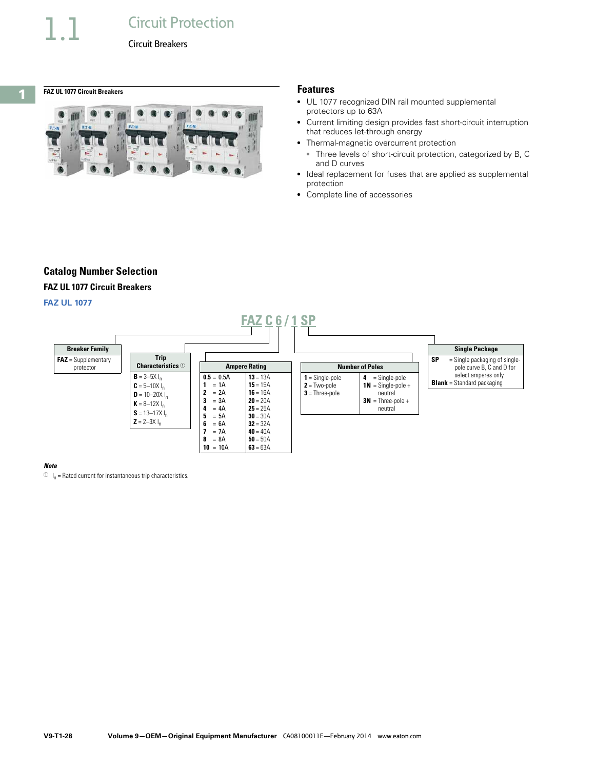# <span id="page-27-0"></span>**1**

**FAZ UL 1077 Circuit Breakers Features**



- UL 1077 recognized DIN rail mounted supplemental protectors up to 63A
- Current limiting design provides fast short-circuit interruption that reduces let-through energy
- Thermal-magnetic overcurrent protection
- Three levels of short-circuit protection, categorized by B, C and D curves
- Ideal replacement for fuses that are applied as supplemental protection
- Complete line of accessories

# **Catalog Number Selection**

#### **FAZ UL 1077 Circuit Breakers**

#### **FAZ UL 1077**



#### *Note*

 $\circlearrowleft$  I<sub>n</sub> = Rated current for instantaneous trip characteristics.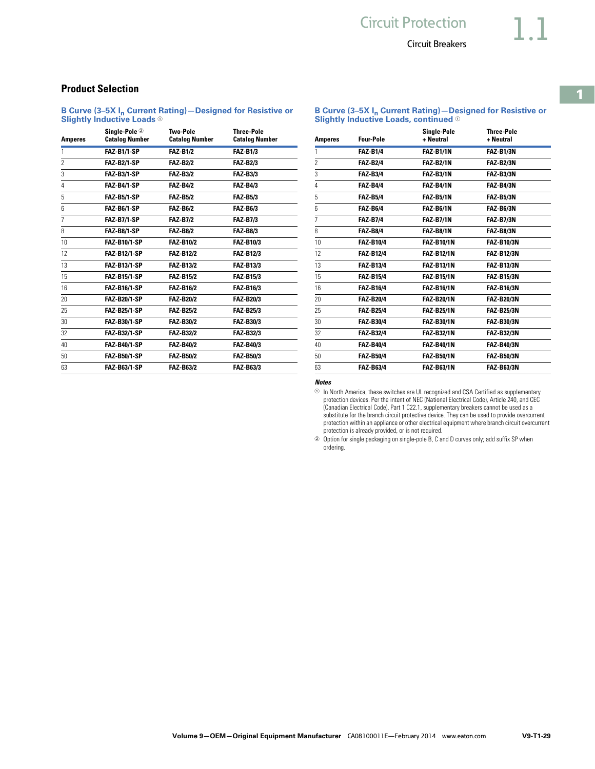**B Curve (3–5X In Current Rating)—Designed for Resistive or Slightly Inductive Loads, continued** <sup>1</sup>

**B Curve (3–5X In Current Rating)—Designed for Resistive or Slightly Inductive Loads** <sup>1</sup>

**Product Selection** 

| <b>Amperes</b> | Single-Pole ②<br><b>Catalog Number</b> | Two-Pole<br><b>Catalog Number</b> | <b>Three-Pole</b><br><b>Catalog Number</b> |
|----------------|----------------------------------------|-----------------------------------|--------------------------------------------|
| 1              | <b>FAZ-B1/1-SP</b>                     | <b>FAZ-B1/2</b>                   | <b>FAZ-B1/3</b>                            |
| $\overline{2}$ | <b>FAZ-B2/1-SP</b>                     | <b>FAZ-B2/2</b>                   | <b>FAZ-B2/3</b>                            |
| 3              | <b>FAZ-B3/1-SP</b>                     | <b>FAZ-B3/2</b>                   | <b>FAZ-B3/3</b>                            |
| 4              | FAZ-B4/1-SP                            | <b>FAZ-B4/2</b>                   | <b>FAZ-B4/3</b>                            |
| 5              | FAZ-B5/1-SP                            | <b>FAZ B5/2</b>                   | <b>FAZ B5/3</b>                            |
| 6              | <b>FAZ-B6/1-SP</b>                     | <b>FAZ-B6/2</b>                   | <b>FAZ-B6/3</b>                            |
| $\overline{7}$ | <b>FAZ-B7/1-SP</b>                     | <b>FAZ B7/2</b>                   | <b>FAZ B7/3</b>                            |
| 8              | FAZ-B8/1-SP                            | <b>FAZ-B8/2</b>                   | <b>FAZ-B8/3</b>                            |
| 10             | <b>FAZ-B10/1-SP</b>                    | <b>FAZ-B10/2</b>                  | <b>FAZ-B10/3</b>                           |
| 12             | <b>FAZ-B12/1-SP</b>                    | <b>FAZ-B12/2</b>                  | <b>FAZ-B12/3</b>                           |
| 13             | <b>FAZ-B13/1-SP</b>                    | <b>FAZ-B13/2</b>                  | <b>FAZ B13/3</b>                           |
| 15             | <b>FAZ B15/1 SP</b>                    | <b>FAZ-B15/2</b>                  | <b>FAZ-B15/3</b>                           |
| 16             | <b>FAZ-B16/1-SP</b>                    | <b>FAZ B16/2</b>                  | <b>FAZ B16/3</b>                           |
| 20             | <b>FAZ-B20/1-SP</b>                    | <b>FAZ-B20/2</b>                  | <b>FAZ-B20/3</b>                           |
| 25             | <b>FAZ-B25/1-SP</b>                    | <b>FAZ-B25/2</b>                  | <b>FAZ-B25/3</b>                           |
| 30             | <b>FAZ-B30/1-SP</b>                    | <b>FAZ-B30/2</b>                  | <b>FAZ-B30/3</b>                           |
| 32             | <b>FAZ-B32/1-SP</b>                    | <b>FAZ-B32/2</b>                  | <b>FAZ-B32/3</b>                           |
| 40             | <b>FAZ-B40/1-SP</b>                    | <b>FAZ-B40/2</b>                  | <b>FAZ-B40/3</b>                           |
| 50             | <b>FAZ-B50/1-SP</b>                    | <b>FAZ B50/2</b>                  | <b>FAZ-B50/3</b>                           |
| 63             | <b>FAZ-B63/1-SP</b>                    | <b>FAZ-B63/2</b>                  | <b>FAZ-B63/3</b>                           |

| <b>Amperes</b> | <b>Four-Pole</b> | Single-Pole<br>+ Neutral | <b>Three-Pole</b><br>+ Neutral |
|----------------|------------------|--------------------------|--------------------------------|
| 1              | <b>FAZ-B1/4</b>  | <b>FAZ-B1/1N</b>         | FAZ-B1/3N                      |
| $\overline{2}$ | <b>FAZ-B2/4</b>  | <b>FAZ-B2/1N</b>         | FAZ-B2/3N                      |
| 3              | <b>FAZ-B3/4</b>  | <b>FAZ-B3/1N</b>         | FAZ-B3/3N                      |
| 4              | <b>FAZ-B4/4</b>  | <b>FAZ-B4/1N</b>         | FAZ-B4/3N                      |
| 5              | <b>FAZ-B5/4</b>  | <b>FAZ-B5/1N</b>         | FAZ-B5/3N                      |
| 6              | <b>FAZ-B6/4</b>  | <b>FAZ-B6/1N</b>         | <b>FAZ-B6/3N</b>               |
| $\overline{7}$ | <b>FAZ-B7/4</b>  | <b>FAZ B7/1N</b>         | FAZ B7/3N                      |
| 8              | <b>FAZ-B8/4</b>  | <b>FAZ-B8/1N</b>         | FAZ-B8/3N                      |
| 10             | <b>FAZ-B10/4</b> | <b>FAZ-B10/1N</b>        | <b>FAZ-B10/3N</b>              |
| 12             | <b>FAZ-B12/4</b> | <b>FAZ-B12/1N</b>        | <b>FAZ-B12/3N</b>              |
| 13             | <b>FAZ-B13/4</b> | <b>FAZ-B13/1N</b>        | <b>FAZ-B13/3N</b>              |
| 15             | <b>FAZ-B15/4</b> | <b>FAZ-B15/1N</b>        | <b>FAZ-B15/3N</b>              |
| 16             | <b>FAZ-B16/4</b> | <b>FAZ-B16/1N</b>        | <b>FAZ-B16/3N</b>              |
| 20             | <b>FAZ-B20/4</b> | <b>FAZ-B20/1N</b>        | <b>FAZ-B20/3N</b>              |
| 25             | <b>FAZ-B25/4</b> | <b>FAZ-B25/1N</b>        | <b>FAZ-B25/3N</b>              |
| 30             | <b>FAZ-B30/4</b> | <b>FAZ-B30/1N</b>        | <b>FAZ-B30/3N</b>              |
| 32             | <b>FAZ-B32/4</b> | <b>FAZ-B32/1N</b>        | <b>FAZ-B32/3N</b>              |
| 40             | <b>FAZ-B40/4</b> | <b>FAZ-B40/1N</b>        | <b>FAZ-B40/3N</b>              |
| 50             | <b>FAZ-B50/4</b> | <b>FAZ-B50/1N</b>        | <b>FAZ-B50/3N</b>              |
| 63             | <b>FAZ-B63/4</b> | <b>FAZ-B63/1N</b>        | <b>FAZ-B63/3N</b>              |

#### *Notes*

 In North America, these switches are UL recognized and CSA Certified as supplementary protection devices. Per the intent of NEC (National Electrical Code), Article 240, and CEC (Canadian Electrical Code), Part 1 C22.1, supplementary breakers cannot be used as a substitute for the branch circuit protective device. They can be used to provide overcurrent protection within an appliance or other electrical equipment where branch circuit overcurrent protection is already provided, or is not required.

 Option for single packaging on single-pole B, C and D curves only; add suffix SP when ordering.

#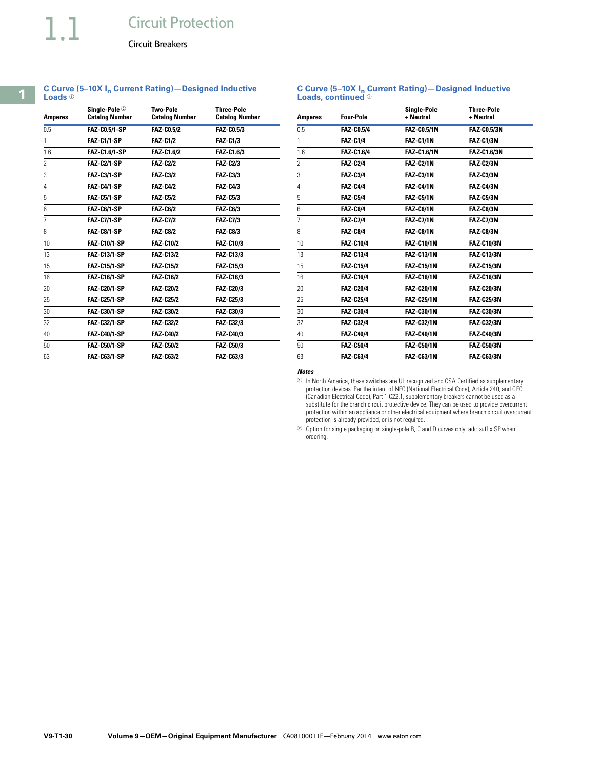**Loads**  $0$ 

Circuit Breakers

**C Curve (5–10X In Current Rating)—Designed Inductive** 

| <b>Amperes</b> | Sinale-Pole 2<br><b>Catalog Number</b> | <b>Two-Pole</b><br><b>Catalog Number</b> | <b>Three-Pole</b><br><b>Catalog Number</b> |
|----------------|----------------------------------------|------------------------------------------|--------------------------------------------|
| 0.5            | <b>FAZ-C0.5/1-SP</b>                   | <b>FAZ-C0.5/2</b>                        | <b>FAZ CO.5/3</b>                          |
| 1              | <b>FAZ-C1/1-SP</b>                     | <b>FAZ-C1/2</b>                          | <b>FAZ-C1/3</b>                            |
| 1.6            | <b>FAZ-C1.6/1-SP</b>                   | <b>FAZ-C1.6/2</b>                        | <b>FAZ-C1.6/3</b>                          |
| 2              | <b>FAZ-C2/1-SP</b>                     | <b>FAZ-C2/2</b>                          | <b>FAZ-C2/3</b>                            |
| 3              | <b>FAZ-C3/1-SP</b>                     | <b>FAZ-C3/2</b>                          | <b>FAZ-C3/3</b>                            |
| 4              | <b>FAZ-C4/1-SP</b>                     | <b>FAZ-C4/2</b>                          | <b>FAZ-C4/3</b>                            |
| 5              | <b>FAZ-C5/1-SP</b>                     | <b>FAZ C5/2</b>                          | <b>FAZ-C5/3</b>                            |
| 6              | FAZ-C6/1-SP                            | <b>FAZ-C6/2</b>                          | <b>FAZ-C6/3</b>                            |
| 7              | <b>FAZ-C7/1-SP</b>                     | <b>FAZ C7/2</b>                          | <b>FAZ C7/3</b>                            |
| 8              | FAZ-C8/1-SP                            | <b>FAZ-C8/2</b>                          | <b>FAZ-C8/3</b>                            |
| 10             | <b>FAZ-C10/1-SP</b>                    | <b>FAZ-C10/2</b>                         | <b>FAZ-C10/3</b>                           |
| 13             | <b>FAZ-C13/1-SP</b>                    | <b>FAZ-C13/2</b>                         | <b>FAZ-C13/3</b>                           |
| 15             | <b>FAZ-C15/1-SP</b>                    | <b>FAZ-C15/2</b>                         | <b>FAZ-C15/3</b>                           |
| 16             | <b>FAZ-C16/1-SP</b>                    | <b>FAZ-C16/2</b>                         | <b>FAZ-C16/3</b>                           |
| 20             | <b>FAZ-C20/1-SP</b>                    | <b>FAZ-C20/2</b>                         | <b>FAZ-C20/3</b>                           |
| 25             | <b>FAZ-C25/1-SP</b>                    | <b>FAZ-C25/2</b>                         | <b>FAZ-C25/3</b>                           |
| 30             | <b>FAZ-C30/1-SP</b>                    | <b>FAZ-C30/2</b>                         | <b>FAZ-C30/3</b>                           |
| 32             | <b>FAZ-C32/1-SP</b>                    | <b>FAZ-C32/2</b>                         | <b>FAZ-C32/3</b>                           |
| 40             | <b>FAZ-C40/1-SP</b>                    | <b>FAZ-C40/2</b>                         | <b>FAZ-C40/3</b>                           |
| 50             | <b>FAZ-C50/1-SP</b>                    | <b>FAZ-C50/2</b>                         | <b>FAZ-C50/3</b>                           |
| 63             | <b>FAZ-C63/1-SP</b>                    | <b>FAZ-C63/2</b>                         | <b>FAZ-C63/3</b>                           |

#### **C Curve (5–10X In Current Rating)—Designed Inductive Loads, continued**  $\odot$

| <b>Amperes</b>  | <b>Four-Pole</b>  | Single-Pole<br>+ Neutral | <b>Three-Pole</b><br>+ Neutral |
|-----------------|-------------------|--------------------------|--------------------------------|
| 0.5             | <b>FAZ-C0.5/4</b> | <b>FAZ-C0.5/1N</b>       | <b>FAZ-C0.5/3N</b>             |
| 1               | <b>FAZ-C1/4</b>   | <b>FAZ-C1/1N</b>         | <b>FAZ-C1/3N</b>               |
| 1.6             | <b>FAZ-C1.6/4</b> | <b>FAZ-C1.6/1N</b>       | <b>FAZ-C1.6/3N</b>             |
| 2               | <b>FAZ-C2/4</b>   | <b>FAZ-C2/1N</b>         | <b>FAZ-C2/3N</b>               |
| 3               | <b>FAZ-C3/4</b>   | <b>FAZ-C3/1N</b>         | <b>FAZ-C3/3N</b>               |
| 4               | <b>FAZ-C4/4</b>   | <b>FAZ-C4/1N</b>         | FAZ-C4/3N                      |
| 5               | <b>FAZ-C5/4</b>   | <b>FAZ-C5/1N</b>         | FAZ C5/3N                      |
| 6               | <b>FAZ-C6/4</b>   | <b>FAZ-C6/1N</b>         | FAZ-C6/3N                      |
| 7               | <b>FAZ-C7/4</b>   | <b>FAZ-C7/1N</b>         | <b>FAZ-C7/3N</b>               |
| 8               | <b>FAZ-C8/4</b>   | <b>FAZ-C8/1N</b>         | <b>FAZ C8/3N</b>               |
| 10              | <b>FAZ-C10/4</b>  | <b>FAZ-C10/1N</b>        | <b>FAZ-C10/3N</b>              |
| 13              | <b>FAZ-C13/4</b>  | <b>FAZ-C13/1N</b>        | <b>FAZ-C13/3N</b>              |
| 15              | <b>FAZ-C15/4</b>  | <b>FAZ-C15/1N</b>        | <b>FAZ-C15/3N</b>              |
| 16              | <b>FAZ-C16/4</b>  | <b>FAZ-C16/1N</b>        | <b>FAZ-C16/3N</b>              |
| 20              | <b>FAZ-C20/4</b>  | <b>FAZ-C20/1N</b>        | <b>FAZ-C20/3N</b>              |
| 25              | <b>FAZ-C25/4</b>  | <b>FAZ-C25/1N</b>        | <b>FAZ-C25/3N</b>              |
| 30              | <b>FAZ-C30/4</b>  | <b>FAZ-C30/1N</b>        | <b>FAZ-C30/3N</b>              |
| 32              | <b>FAZ-C32/4</b>  | <b>FAZ-C32/1N</b>        | <b>FAZ-C32/3N</b>              |
| 40              | <b>FAZ-C40/4</b>  | <b>FAZ-C40/1N</b>        | <b>FAZ-C40/3N</b>              |
| 50 <sub>2</sub> | <b>FAZ-C50/4</b>  | <b>FAZ-C50/1N</b>        | <b>FAZ-C50/3N</b>              |
| 63              | <b>FAZ-C63/4</b>  | <b>FAZ-C63/1N</b>        | <b>FAZ-C63/3N</b>              |

*Notes*

 $\odot$  In North America, these switches are UL recognized and CSA Certified as supplementary protection devices. Per the intent of NEC (National Electrical Code), Article 240, and CEC (Canadian Electrical Code), Part 1 C22.1, supplementary breakers cannot be used as a substitute for the branch circuit protective device. They can be used to provide overcurrent protection within an appliance or other electrical equipment where branch circuit overcurrent protection is already provided, or is not required.

<sup>2</sup> Option for single packaging on single-pole B, C and D curves only; add suffix SP when ordering.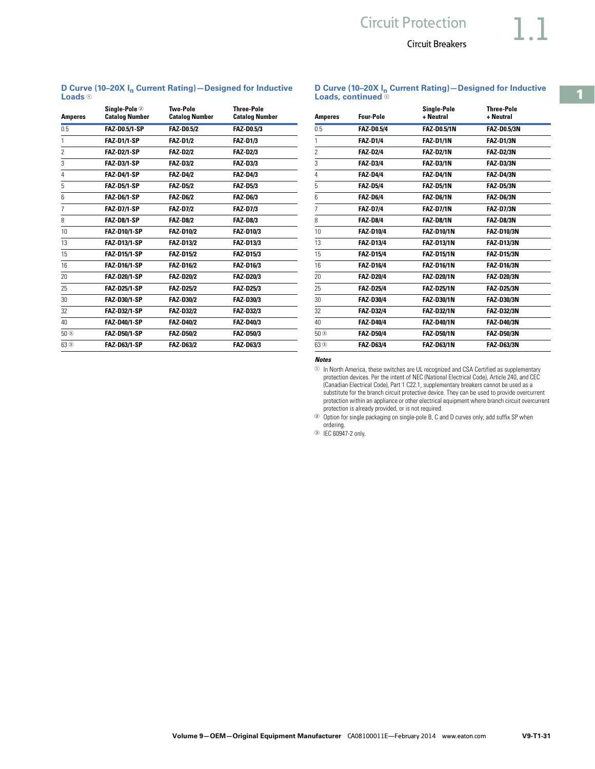**D Curve (10–20X In Current Rating)—Designed for Inductive Loads, continued** <sup>1</sup>

**D Curve (10-20X I<sub>n</sub> Current Rating)–Designed for Inductive Loads**

| <b>Amperes</b>    | Single-Pole <sup>2</sup><br><b>Catalog Number</b> | <b>Two-Pole</b><br><b>Catalog Number</b> | <b>Three-Pole</b><br><b>Catalog Number</b> |
|-------------------|---------------------------------------------------|------------------------------------------|--------------------------------------------|
| 0.5               | <b>FAZ-D0.5/1-SP</b>                              | <b>FAZ-D0.5/2</b>                        | <b>FAZ-D0.5/3</b>                          |
| 1                 | <b>FAZ-D1/1-SP</b>                                | <b>FAZ-D1/2</b>                          | <b>FAZ-D1/3</b>                            |
| $\overline{2}$    | <b>FAZ-D2/1-SP</b>                                | <b>FAZ-D2/2</b>                          | <b>FAZ-D2/3</b>                            |
| 3                 | <b>FAZ-D3/1-SP</b>                                | <b>FAZ-D3/2</b>                          | <b>FAZ-D3/3</b>                            |
| 4                 | <b>FAZ-D4/1-SP</b>                                | <b>FAZ-D4/2</b>                          | <b>FAZ-D4/3</b>                            |
| 5                 | <b>FAZ-D5/1-SP</b>                                | <b>FAZ-D5/2</b>                          | <b>FAZ D5/3</b>                            |
| 6                 | <b>FAZ-D6/1-SP</b>                                | <b>FAZ-D6/2</b>                          | <b>FAZ-D6/3</b>                            |
| 7                 | <b>FAZ-D7/1-SP</b>                                | <b>FAZ D7/2</b>                          | <b>FAZ D7/3</b>                            |
| 8                 | FAZ-D8/1-SP                                       | <b>FAZ-D8/2</b>                          | <b>FAZ-D8/3</b>                            |
| 10                | <b>FAZ-D10/1-SP</b>                               | <b>FAZ-D10/2</b>                         | <b>FAZ-D10/3</b>                           |
| 13                | <b>FAZ-D13/1-SP</b>                               | <b>FAZ-D13/2</b>                         | <b>FAZ-D13/3</b>                           |
| 15                | <b>FAZ-D15/1-SP</b>                               | <b>FAZ D15/2</b>                         | <b>FAZ-D15/3</b>                           |
| 16                | <b>FAZ-D16/1-SP</b>                               | <b>FAZ-D16/2</b>                         | <b>FAZ-D16/3</b>                           |
| 20                | <b>FAZ-D20/1-SP</b>                               | <b>FAZ-D20/2</b>                         | <b>FAZ-D20/3</b>                           |
| 25                | <b>FAZ-D25/1-SP</b>                               | <b>FAZ-D25/2</b>                         | <b>FAZ-D25/3</b>                           |
| 30                | FAZ-D30/1-SP                                      | <b>FAZ-D30/2</b>                         | <b>FAZ-D30/3</b>                           |
| 32                | <b>FAZ-D32/1-SP</b>                               | <b>FAZ-D32/2</b>                         | <b>FAZ D32/3</b>                           |
| 40                | <b>FAZ-D40/1-SP</b>                               | <b>FAZ-D40/2</b>                         | FAZ-D40/3                                  |
| $50$ <sup>3</sup> | <b>FAZ-D50/1-SP</b>                               | <b>FAZ D50/2</b>                         | <b>FAZ-D50/3</b>                           |
| $63$ <sup>3</sup> | <b>FAZ-D63/1-SP</b>                               | <b>FAZ-D63/2</b>                         | <b>FAZ-D63/3</b>                           |

| <b>Amperes</b>    | Four-Pole         | Single-Pole<br>+ Neutral | <b>Three-Pole</b><br>+ Neutral |
|-------------------|-------------------|--------------------------|--------------------------------|
| 0.5               | <b>FAZ-D0.5/4</b> | <b>FAZ-D0.5/1N</b>       | <b>FAZ-D0.5/3N</b>             |
| 1                 | <b>FAZ-D1/4</b>   | <b>FAZ-D1/1N</b>         | <b>FAZ-D1/3N</b>               |
| $\overline{2}$    | <b>FAZ-D2/4</b>   | <b>FAZ-D2/1N</b>         | <b>FAZ-D2/3N</b>               |
| 3                 | <b>FAZ-D3/4</b>   | <b>FAZ-D3/1N</b>         | <b>FAZ-D3/3N</b>               |
| 4                 | <b>FAZ-D4/4</b>   | <b>FAZ-D4/1N</b>         | <b>FAZ-D4/3N</b>               |
| 5                 | <b>FAZ-D5/4</b>   | <b>FAZ-D5/1N</b>         | <b>FAZ-D5/3N</b>               |
| 6                 | <b>FAZ-D6/4</b>   | <b>FAZ-D6/1N</b>         | <b>FAZ-D6/3N</b>               |
| 7                 | <b>FAZ-D7/4</b>   | <b>FAZ-D7/1N</b>         | <b>FAZ-D7/3N</b>               |
| 8                 | <b>FAZ-D8/4</b>   | <b>FAZ-D8/1N</b>         | <b>FAZ-D8/3N</b>               |
| 10                | <b>FAZ-D10/4</b>  | <b>FAZ-D10/1N</b>        | <b>FAZ-D10/3N</b>              |
| 13                | <b>FAZ-D13/4</b>  | <b>FAZ-D13/1N</b>        | <b>FAZ-D13/3N</b>              |
| 15                | <b>FAZ-D15/4</b>  | <b>FAZ-D15/1N</b>        | <b>FAZ-D15/3N</b>              |
| 16                | <b>FAZ-D16/4</b>  | <b>FAZ-D16/1N</b>        | <b>FAZ-D16/3N</b>              |
| 20                | <b>FAZ-D20/4</b>  | <b>FAZ-D20/1N</b>        | <b>FAZ-D20/3N</b>              |
| 25                | <b>FAZ-D25/4</b>  | <b>FAZ-D25/1N</b>        | <b>FAZ-D25/3N</b>              |
| 30                | <b>FAZ-D30/4</b>  | <b>FAZ-D30/1N</b>        | <b>FAZ-D30/3N</b>              |
| 32                | <b>FAZ-D32/4</b>  | <b>FAZ-D32/1N</b>        | <b>FAZ-D32/3N</b>              |
| 40                | <b>FAZ-D40/4</b>  | <b>FAZ-D40/1N</b>        | <b>FAZ-D40/3N</b>              |
| $50$ <sup>3</sup> | <b>FAZ-D50/4</b>  | <b>FAZ-D50/1N</b>        | <b>FAZ-D50/3N</b>              |
| $63$ <sup>3</sup> | <b>FAZ-D63/4</b>  | <b>FAZ-D63/1N</b>        | <b>FAZ-D63/3N</b>              |

#### *Notes*

 In North America, these switches are UL recognized and CSA Certified as supplementary protection devices. Per the intent of NEC (National Electrical Code), Article 240, and CEC (Canadian Electrical Code), Part 1 C22.1, supplementary breakers cannot be used as a substitute for the branch circuit protective device. They can be used to provide overcurrent protection within an appliance or other electrical equipment where branch circuit overcurrent protection is already provided, or is not required.

 Option for single packaging on single-pole B, C and D curves only; add suffix SP when ordering.

IEC 60947-2 only.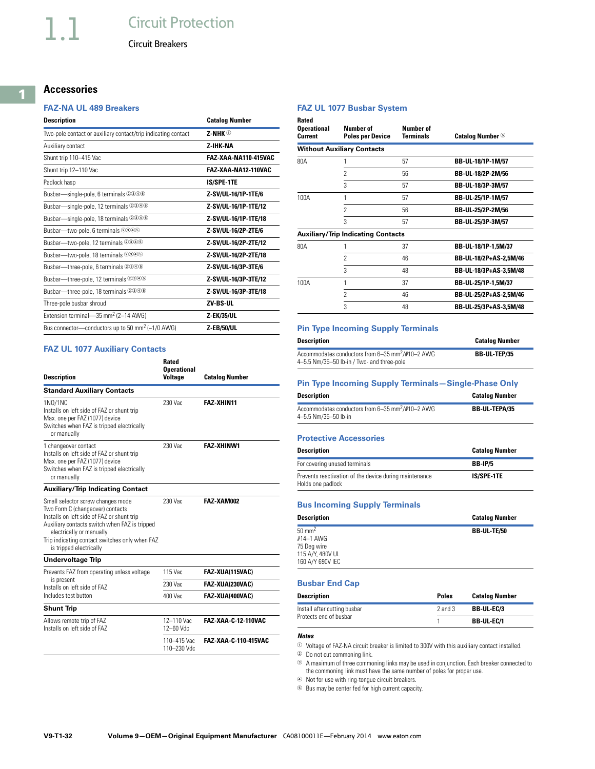# **Circuit Protection**

Circuit Breakers

# **Accessories**

#### **FAZ-NA UL 489 Breakers**

| <b>Description</b>                                            | <b>Catalog Number</b> |
|---------------------------------------------------------------|-----------------------|
| Two-pole contact or auxiliary contact/trip indicating contact | 7-NHK ①               |
| Auxiliary contact                                             | 7-IHK-NA              |
| Shunt trip 110-415 Vac                                        | FA7-XAA-NA110-415VAC  |
| Shunt trip 12-110 Vac                                         | FAZ-XAA-NA12-110VAC   |
| Padlock hasp                                                  | <b>IS/SPE-1TE</b>     |
| Busbar-single-pole, 6 terminals 2346                          | Z-SV/UL-16/1P-1TE/6   |
| Busbar—single-pole, 12 terminals 2346                         | Z-SV/UL-16/1P-1TE/12  |
| Busbar-single-pole, 18 terminals 2346                         | Z-SV/UL-16/1P-1TE/18  |
| Busbar—two-pole, 6 terminals 2346                             | Z-SV/UL-16/2P-2TE/6   |
| Busbar-two-pole, 12 terminals 2346                            | Z-SV/UL-16/2P-2TE/12  |
| Busbar-two-pole, 18 terminals 2346                            | Z-SV/UL-16/2P-2TE/18  |
| Busbar-three-pole, 6 terminals 2346                           | Z-SV/UL-16/3P-3TE/6   |
| Busbar-three-pole, 12 terminals 2346                          | Z-SV/UL-16/3P-3TE/12  |
| Busbar—three-pole, 18 terminals 2346                          | Z-SV/UL-16/3P-3TE/18  |
| Three-pole busbar shroud                                      | 7V-BS-IIL             |
| Extension terminal-35 mm <sup>2</sup> (2-14 AWG)              | <b>Z-EK/35/UL</b>     |
| Bus connector—conductors up to 50 mm <sup>2</sup> (~1/0 AWG)  | <b>Z-EB/50/UL</b>     |

#### **FAZ UL 1077 Auxiliary Contacts**

| <b>Description</b>                                                                                                                                                                                                                                                            | Rated<br><b>Operational</b><br><b>Voltage</b> | <b>Catalog Number</b> |
|-------------------------------------------------------------------------------------------------------------------------------------------------------------------------------------------------------------------------------------------------------------------------------|-----------------------------------------------|-----------------------|
| <b>Standard Auxiliary Contacts</b>                                                                                                                                                                                                                                            |                                               |                       |
| 1N0/1NC<br>Installs on left side of FAZ or shunt trip<br>Max. one per FAZ (1077) device<br>Switches when FAZ is tripped electrically<br>or manually                                                                                                                           | 230 Vac                                       | FA7-XHIN11            |
| 1 changeover contact<br>Installs on left side of FAZ or shunt trip<br>Max. one per FAZ (1077) device<br>Switches when FAZ is tripped electrically<br>or manually                                                                                                              | 230 Vac                                       | <b>FAZ-XHINW1</b>     |
| <b>Auxiliary/Trip Indicating Contact</b>                                                                                                                                                                                                                                      |                                               |                       |
| Small selector screw changes mode<br>Two Form C (changeover) contacts<br>Installs on left side of FAZ or shunt trip<br>Auxiliary contacts switch when FAZ is tripped<br>electrically or manually<br>Trip indicating contact switches only when FAZ<br>is tripped electrically | 230 Vac                                       | FAZ-XAM002            |
| <b>Undervoltage Trip</b>                                                                                                                                                                                                                                                      |                                               |                       |
| Prevents FAZ from operating unless voltage                                                                                                                                                                                                                                    | 115 Vac                                       | FAZ XUA(115VAC)       |
| is present<br>Installs on left side of FAZ                                                                                                                                                                                                                                    | 230 Vac                                       | FAZ-XUA(230VAC)       |
| Includes test button                                                                                                                                                                                                                                                          | 400 Vac                                       | FAZ-XUA(400VAC)       |
| <b>Shunt Trip</b>                                                                                                                                                                                                                                                             |                                               |                       |
| Allows remote trip of FAZ<br>Installs on left side of FAZ                                                                                                                                                                                                                     | 12-110 Vac<br>12-60 Vdc                       | FAZ-XAA-C-12-110VAC   |
|                                                                                                                                                                                                                                                                               | 110-415 Vac<br>110-230 Vdc                    | FAZ-XAA-C-110-415VAC  |

#### **FAZ UL 1077 Busbar System**

| Rated<br><b>Operational</b><br>Current | Number of<br><b>Poles per Device</b>      | Numher of<br><b>Terminals</b> | <b>Catalog Number</b> <sup>6</sup> |
|----------------------------------------|-------------------------------------------|-------------------------------|------------------------------------|
|                                        | <b>Without Auxiliary Contacts</b>         |                               |                                    |
| 80A                                    |                                           | 57                            | BB-UL-18/1P-1M/57                  |
|                                        | $\mathfrak{p}$                            | 56                            | BB-UL-18/2P-2M/56                  |
|                                        | 3                                         | 57                            | BB-UL-18/3P-3M/57                  |
| 100A                                   | 1                                         | 57                            | BB-UL-25/1P-1M/57                  |
|                                        | 2                                         | 56                            | BB-UL-25/2P-2M/56                  |
|                                        | 3                                         | 57                            | BB-UL-25/3P-3M/57                  |
|                                        | <b>Auxiliary/Trip Indicating Contacts</b> |                               |                                    |
| 80A                                    | 1                                         | 37                            | BB-UL-18/1P-1,5M/37                |
|                                        | $\mathfrak{p}$                            | 46                            | BB-UL-18/2P+AS-2,5M/46             |
|                                        | 3                                         | 48                            | BB-UL-18/3P+AS-3,5M/48             |
| 100A                                   | 1                                         | 37                            | BB-UL-25/1P-1,5M/37                |
|                                        | $\mathfrak{p}$                            | 46                            | BB-UL-25/2P+AS-2.5M/46             |
|                                        | 3                                         | 48                            | BB-UL-25/3P+AS-3,5M/48             |

#### **Pin Type Incoming Supply Terminals**

| <b>Description</b>                                                                                         | <b>Catalog Number</b> |
|------------------------------------------------------------------------------------------------------------|-----------------------|
| Accommodates conductors from 6-35 mm <sup>2</sup> /#10-2 AWG<br>4-5.5 Nm/35-50 lb-in / Two- and three-pole | <b>BB UL TEP/35</b>   |

| <b>Pin Type Incoming Supply Terminals-Single-Phase Only</b>                          |                       |  |  |  |  |  |
|--------------------------------------------------------------------------------------|-----------------------|--|--|--|--|--|
| <b>Description</b>                                                                   | <b>Catalog Number</b> |  |  |  |  |  |
| Accommodates conductors from 6-35 mm <sup>2</sup> /#10-2 AWG<br>4-5.5 Nm/35-50 lb-in | <b>BB UL TEPA/35</b>  |  |  |  |  |  |

#### **Protective Accessories**

| <b>Description</b>                                                          | <b>Catalog Number</b> |
|-----------------------------------------------------------------------------|-----------------------|
| For covering unused terminals                                               | <b>BB-IP/5</b>        |
| Prevents reactivation of the device during maintenance<br>Holds one padlock | <b>IS/SPE-1TE</b>     |

#### **Bus Incoming Supply Terminals**

| <b>Description</b> | <b>Catalog Number</b> |
|--------------------|-----------------------|
| $50 \text{ mm}^2$  | <b>BB UL TE/50</b>    |
| $#14-1$ AWG        |                       |
| 75 Deg wire        |                       |
| 115 A/Y, 480V UL   |                       |
| 160 A/Y 690V IEC   |                       |

#### **Busbar End Cap**

| Description                  | <b>Poles</b> | <b>Catalog Number</b> |
|------------------------------|--------------|-----------------------|
| Install after cutting busbar | $2$ and $3$  | <b>BB-UL EC/3</b>     |
| Protects end of busbar       |              | <b>BB-UL-EC/1</b>     |

#### *Notes*

<sup>1</sup> Voltage of FAZ-NA circuit breaker is limited to 300V with this auxiliary contact installed.

<sup>2</sup> Do not cut commoning link.

<sup>3</sup> A maximum of three commoning links may be used in conjunction. Each breaker connected to the commoning link must have the same number of poles for proper use.

<sup>4</sup> Not for use with ring-tongue circuit breakers.

<sup>5</sup> Bus may be center fed for high current capacity.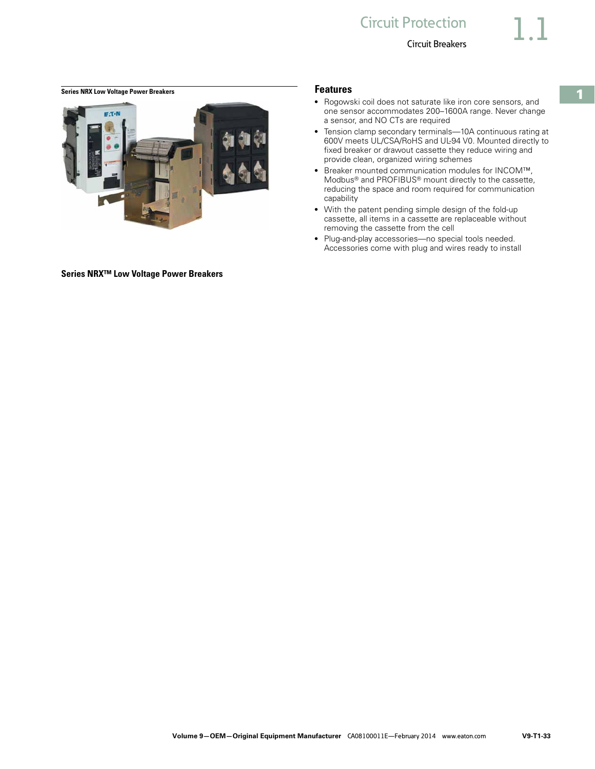# <span id="page-32-0"></span>**Series NRX Low Voltage Power Breakers Features Features**



**Series NRX™ Low Voltage Power Breakers**

- Rogowski coil does not saturate like iron core sensors, and one sensor accommodates 200–1600A range. Never change a sensor, and NO CTs are required
- Tension clamp secondary terminals-10A continuous rating at 600V meets UL/CSA/RoHS and UL-94 V0. Mounted directly to fixed breaker or drawout cassette they reduce wiring and provide clean, organized wiring schemes
- Breaker mounted communication modules for INCOM™, Modbus® and PROFIBUS® mount directly to the cassette, reducing the space and room required for communication capability
- With the patent pending simple design of the fold-up cassette, all items in a cassette are replaceable without removing the cassette from the cell
- Plug-and-play accessories—no special tools needed. Accessories come with plug and wires ready to install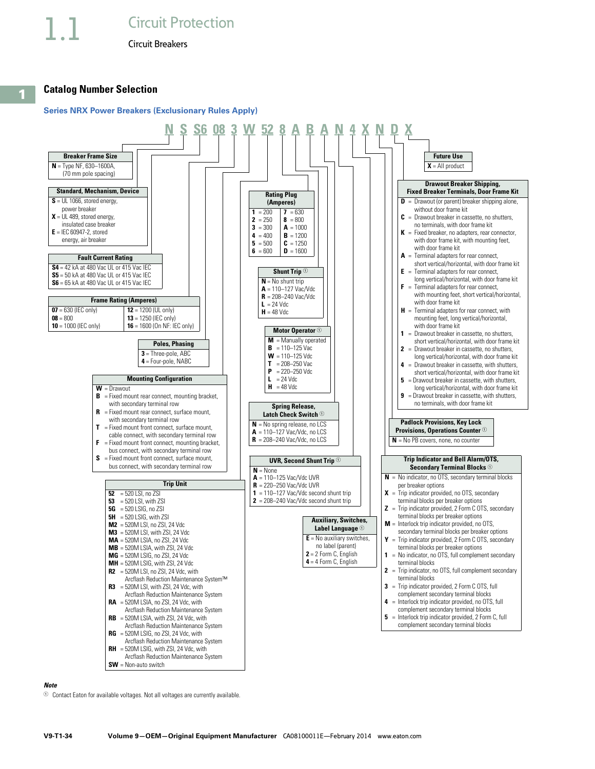**1**

Circuit Breakers

### **Catalog Number Selection**

#### **Series NRX Power Breakers (Exclusionary Rules Apply)**



#### *Note*

 $\Phi$  Contact Eaton for available voltages. Not all voltages are currently available.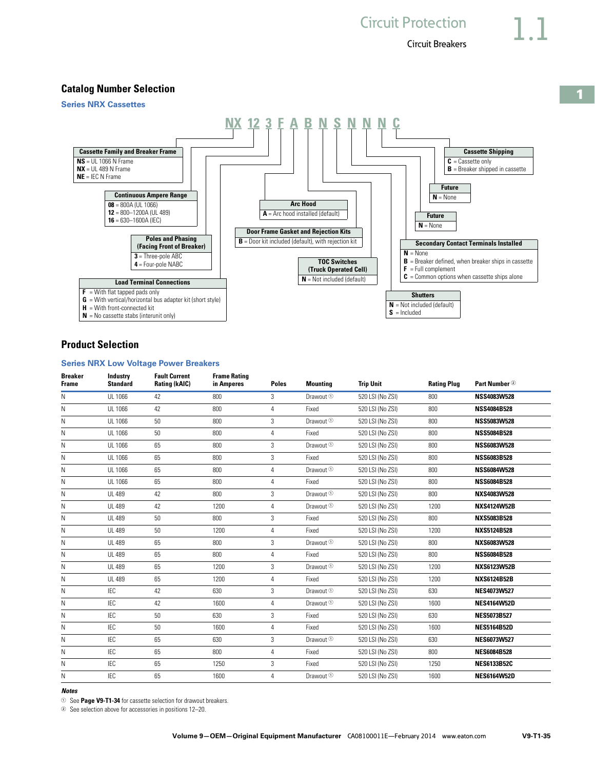**1**

Circuit Breakers

**Future N** = None

**Future N** = None

**Cassette Shipping**

**C** = Cassette only **B** = Breaker shipped in cassette

**Circuit Protection** 

### **Catalog Number Selection**

**Series NRX Cassettes** 





**NX 12 3 F A B N S N N N C**

# **Product Selection**

#### **Series NRX Low Voltage Power Breakers**

| <b>Breaker</b><br><b>Frame</b> | Industry<br><b>Standard</b> | <b>Fault Current</b><br><b>Rating (kAIC)</b> | <b>Frame Rating</b><br>in Amperes | <b>Poles</b>   | <b>Mounting</b>      | <b>Trip Unit</b> | <b>Rating Plug</b> | Part Number 2      |
|--------------------------------|-----------------------------|----------------------------------------------|-----------------------------------|----------------|----------------------|------------------|--------------------|--------------------|
| N                              | UL 1066                     | 42                                           | 800                               | 3              | Drawout <sup>①</sup> | 520 LSI (No ZSI) | 800                | <b>NSS4083W528</b> |
| N                              | UL 1066                     | 42                                           | 800                               | 4              | Fixed                | 520 LSI (No ZSI) | 800                | <b>NSS4084B528</b> |
| Ν                              | UL 1066                     | 50                                           | 800                               | 3              | Drawout <sup>1</sup> | 520 LSI (No ZSI) | 800                | <b>NSS5083W528</b> |
| Ν                              | UL 1066                     | 50                                           | 800                               | $\overline{4}$ | Fixed                | 520 LSI (No ZSI) | 800                | <b>NSS5084B528</b> |
| N                              | UL 1066                     | 65                                           | 800                               | 3              | Drawout <sup>①</sup> | 520 LSI (No ZSI) | 800                | <b>NSS6083W528</b> |
| Ν                              | UL 1066                     | 65                                           | 800                               | 3              | Fixed                | 520 LSI (No ZSI) | 800                | <b>NSS6083B528</b> |
| Ν                              | UL 1066                     | 65                                           | 800                               | 4              | Drawout <sup>①</sup> | 520 LSI (No ZSI) | 800                | <b>NSS6084W528</b> |
| Ν                              | UL 1066                     | 65                                           | 800                               | 4              | Fixed                | 520 LSI (No ZSI) | 800                | <b>NSS6084B528</b> |
| N                              | <b>UL 489</b>               | 42                                           | 800                               | 3              | Drawout <sup>①</sup> | 520 LSI (No ZSI) | 800                | NXS4083W528        |
| Ν                              | <b>UL 489</b>               | 42                                           | 1200                              | 4              | Drawout <sup>①</sup> | 520 LSI (No ZSI) | 1200               | <b>NXS4124W52B</b> |
| Ν                              | <b>UL 489</b>               | 50                                           | 800                               | 3              | Fixed                | 520 LSI (No ZSI) | 800                | <b>NXS5083B528</b> |
| Ν                              | <b>UL 489</b>               | 50                                           | 1200                              | 4              | Fixed                | 520 LSI (No ZSI) | 1200               | <b>NXS5124B528</b> |
| Ν                              | <b>UL 489</b>               | 65                                           | 800                               | 3              | Drawout <sup>1</sup> | 520 LSI (No ZSI) | 800                | NXS6083W528        |
| Ν                              | <b>UL 489</b>               | 65                                           | 800                               | $\overline{4}$ | Fixed                | 520 LSI (No ZSI) | 800                | <b>NSS6084B528</b> |
| N                              | <b>UL 489</b>               | 65                                           | 1200                              | 3              | Drawout <sup>①</sup> | 520 LSI (No ZSI) | 1200               | <b>NXS6123W52B</b> |
| N                              | <b>UL 489</b>               | 65                                           | 1200                              | $\overline{4}$ | Fixed                | 520 LSI (No ZSI) | 1200               | <b>NXS6124B52B</b> |
| Ν                              | <b>IEC</b>                  | 42                                           | 630                               | 3              | Drawout <sup>①</sup> | 520 LSI (No ZSI) | 630                | <b>NES4073W527</b> |
| Ν                              | <b>IEC</b>                  | 42                                           | 1600                              | 4              | Drawout <sup>①</sup> | 520 LSI (No ZSI) | 1600               | <b>NES4164W52D</b> |
| N                              | <b>IEC</b>                  | 50                                           | 630                               | 3              | Fixed                | 520 LSI (No ZSI) | 630                | <b>NES5073B527</b> |
| Ν                              | <b>IEC</b>                  | 50                                           | 1600                              | 4              | Fixed                | 520 LSI (No ZSI) | 1600               | <b>NES5164B52D</b> |
| N                              | <b>IEC</b>                  | 65                                           | 630                               | 3              | Drawout <sup>1</sup> | 520 LSI (No ZSI) | 630                | <b>NES6073W527</b> |
| N                              | <b>IEC</b>                  | 65                                           | 800                               | 4              | Fixed                | 520 LSI (No ZSI) | 800                | <b>NES6084B528</b> |
| N                              | <b>IEC</b>                  | 65                                           | 1250                              | 3              | Fixed                | 520 LSI (No ZSI) | 1250               | <b>NES6133B52C</b> |
| N                              | <b>IEC</b>                  | 65                                           | 1600                              | 4              | Drawout <sup>①</sup> | 520 LSI (No ZSI) | 1600               | <b>NES6164W52D</b> |

#### *Notes*

<sup>1</sup> See **Page V9-T1-34** for cassette selection for drawout breakers.

<sup>2</sup> See selection above for accessories in positions 12–20.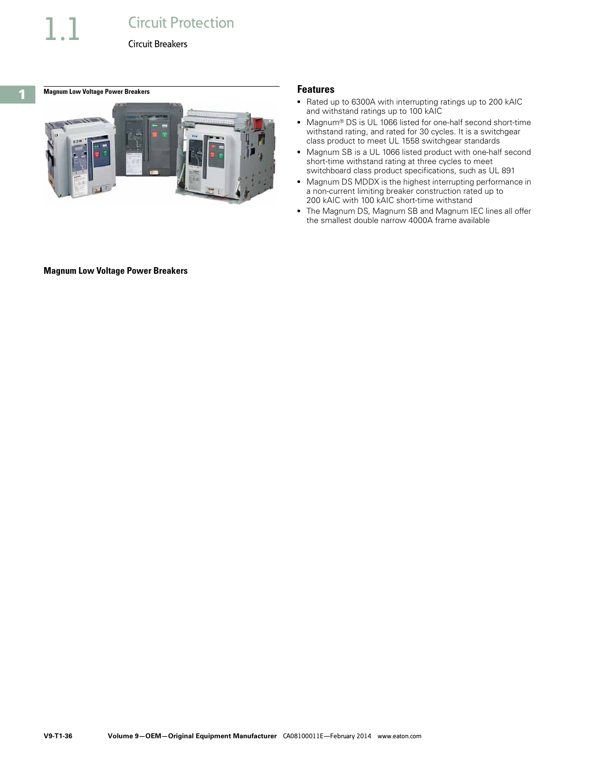# **Circuit Protection**

Circuit Breakers

<span id="page-35-0"></span>**1**

## **Magnum Low Voltage Power Breakers Features Features**



- Rated up to 6300A with interrupting ratings up to 200 kAIC and withstand ratings up to 100 kAIC
- Magnum® DS is UL 1066 listed for one-half second short-time withstand rating, and rated for 30 cycles. It is a switchgear class product to meet UL 1558 switchgear standards
- Magnum SB is a UL 1066 listed product with one-half second short-time withstand rating at three cycles to meet switchboard class product specifications, such as UL 891
- Magnum DS MDDX is the highest interrupting performance in a non-current limiting breaker construction rated up to 200 kAIC with 100 kAIC short-time withstand
- The Magnum DS, Magnum SB and Magnum IEC lines all offer the smallest double narrow 4000A frame available

#### **Magnum Low Voltage Power Breakers**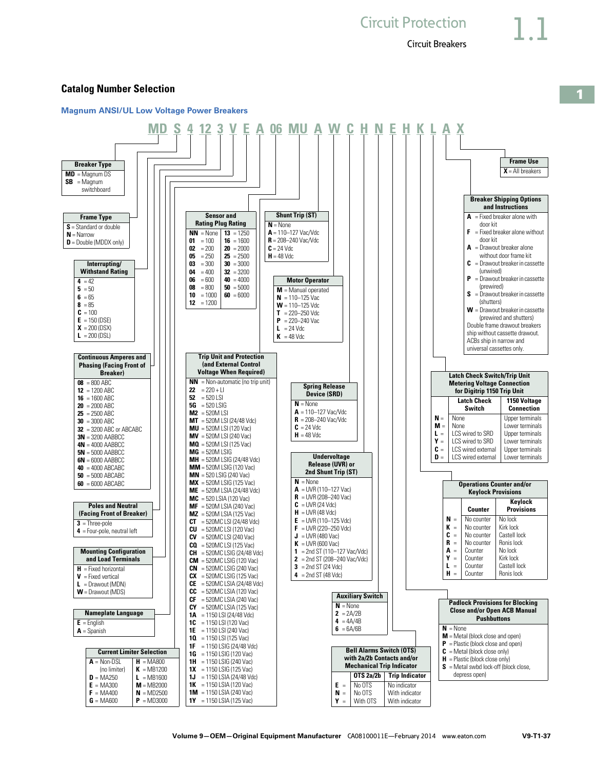

#### **Catalog Number Selection**

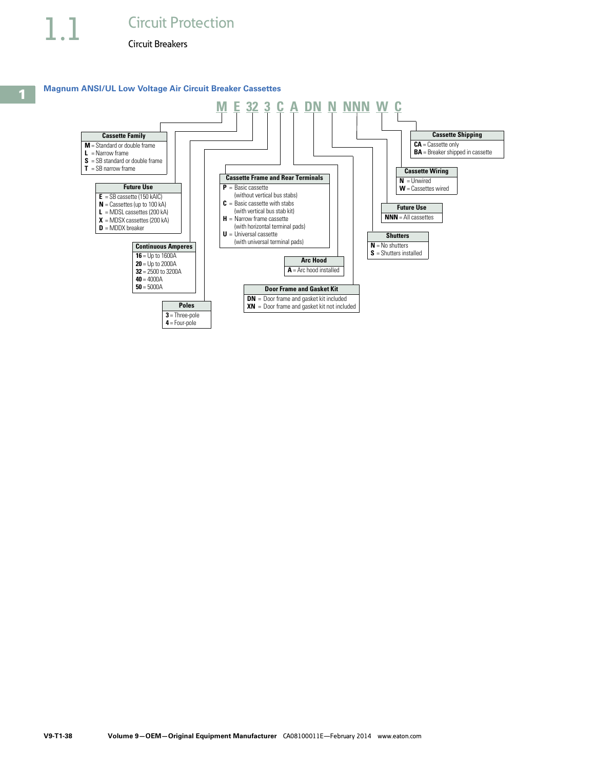

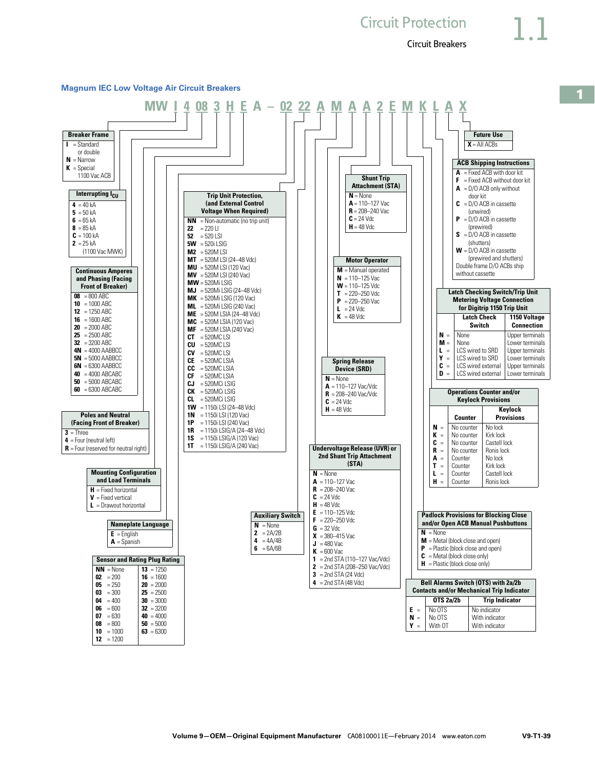# **Circuit Protection**

Circuit Breakers



#### **Magnum IEC Low Voltage Air Circuit Breakers**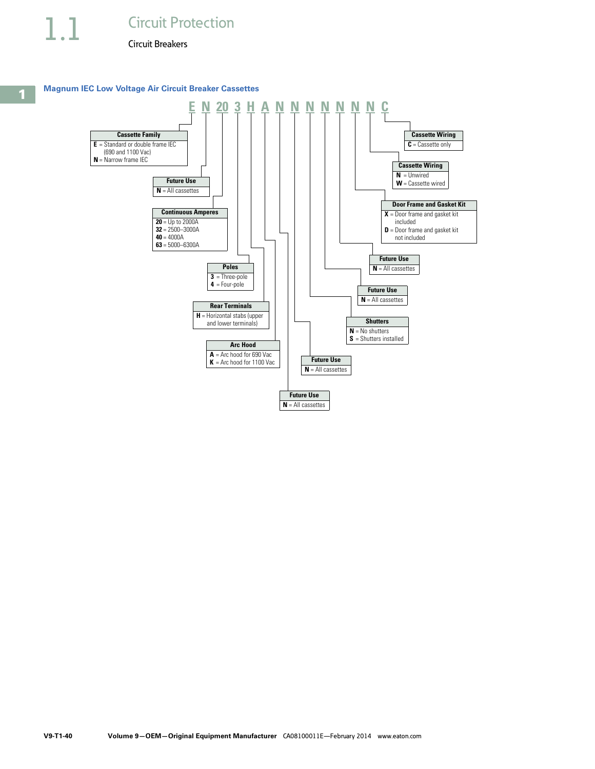#### **Magnum IEC Low Voltage Air Circuit Breaker Cassettes**

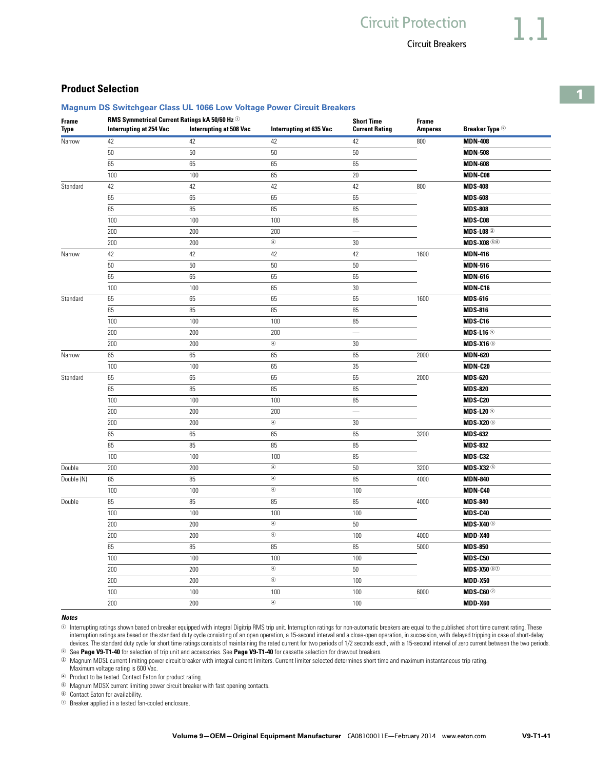**Frame** 

**Current Rating**

**Interrupting at 508 Vac Interrupting at 635 Vac Current Rating Amperes Breaker Type 2** 

#### Circuit Breakers

### **1**

### **Product Selection**

**Frame Type**

#### **Magnum DS Switchgear Class UL 1066 Low Voltage Power Circuit Breakers**

**RMS Symmetrical Current Ratings kA 50/60 Hz** <sup>1</sup> **Short Time** 

Narrow 42 42 42 42 800 **MDN-408** 50 50 50 50 **MDN-508** 65 65 65 65 **MDN-608** 100 100 65 20 **MDN-C08** Standard 42 42 42 42 800 **MDS-408** 65 65 65 65 **MDS-608** 85 85 85 85 **MDS-808** 100 **MDS-C08** 100 **100** 100 100 100 85 **MDS-C08** 200 200 200 — **MDS-L08** <sup>3</sup> 200 **MDS-X08** 30 **MDS-X08** Narrow 42 42 42 42 1600 **MDN-416** 50 50 50 50 **MDN-516** 65 65 65 65 **MDN-616** 100 **MDN-C16 100 100 65 100 100 100 100 100 100 100 100 100 100 100 100 110 110** Standard 65 65 65 65 1600 **MDS-616** 85 85 85 85 **MDS-816** 100 **MDS-C16** 100 **100** 100 **100** 100 **85 100 <b>MDS-C16** 200 200 200 — **MDS-L16** <sup>3</sup> 200 **MDS-X16** 30 **MDS-X16** 30 **MDS-X16** 30 **MDS-X16** 30 **MDS-X16** 30 **MDS-X16** 30 **MDS-X16**  $\bullet$ Narrow 65 65 65 65 2000 **MDN-620** 100 **MDN-C20 100** 65 35 **MDN-C20** Standard 65 65 65 65 2000 **MDS-620** 85 85 85 85 **MDS-820** 100 100 100 85 **MDS-C20** 200 200 200 — **MDS-L20** <sup>3</sup> 200 **MDS-X20** 30 **MDS-X20** 30 **MDS-X20** 30 65 65 65 65 3200 **MDS-632** 85 85 85 85 **MDS-832** 100 100 100 85 **MDS-C32** Double 200 200 <sup>4</sup> 50 3200 **MDS-X32** <sup>5</sup> Double (N) 85 85 <sup>4</sup> 85 4000 **MDN-840** 100 100 <sup>4</sup> 100 **MDN-C40** Double 85 85 85 85 4000 **MDS-840** 100 100 100 100 **MDS-C40** 200 200 <sup>4</sup> 50 **MDS-X40** <sup>5</sup> 200 200 <sup>4</sup> 100 4000 **MDD-X40** 85 85 85 85 5000 **MDS-850** 100 100 100 100 **MDS-C50** 200 200 <sup>4</sup> 50 **MDS-X50** <sup>57</sup> 200 200 <sup>4</sup> 100 **MDD-X50** 100 100 100 100 6000 **MDS-C60** <sup>7</sup> 200 200 <sup>4</sup> 100 **MDD-X60**

#### *Notes*

 $\circ$  Interrupting ratings shown based on breaker equipped with integral Digitrip RMS trip unit. Interruption ratings for non-automatic breakers are equal to the published short time current rating. These interruption ratings are based on the standard duty cycle consisting of an open operation, a 15-second interval and a close-open operation, in succession, with delayed tripping in case of short-delay devices. The standard duty cycle for short time ratings consists of maintaining the rated current for two periods of 1/2 seconds each, with a 15-second interval of zero current between the two periods. <sup>2</sup> See **Page V9-T1-40** for selection of trip unit and accessories. See **Page V9-T1-40** for cassette selection for drawout breakers.

<sup>3</sup> Magnum MDSL current limiting power circuit breaker with integral current limiters. Current limiter selected determines short time and maximum instantaneous trip rating.

Maximum voltage rating is 600 Vac. <sup>4</sup> Product to be tested. Contact Eaton for product rating.

<sup>5</sup> Magnum MDSX current limiting power circuit breaker with fast opening contacts.

<sup>6</sup> Contact Eaton for availability.

<sup>7</sup> Breaker applied in a tested fan-cooled enclosure.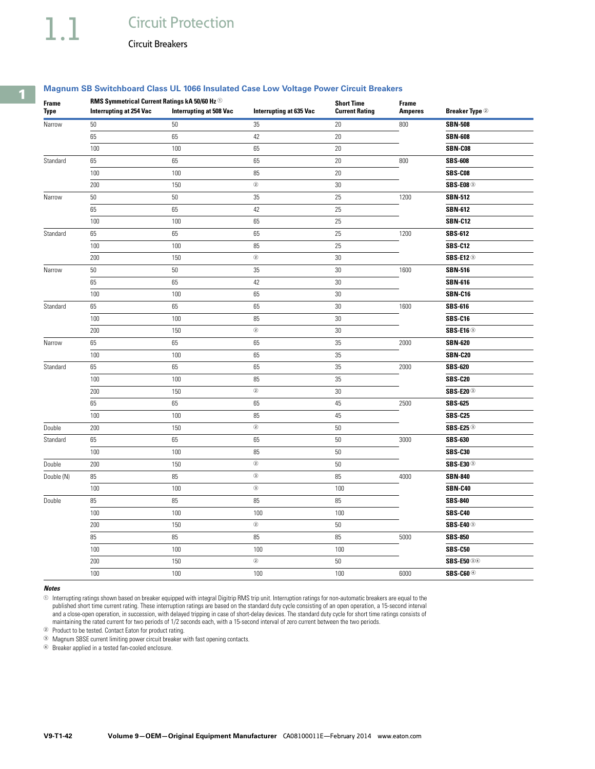# 1.1 Circuit Protection

Circuit Breakers

#### **Magnum SB Switchboard Class UL 1066 Insulated Case Low Voltage Power Circuit Breakers**

| <b>Frame</b> | RMS Symmetrical Current Ratings kA 50/60 Hz $^\circledcirc$ |                                | <b>Short Time</b>              | <b>Frame</b>          |                |                             |
|--------------|-------------------------------------------------------------|--------------------------------|--------------------------------|-----------------------|----------------|-----------------------------|
| Type         | <b>Interrupting at 254 Vac</b>                              | <b>Interrupting at 508 Vac</b> | <b>Interrupting at 635 Vac</b> | <b>Current Rating</b> | <b>Amperes</b> | <b>Breaker Type 2</b>       |
| Narrow       | 50                                                          | $50\,$                         | 35                             | $20\,$                | 800            | <b>SBN-508</b>              |
|              | 65                                                          | 65                             | 42                             | 20                    |                | <b>SBN-608</b>              |
|              | 100                                                         | 100                            | 65                             | 20                    |                | SBN-C08                     |
| Standard     | 65                                                          | 65                             | 65                             | 20                    | 800            | <b>SBS-608</b>              |
|              | 100                                                         | 100                            | 85                             | 20                    |                | SBS-C08                     |
|              | 200                                                         | 150                            | $^\copyright$                  | 30                    |                | <b>SBS-E08<sup>3</sup></b>  |
| Narrow       | 50                                                          | 50                             | 35                             | 25                    | 1200           | <b>SBN-512</b>              |
|              | 65                                                          | 65                             | 42                             | 25                    |                | <b>SBN-612</b>              |
|              | 100                                                         | 100                            | 65                             | 25                    |                | <b>SBN-C12</b>              |
| Standard     | 65                                                          | 65                             | 65                             | 25                    | 1200           | SBS-612                     |
|              | 100                                                         | 100                            | 85                             | 25                    |                | <b>SBS-C12</b>              |
|              | 200                                                         | 150                            | $^\copyright$                  | 30                    |                | SBS-E12 3                   |
| Narrow       | 50                                                          | $50\,$                         | 35                             | $30\,$                | 1600           | <b>SBN-516</b>              |
|              | 65                                                          | 65                             | 42                             | 30                    |                | <b>SBN-616</b>              |
|              | 100                                                         | 100                            | 65                             | 30                    |                | <b>SBN-C16</b>              |
| Standard     | 65                                                          | 65                             | 65                             | 30                    | 1600           | SBS-616                     |
|              | 100                                                         | 100                            | 85                             | 30                    |                | <b>SBS-C16</b>              |
|              | 200                                                         | 150                            | $^\mathrm{(2)}$                | 30                    |                | <b>SBS-E16</b> <sup>3</sup> |
| Narrow       | 65                                                          | 65                             | 65                             | 35                    | 2000           | <b>SBN-620</b>              |
|              | 100                                                         | 100                            | 65                             | 35                    |                | SBN-C20                     |
| Standard     | 65                                                          | 65                             | 65                             | 35                    | 2000           | <b>SBS-620</b>              |
|              | 100                                                         | 100                            | 85                             | 35                    |                | <b>SBS-C20</b>              |
|              | 200                                                         | 150                            | $^\mathrm{(2)}$                | 30                    |                | SBS-E20 <sup>3</sup>        |
|              | 65                                                          | 65                             | 65                             | 45                    | 2500           | <b>SBS-625</b>              |
|              | 100                                                         | 100                            | 85                             | 45                    |                | <b>SBS-C25</b>              |
| Double       | 200                                                         | 150                            | $^\mathrm{(2)}$                | 50                    |                | <b>SBS-E25</b> <sup>3</sup> |
| Standard     | 65                                                          | 65                             | 65                             | 50                    | 3000           | SBS-630                     |
|              | 100                                                         | 100                            | 85                             | 50                    |                | <b>SBS-C30</b>              |
| Double       | 200                                                         | 150                            | $^\mathrm{(2)}$                | 50                    |                | SBS-E30 3                   |
| Double (N)   | 85                                                          | 85                             | $^\circledR$                   | 85                    | 4000           | <b>SBN-840</b>              |
|              | 100                                                         | 100                            | $^\circledR$                   | 100                   |                | SBN-C40                     |
| Double       | 85                                                          | 85                             | 85                             | 85                    |                | <b>SBS-840</b>              |
|              | 100                                                         | 100                            | 100                            | 100                   |                | <b>SBS-C40</b>              |
|              | 200                                                         | 150                            | $^\copyright$                  | 50                    |                | <b>SBS-E40</b> <sup>3</sup> |
|              | 85                                                          | 85                             | 85                             | 85                    | 5000           | <b>SBS-850</b>              |
|              | 100                                                         | 100                            | 100                            | 100                   |                | <b>SBS-C50</b>              |
|              | 200                                                         | 150                            | $^\copyright$                  | 50                    |                | SBS-E50 34                  |
|              | 100                                                         | 100                            | 100                            | 100                   | 6000           | SBS-C60 4                   |

#### *Notes*

 $^\circ$  Interrupting ratings shown based on breaker equipped with integral Digitrip RMS trip unit. Interruption ratings for non-automatic breakers are equal to the published short time current rating. These interruption ratings are based on the standard duty cycle consisting of an open operation, a 15-second interval<br>and a close-open operation, in succession, with delayed tripping in maintaining the rated current for two periods of 1/2 seconds each, with a 15-second interval of zero current between the two periods.

<sup>2</sup> Product to be tested. Contact Eaton for product rating.

<sup>3</sup> Magnum SBSE current limiting power circuit breaker with fast opening contacts.

<sup>4</sup> Breaker applied in a tested fan-cooled enclosure.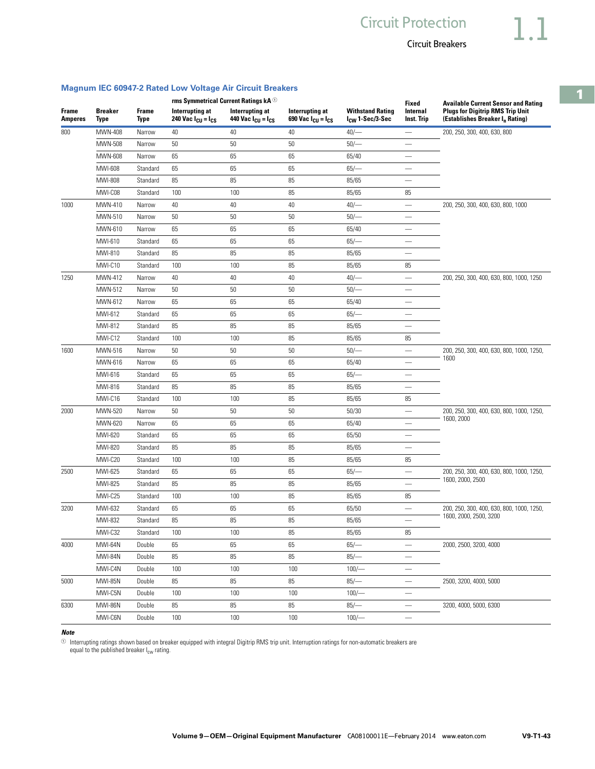## **Magnum IEC 60947-2 Rated Low Voltage Air Circuit Breakers**

|                                |                               |                      |                                                            | rms Symmetrical Current Ratings kA <sup>10</sup> |                                                            |                                                        |                          | <b>Available Current Sensor and Rating</b>                                             |  |
|--------------------------------|-------------------------------|----------------------|------------------------------------------------------------|--------------------------------------------------|------------------------------------------------------------|--------------------------------------------------------|--------------------------|----------------------------------------------------------------------------------------|--|
| <b>Frame</b><br><b>Amperes</b> | <b>Breaker</b><br><b>Type</b> | <b>Frame</b><br>Type | Interrupting at<br>240 Vac $I_{\text{CU}} = I_{\text{CS}}$ | Interrupting at<br>440 Vac $I_{CU} = I_{CS}$     | Interrupting at<br>690 Vac $I_{\text{CU}} = I_{\text{CS}}$ | <b>Withstand Rating</b><br>I <sub>CW</sub> 1-Sec/3-Sec | Internal<br>Inst. Trip   | <b>Plugs for Digitrip RMS Trip Unit</b><br>(Establishes Breaker I <sub>n</sub> Rating) |  |
| 800                            | MWN-408                       | Narrow               | 40                                                         | 40                                               | 40                                                         | $40/-$                                                 |                          | 200, 250, 300, 400, 630, 800                                                           |  |
|                                | MWN-508                       | Narrow               | 50                                                         | 50                                               | 50                                                         | 50/                                                    |                          |                                                                                        |  |
|                                | MWN-608                       | Narrow               | 65                                                         | 65                                               | 65                                                         | 65/40                                                  |                          |                                                                                        |  |
|                                | MWI-608                       | Standard             | 65                                                         | 65                                               | 65                                                         | 65/                                                    | $\overline{\phantom{0}}$ |                                                                                        |  |
|                                | MWI-808                       | Standard             | 85                                                         | 85                                               | 85                                                         | 85/65                                                  |                          |                                                                                        |  |
|                                | MWI-C08                       | Standard             | 100                                                        | 100                                              | 85                                                         | 85/65                                                  | 85                       |                                                                                        |  |
| 1000                           | MWN-410                       | Narrow               | 40                                                         | 40                                               | 40                                                         | $40/-$                                                 | $\overline{\phantom{0}}$ | 200, 250, 300, 400, 630, 800, 1000                                                     |  |
|                                | MWN-510                       | Narrow               | 50                                                         | 50                                               | 50                                                         | $50/-$                                                 |                          |                                                                                        |  |
|                                | MWN-610                       | Narrow               | 65                                                         | 65                                               | 65                                                         | 65/40                                                  |                          |                                                                                        |  |
|                                | MWI-610                       | Standard             | 65                                                         | 65                                               | 65                                                         | 65/                                                    | $\overline{\phantom{0}}$ |                                                                                        |  |
|                                | MWI-810                       | Standard             | 85                                                         | 85                                               | 85                                                         | 85/65                                                  |                          |                                                                                        |  |
|                                | MWI-C10                       | Standard             | 100                                                        | 100                                              | 85                                                         | 85/65                                                  | 85                       |                                                                                        |  |
| 1250                           | MWN-412                       | Narrow               | 40                                                         | 40                                               | 40                                                         | $40/-$                                                 | $\overline{\phantom{0}}$ | 200, 250, 300, 400, 630, 800, 1000, 1250                                               |  |
|                                | MWN-512                       | Narrow               | 50                                                         | 50                                               | 50                                                         | $50/-$                                                 |                          |                                                                                        |  |
|                                | MWN-612                       | Narrow               | 65                                                         | 65                                               | 65                                                         | 65/40                                                  |                          |                                                                                        |  |
|                                | MWI-612                       | Standard             | 65                                                         | 65                                               | 65                                                         | $65/-$                                                 | $\overline{\phantom{0}}$ |                                                                                        |  |
|                                | MWI-812                       | Standard             | 85                                                         | 85                                               | 85                                                         | 85/65                                                  |                          |                                                                                        |  |
|                                | MWI-C12                       | Standard             | 100                                                        | 100                                              | 85                                                         | 85/65                                                  | 85                       |                                                                                        |  |
| 1600                           | MWN-516                       | Narrow               | 50                                                         | 50                                               | 50                                                         | 50/                                                    |                          | 200, 250, 300, 400, 630, 800, 1000, 1250,                                              |  |
|                                | MWN-616                       | Narrow               | 65                                                         | 65                                               | 65                                                         | 65/40                                                  |                          | 1600                                                                                   |  |
|                                | MWI-616                       | Standard             | 65                                                         | 65                                               | 65                                                         | 65/                                                    |                          |                                                                                        |  |
|                                | MWI-816                       | Standard             | 85                                                         | 85                                               | 85                                                         | 85/65                                                  | $\overline{\phantom{0}}$ |                                                                                        |  |
|                                | MWI-C16                       | Standard             | 100                                                        | 100                                              | 85                                                         | 85/65                                                  | 85                       |                                                                                        |  |
| 2000                           | MWN-520                       | Narrow               | 50                                                         | 50                                               | 50                                                         | 50/30                                                  |                          | 200, 250, 300, 400, 630, 800, 1000, 1250,                                              |  |
|                                | MWN-620                       | Narrow               | 65                                                         | 65                                               | 65                                                         | 65/40                                                  |                          | 1600, 2000                                                                             |  |
|                                | MWI-620                       | Standard             | 65                                                         | 65                                               | 65                                                         | 65/50                                                  |                          |                                                                                        |  |
|                                | MWI-820                       | Standard             | 85                                                         | 85                                               | 85                                                         | 85/65                                                  | $\qquad \qquad$          |                                                                                        |  |
|                                | MWI-C20                       | Standard             | 100                                                        | 100                                              | 85                                                         | 85/65                                                  | 85                       |                                                                                        |  |
| 2500                           | MWI-625                       | Standard             | 65                                                         | 65                                               | 65                                                         | 65/                                                    | $\overline{\phantom{0}}$ | 200, 250, 300, 400, 630, 800, 1000, 1250,                                              |  |
|                                | MWI-825                       | Standard             | 85                                                         | 85                                               | 85                                                         | 85/65                                                  |                          | 1600, 2000, 2500                                                                       |  |
|                                | MWI-C25                       | Standard             | 100                                                        | 100                                              | 85                                                         | 85/65                                                  | 85                       |                                                                                        |  |
| 3200                           | MWI-632                       | Standard             | 65                                                         | 65                                               | 65                                                         | 65/50                                                  | $\overline{\phantom{0}}$ | 200, 250, 300, 400, 630, 800, 1000, 1250,                                              |  |
|                                | MWI-832                       | Standard             | 85                                                         | 85                                               | 85                                                         | 85/65                                                  |                          | 1600, 2000, 2500, 3200                                                                 |  |
|                                | MWI-C32                       | Standard             | 100                                                        | 100                                              | 85                                                         | 85/65                                                  | 85                       |                                                                                        |  |
| 4000                           | MWI-64N                       | Double               | 65                                                         | 65                                               | 65                                                         | $65/-$                                                 |                          | 2000, 2500, 3200, 4000                                                                 |  |
|                                | MWI-84N                       | Double               | 85                                                         | 85                                               | 85                                                         | 85/                                                    | $\overline{\phantom{0}}$ |                                                                                        |  |
|                                | MWI-C4N                       | Double               | 100                                                        | 100                                              | 100                                                        | 100/                                                   | $\overline{\phantom{0}}$ |                                                                                        |  |
| 5000                           | <b>MWI-85N</b>                | Double               | 85                                                         | 85                                               | 85                                                         | 85/                                                    | $\qquad \qquad -$        | 2500, 3200, 4000, 5000                                                                 |  |
|                                | MWI-C5N                       | Double               | 100                                                        | 100                                              | 100                                                        | 100/                                                   | $\overline{\phantom{0}}$ |                                                                                        |  |
| 6300                           | MWI-86N                       | Double               | 85                                                         | 85                                               | 85                                                         | $85/-$                                                 | $\overline{\phantom{m}}$ | 3200, 4000, 5000, 6300                                                                 |  |

#### *Note*

 $^\circ$  Interrupting ratings shown based on breaker equipped with integral Digitrip RMS trip unit. Interruption ratings for non-automatic breakers are

MWI-C6N Double 100 100 100 100/— —

equal to the published breaker I<sub>cw</sub> rating.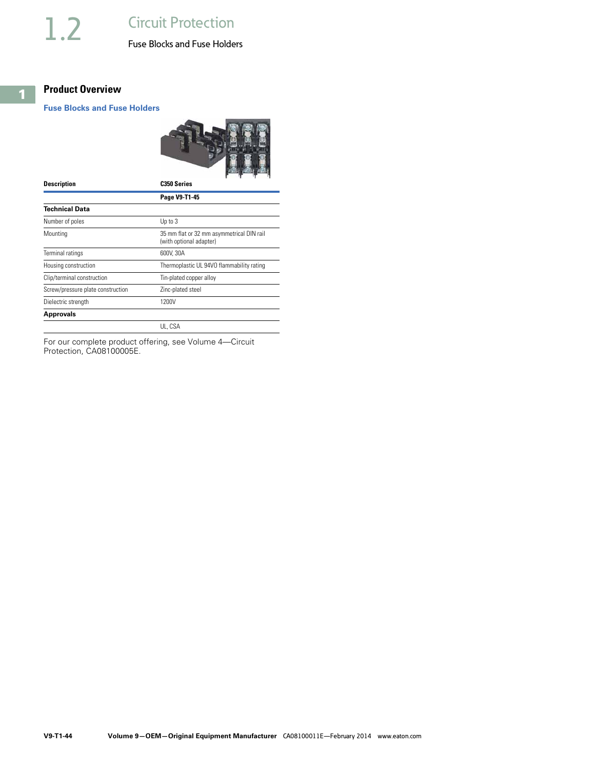# <span id="page-43-0"></span>**Product Overview**

### **Fuse Blocks and Fuse Holders**



| <b>Description</b>                | C <sub>350</sub> Series                                              |
|-----------------------------------|----------------------------------------------------------------------|
|                                   | Page V9-T1-45                                                        |
| <b>Technical Data</b>             |                                                                      |
| Number of poles                   | Up to 3                                                              |
| Mounting                          | 35 mm flat or 32 mm asymmetrical DIN rail<br>(with optional adapter) |
| Terminal ratings                  | 600V, 30A                                                            |
| Housing construction              | Thermoplastic UL 94VO flammability rating                            |
| Clip/terminal construction        | Tin-plated copper alloy                                              |
| Screw/pressure plate construction | Zinc-plated steel                                                    |
| Dielectric strength               | 1200V                                                                |
| <b>Approvals</b>                  |                                                                      |
|                                   | UL. CSA                                                              |

For our complete product offering, see Volume 4—Circuit Protection, CA08100005E.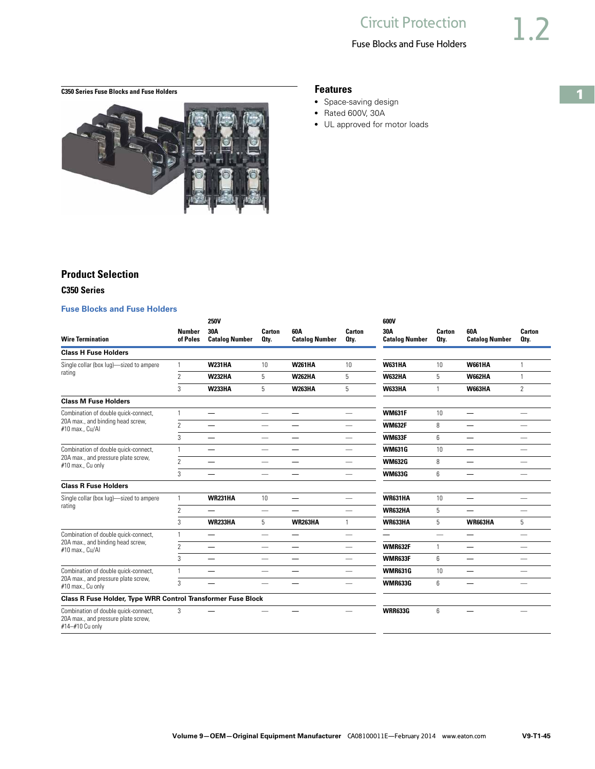# Fuse Blocks and Fuse Holders

# <span id="page-44-0"></span>**C350 Series Fuse Blocks and Fuse Holders Features**



- Space-saving design
- Rated 600V, 30A
- UL approved for motor loads

### **Product Selection**

#### **C350 Series**

#### **Fuse Blocks and Fuse Holders**

| <b>Wire Termination</b>                                                                        | <b>Number</b><br>of Poles | <b>250V</b><br>30A<br><b>Catalog Number</b> | Carton<br>Oty.                  | 60A<br><b>Catalog Number</b> | Carton<br>Oty.           | 600V<br>30A<br><b>Catalog Number</b> | Carton<br>Oty.           | 60A<br><b>Catalog Number</b>  | Carton<br>Oty.           |
|------------------------------------------------------------------------------------------------|---------------------------|---------------------------------------------|---------------------------------|------------------------------|--------------------------|--------------------------------------|--------------------------|-------------------------------|--------------------------|
| <b>Class H Fuse Holders</b>                                                                    |                           |                                             |                                 |                              |                          |                                      |                          |                               |                          |
| Single collar (box lug)-sized to ampere                                                        | 1                         | <b>W231HA</b>                               | 10 <sup>1</sup>                 | <b>W261HA</b>                | 10                       | <b>W631HA</b>                        | 10                       | <b>W661HA</b>                 | 1                        |
| rating                                                                                         | $\overline{\phantom{a}}$  | <b>W232HA</b>                               | 5                               | <b>W262HA</b>                | 5                        | <b>W632HA</b>                        | 5                        | <b>W662HA</b>                 | $\mathbf{1}$             |
|                                                                                                | 3                         | <b>W233HA</b>                               | $5^{\circ}$                     | <b>W263HA</b>                | 5                        | <b>W633HA</b>                        | $\mathbf{1}$             | <b>W663HA</b>                 | $\overline{2}$           |
| <b>Class M Fuse Holders</b>                                                                    |                           |                                             |                                 |                              |                          |                                      |                          |                               |                          |
| Combination of double quick-connect,                                                           | $\mathbf{1}$              | —                                           | $\overline{\phantom{m}}$        | $\overline{\phantom{0}}$     | $\overline{\phantom{0}}$ | <b>WM631F</b>                        | 10                       | $\overline{\phantom{0}}$      | $\overline{\phantom{0}}$ |
| 20A max., and binding head screw,<br>#10 max., Cu/Al                                           | $\overline{\phantom{a}}$  | —                                           | $\overline{\phantom{m}}$        | —                            | $\overline{\phantom{0}}$ | <b>WM632F</b>                        | 8                        | —                             |                          |
|                                                                                                | 3                         | —                                           | $\qquad \qquad \longleftarrow$  | $\overline{\phantom{0}}$     | $\overline{\phantom{0}}$ | <b>WM633F</b>                        | 6                        | $\overbrace{\phantom{12332}}$ | $\qquad \qquad$          |
| Combination of double quick-connect,                                                           | $\mathbf{1}$              | —                                           | $\overline{\phantom{0}}$        |                              | $\overline{\phantom{0}}$ | <b>WM631G</b>                        | 10                       | —                             | $\overline{\phantom{0}}$ |
| 20A max., and pressure plate screw,<br>#10 max., Cu only                                       | $\overline{2}$            | $\overline{\phantom{0}}$                    | $\overline{\phantom{0}}$        |                              | $\overline{\phantom{0}}$ | <b>WM632G</b>                        | 8                        | —                             |                          |
|                                                                                                | 3                         | $\overline{\phantom{0}}$                    | $\overline{\phantom{0}}$        |                              | $\overline{\phantom{0}}$ | <b>WM633G</b>                        | 6                        | $\overline{\phantom{0}}$      |                          |
| <b>Class R Fuse Holders</b>                                                                    |                           |                                             |                                 |                              |                          |                                      |                          |                               |                          |
| Single collar (box lug)-sized to ampere                                                        | $\mathbf{1}$              | WR231HA                                     | 10 <sup>°</sup>                 | $\overline{\phantom{0}}$     | $\overline{\phantom{0}}$ | WR631HA                              | 10                       | —                             | $\overline{\phantom{0}}$ |
| rating                                                                                         | $\overline{2}$            | $\overline{\phantom{0}}$                    |                                 | $\overline{\phantom{0}}$     |                          | <b>WR632HA</b>                       | 5                        |                               | $\overline{\phantom{0}}$ |
|                                                                                                | 3                         | <b>WR233HA</b>                              | 5                               | <b>WR263HA</b>               | $\overline{1}$           | WR633HA                              | 5                        | <b>WR663HA</b>                | 5                        |
| Combination of double quick-connect,                                                           | $\mathbf{1}$              | $\overline{\phantom{0}}$                    | $\overline{\phantom{0}}$        | $\overline{\phantom{0}}$     | $\overline{\phantom{0}}$ |                                      | $\overline{\phantom{0}}$ | —                             |                          |
| 20A max., and binding head screw,<br>#10 max., Cu/Al                                           | $\overline{c}$            | $\overline{\phantom{0}}$                    |                                 | $\overline{\phantom{0}}$     | $\overline{\phantom{0}}$ | <b>WMR632F</b>                       | $\mathbf{1}$             | $\overline{\phantom{0}}$      |                          |
|                                                                                                | 3                         | –                                           | $\overline{\phantom{0}}$        | $\overline{\phantom{0}}$     | $\overline{\phantom{0}}$ | WMR633F                              | 6                        | $\overline{\phantom{0}}$      |                          |
| Combination of double quick-connect,                                                           | $\mathbf{1}$              | —                                           | $\hspace{0.1mm}-\hspace{0.1mm}$ | —                            | $\overline{\phantom{0}}$ | <b>WMR631G</b>                       | 10                       | $\overline{\phantom{0}}$      | $\overline{\phantom{m}}$ |
| 20A max., and pressure plate screw,<br>#10 max., Cu only                                       | 3                         |                                             |                                 | —                            | $\overline{\phantom{0}}$ | <b>WMR633G</b>                       | 6                        | —                             |                          |
| <b>Class R Fuse Holder, Type WRR Control Transformer Fuse Block</b>                            |                           |                                             |                                 |                              |                          |                                      |                          |                               |                          |
| Combination of double quick-connect,<br>20A max., and pressure plate screw,<br>#14-#10 Cu only | 3                         |                                             |                                 |                              |                          | <b>WRR633G</b>                       | 6                        |                               |                          |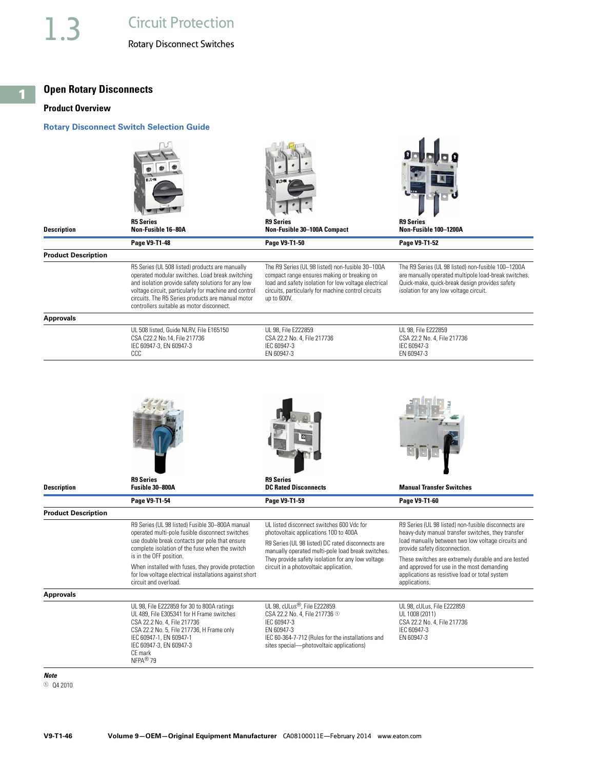#### <span id="page-45-0"></span>**Open Rotary Disconnects**

#### **Product Overview**

#### **Rotary Disconnect Switch Selection Guide**



IEC 60-364-7-712 (Rules for the installations and sites special—photovoltaic applications)

EN 60947-3

- *Note*
- $0$  Q4 2010

IEC 60947-1, EN 60947-1 IEC 60947-3, EN 60947-3

CE mark NFPA® 79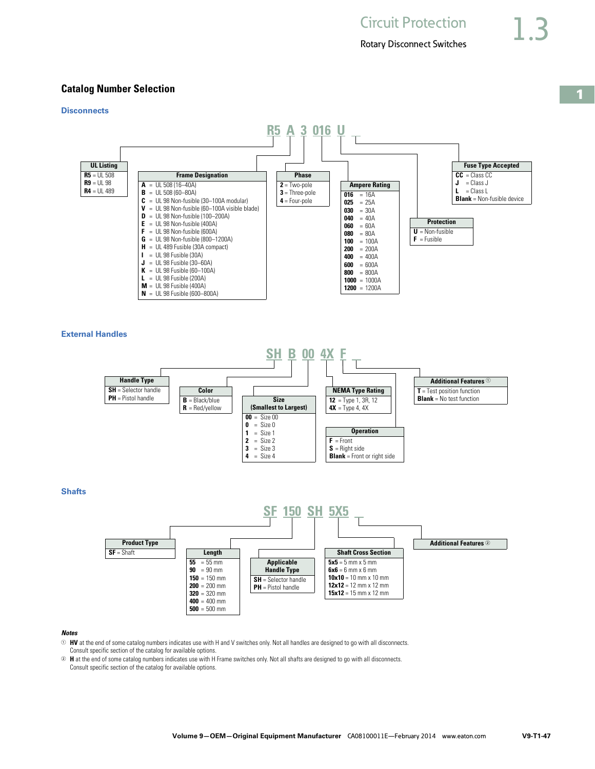### **Catalog Number Selection**

#### **Disconnects UL Listing**  $R5 = 11.508$  $R9 = UL98$ **R4** = UL 489 **R5 A 3 016 U Frame Designation**  $A = UL 508 (16-40A)$ **B** = UL 508 (60–80A)  $C = UL$  98 Non-fusible (30–100A modular)  $V = UL$  98 Non-fusible (60-100A visible blade)  $D = UL 98$  Non-fusible  $(100 - 200A)$  $E = UL 98$  Non-fusible (400A)  $\mathsf{F}$  = UL 98 Non-fusible (600A) **G** = UL 98 Non-fusible (800–1200A)  $H = UL$  489 Fusible (30A compact) **I** = UL 98 Fusible (30A)  $J = UL$  98 Fusible (30–60A) **K** = UL 98 Fusible  $(60-100A)$ **L** = UL 98 Fusible (200A) **M** = UL 98 Fusible (400A) **N** = UL 98 Fusible (600–800A) **Phase 2** = Two-pole **3** = Three-pole **4** = Four-pole **Ampere Rating 016**  $= 16A$ **025** = 25A **030** = 30A **040** = 40A **060** = 60A **080** = 80A **100** =  $100A$ **200** = 200A  $400 = 400A$ **600** = 600A **800** = 800A  $1000 = 1000A$ **1200** = 1200A **Protection U** = Non-fusible  $\mathbf{F} = \text{Fusible}$ **Fuse Type Accepted CC** = Class CC  $J = Class J$ **L** = Class L **Blank** = Non-fusible device

**External Handles**



**Shafts** 



#### *Notes*

<sup>1</sup> **HV** at the end of some catalog numbers indicates use with H and V switches only. Not all handles are designed to go with all disconnects. Consult specific section of the catalog for available options.

<sup>2</sup> **H** at the end of some catalog numbers indicates use with H Frame switches only. Not all shafts are designed to go with all disconnects. Consult specific section of the catalog for available options.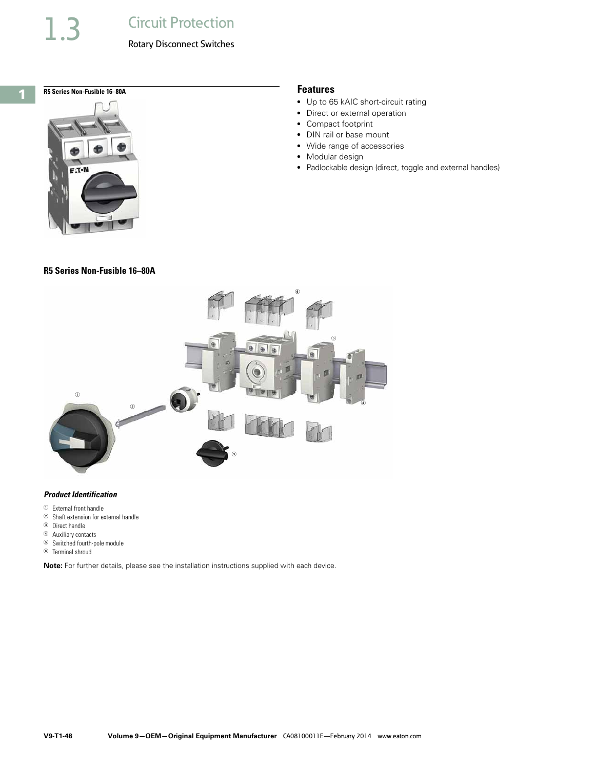# 1.3 Circuit Protection

#### Rotary Disconnect Switches

**1**

# R5 Series Non-Fusible 16-80A **Features Features**



# **R5 Series Non-Fusible 16–80A**

- Up to 65 kAIC short-circuit rating
- Direct or external operation
- Compact footprint
- DIN rail or base mount
- Wide range of accessories
- Modular design
- Padlockable design (direct, toggle and external handles)



#### *Product Identification*

- <sup>1</sup> External front handle
- <sup>2</sup> Shaft extension for external handle
- <sup>3</sup> Direct handle
- <sup>4</sup> Auxiliary contacts
- <sup>5</sup> Switched fourth-pole module
- <sup>6</sup> Terminal shroud

**Note:** For further details, please see the installation instructions supplied with each device.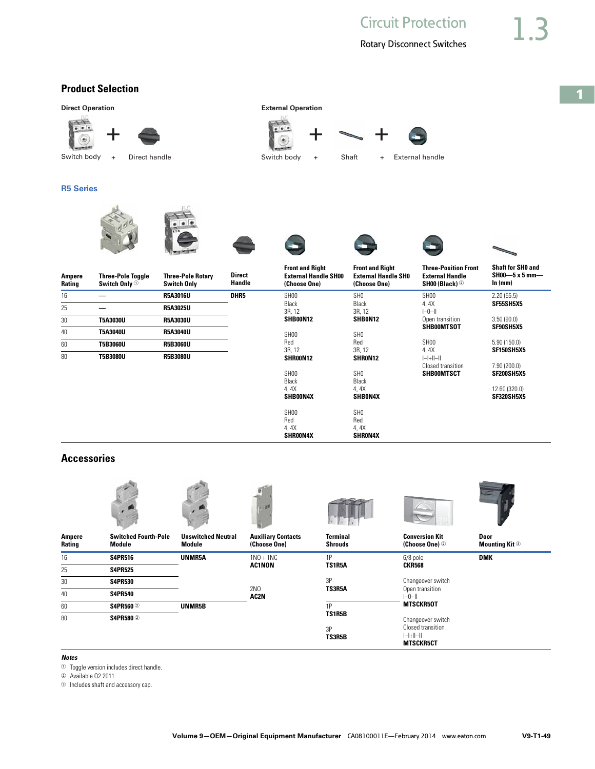# **Product Selection**

**R5 Series Ampere Rating Three-Pole Toggle Switch Only** <sup>1</sup> **Three-Pole Rotary Switch Only Direct Handle Front and Right External Handle SH00 (Choose One) Front and Right External Handle SH0 (Choose One) Three-Position Front External Handle SH00 (Black)** <sup>2</sup> **Shaft for SH0 and SH00—5 x 5 mm— In (mm)** 16 **— R5A3016U DHR5** SH00 Black 3R, 12 **SHB00N12 SH<sub>00</sub>** Red 3R, 12 **SHR00N12** SH0 Black 3R, 12 **SHB0N12** SH0 Red 3R, 12 **SHR0N12** SH00 4, 4X I–0–II Open transition **SHB00MTSOT** SH00 4, 4X  $\left\vert -\right\vert +\left\vert \left\vert -\right\vert \right\vert$ 2.20 (55.5) **SF55SH5X5** 3.50 (90.0) **SF90SH5X5** 5.90 (150.0) **SF150SH5X5** 25 **— R5A3025U** 30 **T5A3030U R5A3030U** 40 **T5A3040U R5A3040U** 60 **T5B3060U R5B3060U** 80 **T5B3080U R5B3080U**  $+$   $+$   $+$   $+$ Switch body + Direct handle  $\begin{array}{cccc} \text{Switch body} & + & \text{Start} & + & \text{External handle} \end{array}$ **Direct Operation External Operation** 

> SH00 Black 4, 4X **SHB00N4X** SH00 Red 4, 4X **SHR00N4X**

SH0 Black 4, 4X **SHB0N4X** SH0 Red 4, 4X **SHR0N4X** Closed transition **SHB00MTSCT**

7.90 (200.0) **SF200SH5X5** 12.60 (320.0) **SF320SH5X5**

#### **Accessories**



#### *Notes*

- $\Phi$  Toggle version includes direct handle.
- <sup>2</sup> Available Q2 2011.
- <sup>3</sup> Includes shaft and accessory cap.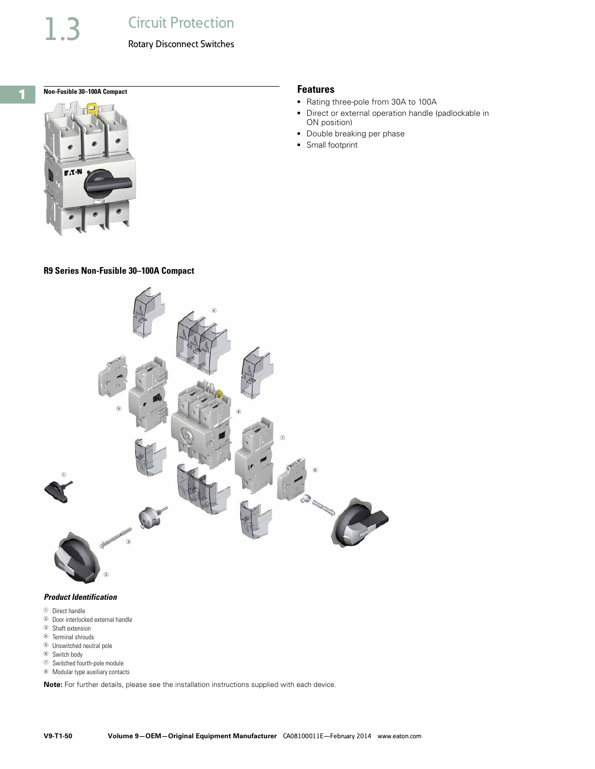# 1.3 Circuit Protection

#### Rotary Disconnect Switches



**Non-Fusible 30-100A Compact Features** Features



#### **R9 Series Non-Fusible 30–100A Compact**



#### *Product Identification*

- <sup>1</sup> Direct handle
- <sup>2</sup> Door interlocked external handle
- <sup>3</sup> Shaft extension
- <sup>4</sup> Terminal shrouds
- <sup>5</sup> Unswitched neutral pole
- <sup>6</sup> Switch body
- $\odot$  Switched fourth-pole module
- <sup>8</sup> Modular type auxiliary contacts

**Note:** For further details, please see the installation instructions supplied with each device.

- Rating three-pole from 30A to 100A
- Direct or external operation handle (padlockable in ON position)
- Double breaking per phase
- Small footprint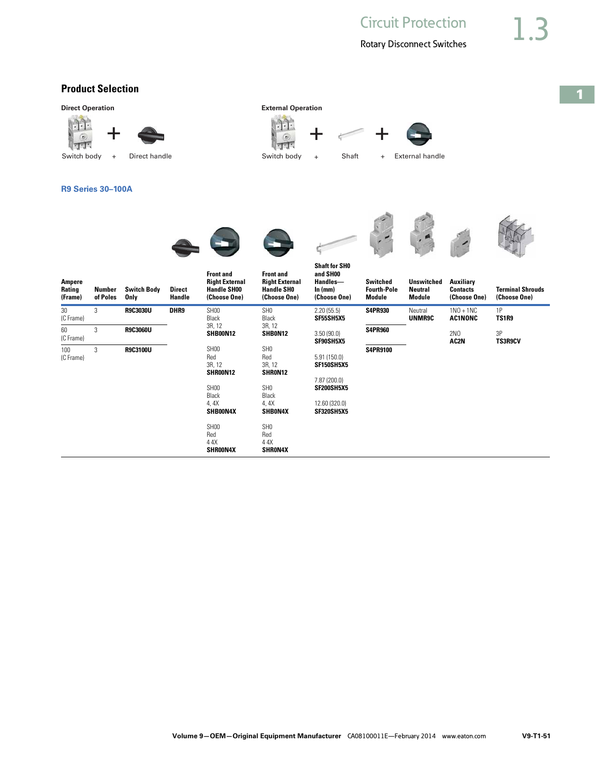# **Product Selection**

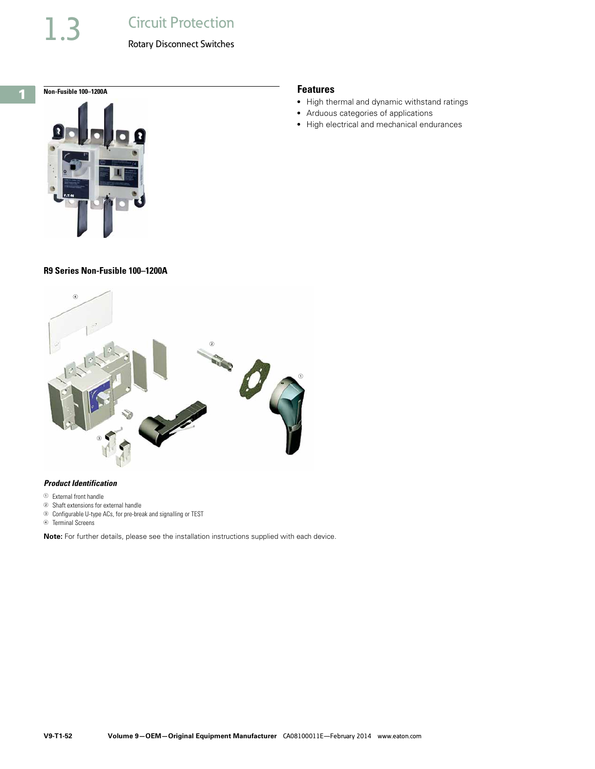# **Circuit Protection**

#### Rotary Disconnect Switches

### **1**

#### **R9 Series Non-Fusible 100–1200A**



#### *Product Identification*

- <sup>1</sup> External front handle
- <sup>2</sup> Shaft extensions for external handle
- <sup>3</sup> Configurable U-type ACs, for pre-break and signalling or TEST

<sup>4</sup> Terminal Screens

**Note:** For further details, please see the installation instructions supplied with each device.

# **Non-Fusible 100–1200A** Features

- High thermal and dynamic withstand ratings
- Arduous categories of applications
- High electrical and mechanical endurances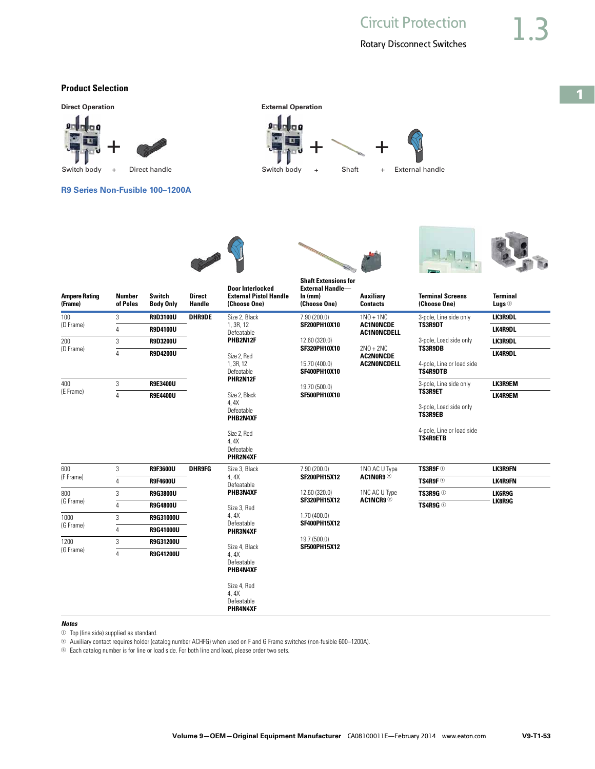#### **Product Selection**



#### *Notes*

 $\Phi$  Top (line side) supplied as standard.

<sup>2</sup> Auxiliary contact requires holder (catalog number ACHFG) when used on F and G Frame switches (non-fusible 600–1200A).

<sup>3</sup> Each catalog number is for line or load side. For both line and load, please order two sets.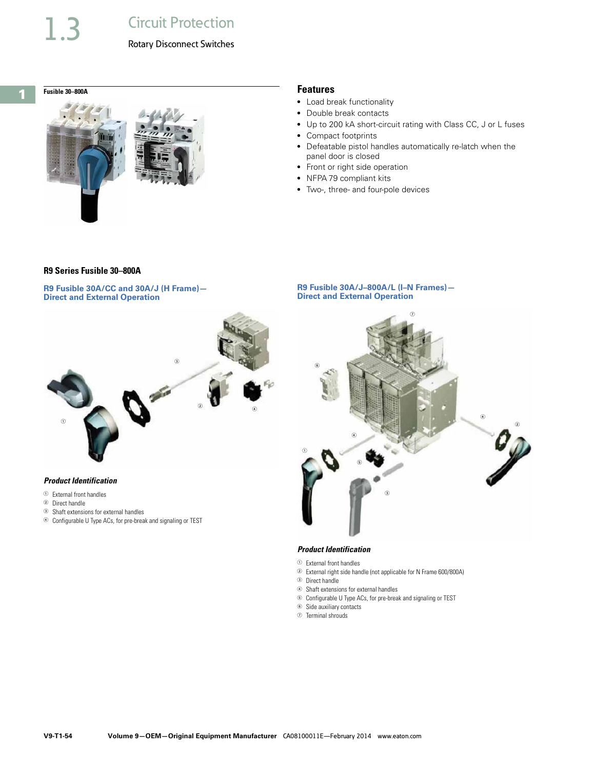



- Load break functionality
- Double break contacts
- Up to 200 kA short-circuit rating with Class CC, J or L fuses
- Compact footprints
- Defeatable pistol handles automatically re-latch when the panel door is closed
- Front or right side operation
- NFPA 79 compliant kits
- Two-, three- and four-pole devices

#### **R9 Series Fusible 30–800A**

**R9 Fusible 30A/CC and 30A/J (H Frame)— Direct and External Operation**



#### *Product Identification*

- <sup>1</sup> External front handles
- <sup>2</sup> Direct handle
- <sup>3</sup> Shaft extensions for external handles
- <sup>4</sup> Configurable U Type ACs, for pre-break and signaling or TEST

#### **R9 Fusible 30A/J–800A/L (I–N Frames)— Direct and External Operation**



### *Product Identification*

- <sup>1</sup> External front handles
- <sup>2</sup> External right side handle (not applicable for N Frame 600/800A)
- <sup>3</sup> Direct handle
- <sup>4</sup> Shaft extensions for external handles
- <sup>5</sup> Configurable U Type ACs, for pre-break and signaling or TEST
- <sup>6</sup> Side auxiliary contacts
- <sup>7</sup> Terminal shrouds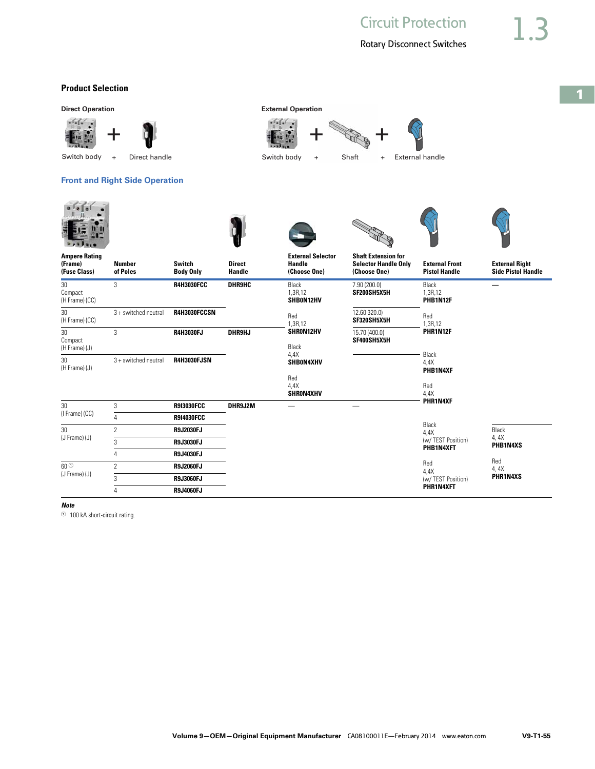**1**

### **Product Selection**

**Direct Operation External Operation** 





Switch body + Direct handle  $\begin{array}{cccc} \text{Switch body} & + & \text{Start} & + & \text{External handle} \end{array}$ 

**Switch** 

#### **Front and Right Side Operation**

**Number** 



**Ampere Rating (Frame)** 



**Direct** 





**External Selector Handle** 



**Selector Handle Only** 



**External Front** 



**External Right** 

| (Fuse Class)                    | of Poles             | <b>Body Only</b>   | Handle        | (Choose One)                  | (Choose One)                 | <b>Pistol Handle</b>             | <b>Side Pistol Handle</b> |
|---------------------------------|----------------------|--------------------|---------------|-------------------------------|------------------------------|----------------------------------|---------------------------|
| 30<br>Compact<br>(H Frame) (CC) | 3                    | <b>R4H3030FCC</b>  | <b>DHR9HC</b> | Black<br>1,3R,12<br>SHB0N12HV | 7.90(200.0)<br>SF200SH5X5H   | Black<br>1,3R,12<br>PHB1N12F     |                           |
| 30<br>(H Frame) (CC)            | 3 + switched neutral | R4H3030FCCSN       |               | Red<br>1,3R,12                | 12.60 320.0)<br>SF320SH5X5H  | Red<br>.3R,12                    |                           |
| 30<br>Compact<br>(H Frame) (J)  | 3                    | <b>R4H3030FJ</b>   | DHR9HJ        | SHRON12HV<br>Black<br>4,4X    | 15.70 (400.0)<br>SF400SH5X5H | PHR1N12F                         |                           |
| 30<br>(H Frame) (J)             | 3 + switched neutral | <b>R4H3030FJSN</b> |               | SHB0N4XHV<br>Red<br>4,4X      |                              | Black<br>4,4X<br>PHB1N4XF<br>Red |                           |
|                                 |                      |                    |               | SHRON4XHV                     |                              | 4,4X<br>PHR1N4XF                 |                           |
| 30<br>(I Frame) (CC)            | 3                    | <b>R9I3030FCC</b>  | DHR9J2M       |                               |                              |                                  |                           |
|                                 | 4                    | <b>R914030FCC</b>  |               |                               |                              | Black                            |                           |
| 30                              | $\overline{2}$       | <b>R9J2030FJ</b>   |               |                               |                              | 4,4X                             | Black                     |
| $(J$ Frame $)(J)$               | 3                    | <b>R9J3030FJ</b>   |               |                               |                              | (w/TEST Position)                | 4, 4X<br>PHB1N4XS         |
|                                 | 4                    | <b>R9J4030FJ</b>   |               |                               |                              | PHB1N4XFT                        |                           |
| 60 <sup>0</sup>                 | $\overline{2}$       | <b>R9J2060FJ</b>   |               |                               |                              | Red<br>4,4X                      | Red<br>4, $4X$            |
| (J Frame) (J)                   | 3                    | <b>R9J3060FJ</b>   |               |                               |                              | (w/ TEST Position)               | PHR1N4XS                  |
|                                 | 4                    | R9J4060FJ          |               |                               |                              | PHR1N4XFT                        |                           |

#### *Note*

<sup>1</sup> 100 kA short-circuit rating.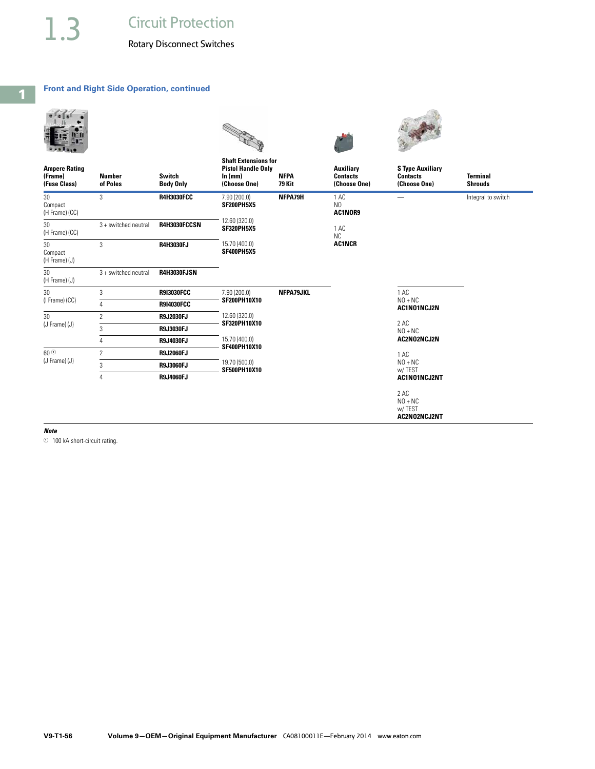#### **Front and Right Side Operation, continued**

| <b>Ampere Rating</b><br>(Frame)<br>(Fuse Class) | <b>Number</b><br>of Poles | <b>Switch</b><br><b>Body Only</b> | <b>Shaft Extensions for</b><br><b>Pistol Handle Only</b><br>ln(mm)<br>(Choose One) | <b>NFPA</b><br>79 Kit | <b>Auxiliary</b><br><b>Contacts</b><br>(Choose One) | <b>S Type Auxiliary</b><br><b>Contacts</b><br>(Choose One) | <b>Terminal</b><br><b>Shrouds</b> |
|-------------------------------------------------|---------------------------|-----------------------------------|------------------------------------------------------------------------------------|-----------------------|-----------------------------------------------------|------------------------------------------------------------|-----------------------------------|
| 30<br>Compact<br>(H Frame) (CC)                 | 3                         | <b>R4H3030FCC</b>                 | 7.90 (200.0)<br>SF200PH5X5                                                         | NFPA79H               | 1 AC<br>N <sub>0</sub><br>AC1NOR9                   |                                                            | Integral to switch                |
| 30<br>(H Frame) (CC)                            | 3 + switched neutral      | R4H3030FCCSN                      | 12.60 (320.0)<br><b>SF320PH5X5</b>                                                 |                       | 1 AC<br><b>NC</b>                                   |                                                            |                                   |
| $30\,$<br>Compact<br>(H Frame) (J)              | 3                         | R4H3030FJ                         | 15.70 (400.0)<br>SF400PH5X5                                                        |                       | AC1NCR                                              |                                                            |                                   |
| 30<br>(H Frame) (J)                             | 3 + switched neutral      | <b>R4H3030FJSN</b>                |                                                                                    |                       |                                                     |                                                            |                                   |
| 30                                              | 3                         | <b>R9I3030FCC</b>                 | 7.90 (200.0)<br><b>SF200PH10X10</b>                                                | NFPA79JKL             |                                                     | 1 AC<br>$NO + NC$<br>AC1N01NCJ2N                           |                                   |
| (I Frame) (CC)                                  | $\overline{4}$            | <b>R9I4030FCC</b>                 |                                                                                    |                       |                                                     |                                                            |                                   |
| 30                                              | $\overline{2}$            | R9J2030FJ                         | 12.60 (320.0)<br>SF320PH10X10                                                      |                       |                                                     | 2 AC<br>$NO + NC$                                          |                                   |
| (J Frame) (J)                                   | 3                         | R9J3030FJ                         |                                                                                    |                       |                                                     |                                                            |                                   |
|                                                 | $\overline{4}$            | R9J4030FJ                         | 15.70 (400.0)<br>SF400PH10X10                                                      |                       |                                                     | AC2N02NCJ2N                                                |                                   |
| 60 <sup>O</sup>                                 | $\overline{2}$            | <b>R9J2060FJ</b>                  |                                                                                    |                       |                                                     | 1 AC                                                       |                                   |
| (J Frame) (J)                                   | 3                         | <b>R9J3060FJ</b>                  | 19.70 (500.0)<br><b>SF500PH10X10</b>                                               |                       |                                                     | $NO + NC$<br>w/TEST                                        |                                   |
|                                                 | 4                         | R9J4060FJ                         |                                                                                    |                       |                                                     | AC1N01NCJ2NT                                               |                                   |
|                                                 |                           |                                   |                                                                                    |                       |                                                     | 2 AC<br>$NO + NC$<br>w/TEST<br>AC2N02NCJ2NT                |                                   |

*Note*

<sup>1</sup> 100 kA short-circuit rating.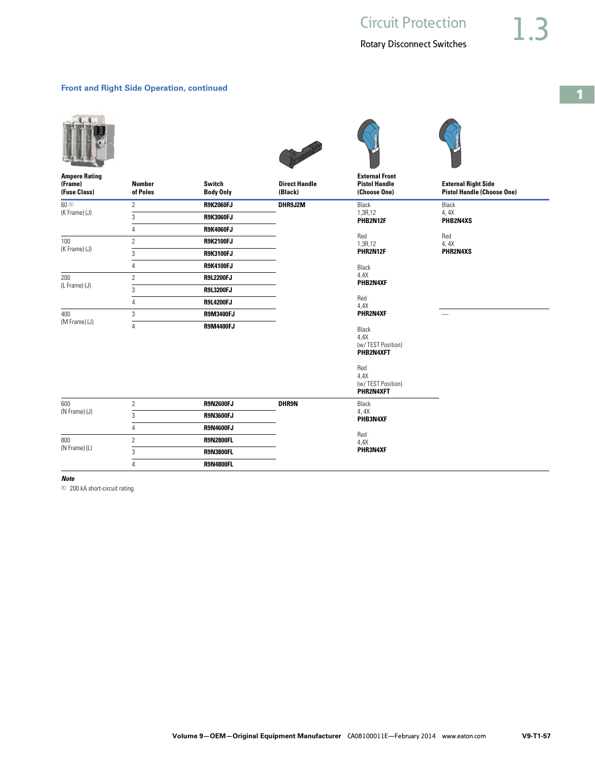#### **Front and Right Side Operation, continued**









| <b>Ampere Rating</b><br>(Frame)<br>(Fuse Class) | <b>Number</b><br>of Poles | Switch<br><b>Body Only</b> | <b>Direct Handle</b><br>(Black) | <b>External Front</b><br><b>Pistol Handle</b><br>(Choose One) | <b>External Right Side</b><br><b>Pistol Handle (Choose One)</b> |
|-------------------------------------------------|---------------------------|----------------------------|---------------------------------|---------------------------------------------------------------|-----------------------------------------------------------------|
| $60\,\rm{fb}$                                   | $\mathbf{2}$              | <b>R9K2060FJ</b>           | DHR9J2M                         | Black                                                         | Black                                                           |
| (K Frame) (J)                                   | 3                         | <b>R9K3060FJ</b>           |                                 | 1,3R,12<br>PHB2N12F                                           | 4,4X<br>PHB2N4XS                                                |
|                                                 | 4                         | <b>R9K4060FJ</b>           |                                 |                                                               | Red                                                             |
| 100                                             | $\overline{2}$            | <b>R9K2100FJ</b>           |                                 | Red<br>1,3R,12                                                | 4, 4X                                                           |
| (K Frame) (J)                                   | 3                         | <b>R9K3100FJ</b>           |                                 | PHR2N12F                                                      | PHR2N4XS                                                        |
|                                                 | 4                         | <b>R9K4100FJ</b>           |                                 | Black                                                         |                                                                 |
| 200<br>(L Frame) (J)                            | $\overline{c}$            | <b>R9L2200FJ</b>           |                                 | 4,4X<br>PHB2N4XF                                              |                                                                 |
|                                                 | 3                         | <b>R9L3200FJ</b>           |                                 |                                                               |                                                                 |
|                                                 | 4                         | <b>R9L4200FJ</b>           |                                 | Red<br>4,4X                                                   |                                                                 |
| 400<br>(M Frame) (J)                            | 3                         | <b>R9M3400FJ</b>           |                                 | PHR2N4XF                                                      |                                                                 |
|                                                 | 4                         | <b>R9M4400FJ</b>           |                                 | Black<br>4.4X<br>(w/ TEST Position)<br>PHB2N4XFT<br>Red       |                                                                 |
|                                                 |                           |                            |                                 | 4,4X<br>(w/TEST Position)<br>PHR2N4XFT                        |                                                                 |
| 600                                             | $\overline{2}$            | <b>R9N2600FJ</b>           | DHR9N                           | Black                                                         |                                                                 |
| (N Frame) (J)                                   | 3                         | <b>R9N3600FJ</b>           |                                 | 4,4X<br>PHB3N4XF                                              |                                                                 |
|                                                 | 4                         | <b>R9N4600FJ</b>           |                                 |                                                               |                                                                 |
| 800                                             | $\overline{2}$            | <b>R9N2800FL</b>           |                                 | Red<br>4,4X                                                   |                                                                 |
| (N Frame) (L)                                   | 3                         | <b>R9N3800FL</b>           |                                 | PHR3N4XF                                                      |                                                                 |
|                                                 | 4                         | <b>R9N4800FL</b>           |                                 |                                                               |                                                                 |

*Note*

<sup>1</sup> 200 kA short-circuit rating.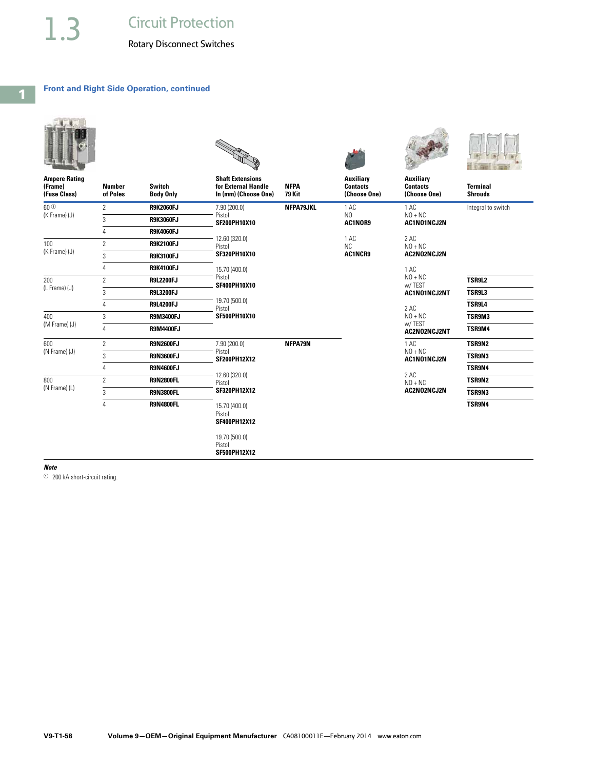#### **Front and Right Side Operation, continued**

|                                                 |                           |                                   | <b>COLLEGE DE</b>                                                      |                              |                                              |                                                                  |                                   |
|-------------------------------------------------|---------------------------|-----------------------------------|------------------------------------------------------------------------|------------------------------|----------------------------------------------|------------------------------------------------------------------|-----------------------------------|
| <b>Ampere Rating</b><br>(Frame)<br>(Fuse Class) | <b>Number</b><br>of Poles | <b>Switch</b><br><b>Body Only</b> | <b>Shaft Extensions</b><br>for External Handle<br>In (mm) (Choose One) | <b>NFPA</b><br><b>79 Kit</b> | Auxiliary<br><b>Contacts</b><br>(Choose One) | Auxiliary<br><b>Contacts</b><br>(Choose One)                     | <b>Terminal</b><br><b>Shrouds</b> |
| 60 <sup>O</sup><br>(K Frame) (J)                | 2                         | <b>R9K2060FJ</b>                  | 7.90 (200.0)                                                           | NFPA79JKL                    | 1 AC                                         | 1 AC                                                             | Integral to switch                |
|                                                 | 3                         | <b>R9K3060FJ</b>                  | Pistol<br>SF200PH10X10                                                 |                              | N <sub>0</sub><br>AC1NOR9                    | $NO + NC$<br>AC1N01NCJ2N                                         |                                   |
|                                                 | 4                         | <b>R9K4060FJ</b>                  |                                                                        |                              |                                              |                                                                  |                                   |
| 100<br>(K Frame) (J)                            | $\overline{2}$            | <b>R9K2100FJ</b>                  | 12.60 (320.0)<br>Pistol                                                | 1 AC<br>NC.<br>AC1NCR9       |                                              | 2 AC<br>$NO + NC$                                                |                                   |
|                                                 | 3                         | <b>R9K3100FJ</b>                  | SF320PH10X10                                                           |                              |                                              | AC2N02NCJ2N                                                      |                                   |
|                                                 | 4                         | <b>R9K4100FJ</b>                  | 15.70 (400.0)                                                          |                              |                                              | 1 AC<br>$NO + NC$<br>w/TEST<br>AC1N01NCJ2NT<br>2 AC<br>$NO + NC$ |                                   |
| 200<br>(L Frame) (J)                            | $\overline{2}$            | <b>R9L2200FJ</b>                  | Pistol<br>SF400PH10X10                                                 |                              |                                              |                                                                  | TSR9L2                            |
|                                                 | 3                         | <b>R9L3200FJ</b>                  |                                                                        |                              |                                              |                                                                  | TSR9L3                            |
|                                                 | 4                         | <b>R9L4200FJ</b>                  | 19.70 (500.0)<br>Pistol                                                |                              |                                              |                                                                  | TSR9L4                            |
| 400                                             | 3                         | <b>R9M3400FJ</b>                  | SF500PH10X10                                                           |                              |                                              |                                                                  | TSR9M3                            |
| (M Frame) (J)                                   | $\overline{4}$            | <b>R9M4400FJ</b>                  |                                                                        |                              |                                              | w/TEST<br>AC2N02NCJ2NT                                           | TSR9M4                            |
| 600                                             | $\overline{2}$            | <b>R9N2600FJ</b>                  | 7.90 (200.0)                                                           | NFPA79N                      |                                              | 1 AC<br>$NO + NC$<br>AC1N01NCJ2N                                 | TSR9N2                            |
| (N Frame) (J)                                   | 3                         | <b>R9N3600FJ</b>                  | Pistol<br><b>SF200PH12X12</b>                                          |                              |                                              |                                                                  | TSR9N3                            |
|                                                 | 4                         | <b>R9N4600FJ</b>                  |                                                                        |                              |                                              |                                                                  | TSR9N4                            |
| 800                                             | $\overline{2}$            | <b>R9N2800FL</b>                  | 12.60 (320.0)<br>Pistol                                                |                              |                                              | 2 AC<br>$NO + NC$                                                | TSR9N2                            |
| (N Frame) (L)                                   | 3                         | <b>R9N3800FL</b>                  | SF320PH12X12                                                           |                              |                                              | AC2N02NCJ2N                                                      | TSR9N3                            |
|                                                 | 4                         | <b>R9N4800FL</b>                  | 15.70 (400.0)<br>Pistol<br><b>SF400PH12X12</b>                         |                              |                                              |                                                                  | TSR9N4                            |
|                                                 |                           |                                   | 19.70 (500.0)<br>Pistol<br><b>SF500PH12X12</b>                         |                              |                                              |                                                                  |                                   |

*Note*

<sup>1</sup> 200 kA short-circuit rating.

**1**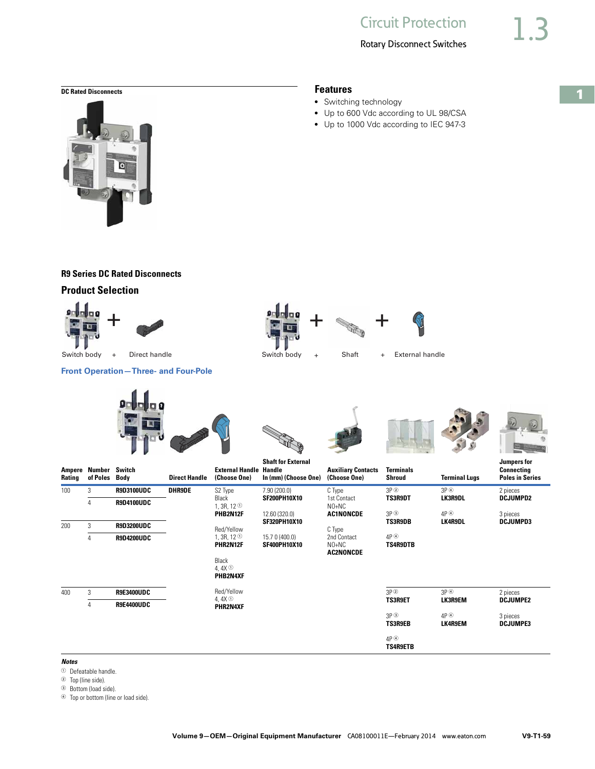

# **R9 Series DC Rated Disconnects**

# **Product Selection**











**Shaft for External** 









**Jumpers for** 

| Ampere<br>Rating | Number Switch<br>of Poles Body |                   | <b>Direct Handle</b> | <b>External Handle Handle</b><br>(Choose One)                         | In (mm) (Choose One)                  | <b>Auxiliary Contacts</b><br>(Choose One) | <b>Terminals</b><br>Shroud                                                 | <b>Terminal Lugs</b>               | <b>Connecting</b><br><b>Poles in Series</b> |
|------------------|--------------------------------|-------------------|----------------------|-----------------------------------------------------------------------|---------------------------------------|-------------------------------------------|----------------------------------------------------------------------------|------------------------------------|---------------------------------------------|
| 100              | 3                              | <b>R9D3100UDC</b> | <b>DHR9DE</b>        | S2 Type                                                               | 7.90(200.0)                           | C Type                                    | $3P$ <sup>2</sup>                                                          | $3P$ <sup>4</sup>                  | 2 pieces                                    |
|                  | 4                              | <b>R9D4100UDC</b> |                      | Black<br>1, 3R, 12 $\circ$<br>PHB2N12F<br>Red/Yellow                  | <b>SF200PH10X10</b>                   | 1st Contact<br>$NO+NC$                    | <b>TS3R9DT</b>                                                             | <b>LK3R9DL</b>                     | <b>DCJUMPD2</b>                             |
| 200              | 3                              | <b>R9D3200UDC</b> |                      |                                                                       | 12.60 (320.0)<br><b>SF320PH10X10</b>  | <b>AC1NONCDE</b><br>C Type                | $3P$ $\circledcirc$<br>AP <sup>@</sup><br><b>TS3R9DB</b><br><b>LK4R9DL</b> | 3 pieces<br><b>DCJUMPD3</b>        |                                             |
|                  | 4                              | <b>R9D4200UDC</b> |                      | 1, 3R, 12 $\circ$<br>PHR2N12F<br>Black<br>4.4 $X^{\odot}$<br>PHB2N4XF | 15.7 0 (400.0)<br><b>SF400PH10X10</b> | 2nd Contact<br>NO+NC<br><b>AC2NONCDE</b>  | $4P$ <sup><math>\circledcirc</math></sup><br><b>TS4R9DTB</b>               |                                    |                                             |
| 400              | 3                              | R9E3400UDC        |                      | Red/Yellow<br>4, $4X$ $\odot$<br>PHR2N4XF                             |                                       |                                           | $3P$ <sup>2</sup>                                                          | $3P$ <sup><math>\circ</math></sup> | 2 pieces                                    |
|                  | 4                              | R9E4400UDC        |                      |                                                                       |                                       |                                           | <b>TS3R9ET</b>                                                             | LK3R9EM                            | <b>DCJUMPE2</b>                             |
|                  |                                |                   |                      |                                                                       |                                       |                                           | $3P$ $\circled{3}$<br><b>TS3R9EB</b>                                       | AP <sup>@</sup><br><b>LK4R9EM</b>  | 3 pieces<br><b>DCJUMPE3</b>                 |
|                  |                                |                   |                      |                                                                       |                                       |                                           | $4P$ <sup><math>\circledcirc</math></sup><br><b>TS4R9ETB</b>               |                                    |                                             |

#### *Notes*

- <sup>1</sup> Defeatable handle.
- <sup>2</sup> Top (line side).
- <sup>3</sup> Bottom (load side).
- <sup>4</sup> Top or bottom (line or load side).

• Switching technology

● Up to 600 Vdc according to UL 98/CSA

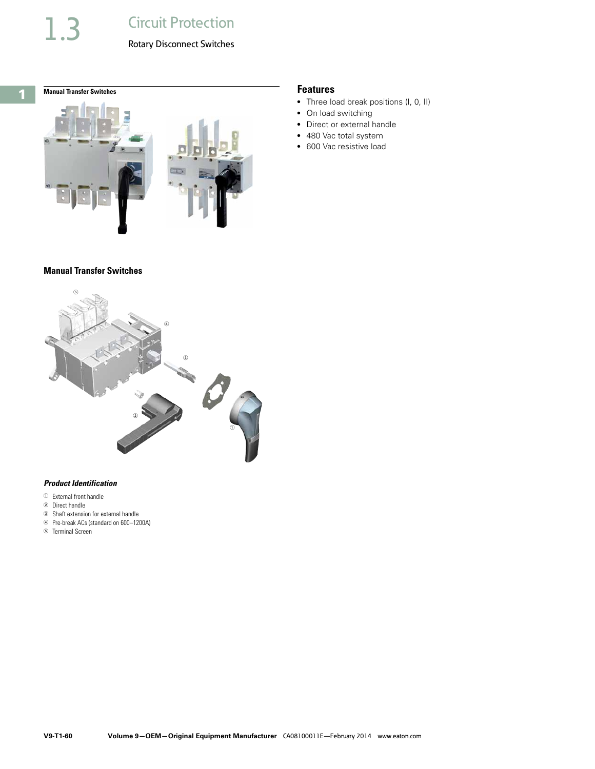**1**

# **Manual Transfer Switches Features**



#### **Manual Transfer Switches**



#### *Product Identification*

- <sup>1</sup> External front handle
- <sup>2</sup> Direct handle
- <sup>3</sup> Shaft extension for external handle
- <sup>4</sup> Pre-break ACs (standard on 600–1200A)
- <sup>5</sup> Terminal Screen

- Three load break positions (I, 0, II)
- On load switching
- Direct or external handle
- 480 Vac total system
- 600 Vac resistive load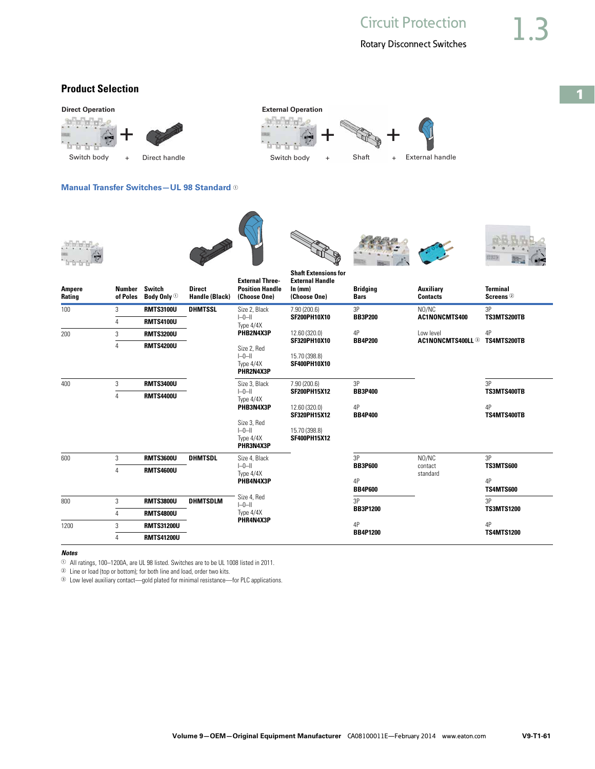**1**

# **Product Selection**



*Notes*

 $\odot$  All ratings, 100–1200A, are UL 98 listed. Switches are to be UL 1008 listed in 2011.

<sup>2</sup> Line or load (top or bottom); for both line and load, order two kits.

<sup>3</sup> Low level auxiliary contact—gold plated for minimal resistance—for PLC applications.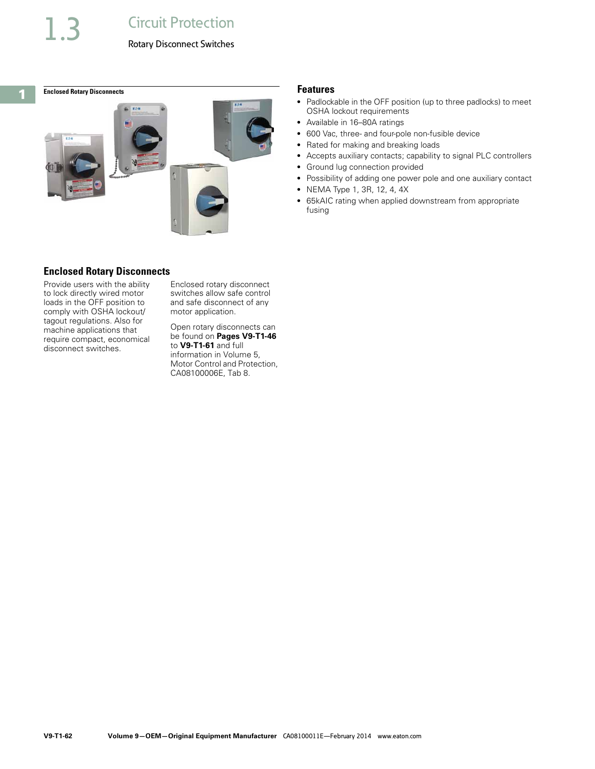<span id="page-61-0"></span>

### **Enclosed Rotary Disconnects**

Provide users with the ability to lock directly wired motor loads in the OFF position to comply with OSHA lockout/ tagout regulations. Also for machine applications that require compact, economical disconnect switches.

Enclosed rotary disconnect switches allow safe control and safe disconnect of any motor application.

Open rotary disconnects can be found on **Pages V9-T1-46** to **V9-T1-61** and full information in Volume 5, Motor Control and Protection, CA08100006E, Tab 8.

- Padlockable in the OFF position (up to three padlocks) to meet OSHA lockout requirements
- Available in 16–80A ratings
- 600 Vac, three- and four-pole non-fusible device
- Rated for making and breaking loads
- Accepts auxiliary contacts; capability to signal PLC controllers
- Ground lug connection provided
- Possibility of adding one power pole and one auxiliary contact
- NEMA Type 1, 3R, 12, 4, 4X
- 65kAIC rating when applied downstream from appropriate fusing